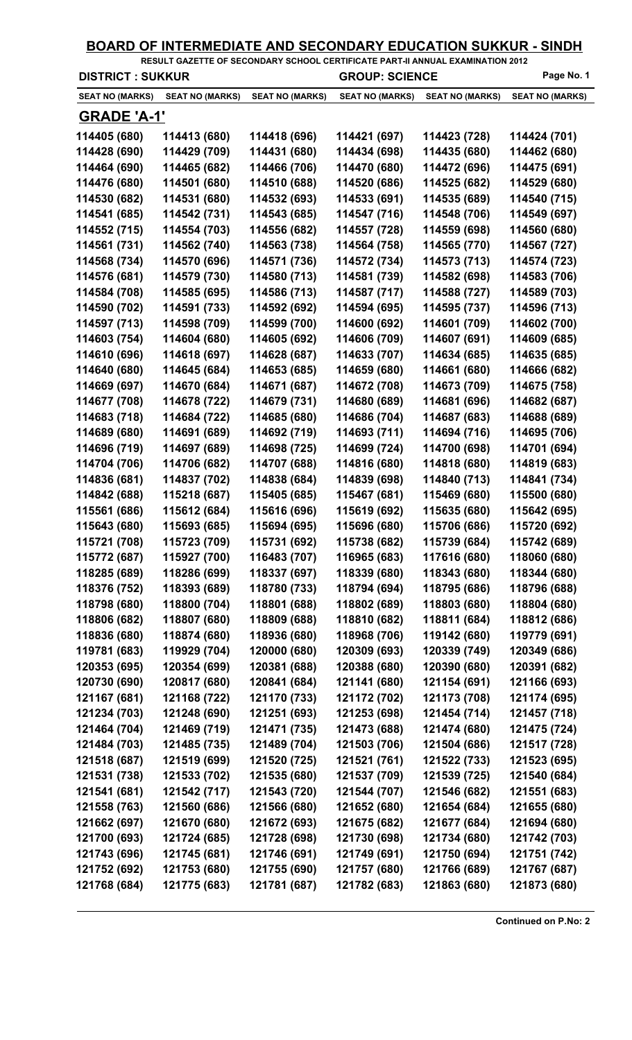|                         |                        | BOARD OF INTERMEDIATE AND SECONDARY EDUCATION SUKKUR - SINDH<br>RESULT GAZETTE OF SECONDARY SCHOOL CERTIFICATE PART-II ANNUAL EXAMINATION 2012 |                        |                        |                        |
|-------------------------|------------------------|------------------------------------------------------------------------------------------------------------------------------------------------|------------------------|------------------------|------------------------|
| <b>DISTRICT: SUKKUR</b> |                        |                                                                                                                                                | <b>GROUP: SCIENCE</b>  |                        | Page No. 1             |
| <b>SEAT NO (MARKS)</b>  | <b>SEAT NO (MARKS)</b> | <b>SEAT NO (MARKS)</b>                                                                                                                         | <b>SEAT NO (MARKS)</b> | <b>SEAT NO (MARKS)</b> | <b>SEAT NO (MARKS)</b> |
| <b>GRADE 'A-1'</b>      |                        |                                                                                                                                                |                        |                        |                        |
| 114405 (680)            | 114413 (680)           | 114418 (696)                                                                                                                                   | 114421 (697)           | 114423 (728)           | 114424 (701)           |
| 114428 (690)            | 114429 (709)           | 114431 (680)                                                                                                                                   | 114434 (698)           | 114435 (680)           | 114462 (680)           |
| 114464 (690)            | 114465 (682)           | 114466 (706)                                                                                                                                   | 114470 (680)           | 114472 (696)           | 114475 (691)           |
| 114476 (680)            | 114501 (680)           | 114510 (688)                                                                                                                                   | 114520 (686)           | 114525 (682)           | 114529 (680)           |
| 114530 (682)            | 114531 (680)           | 114532 (693)                                                                                                                                   | 114533 (691)           | 114535 (689)           | 114540 (715)           |
| 114541 (685)            | 114542 (731)           | 114543 (685)                                                                                                                                   | 114547 (716)           | 114548 (706)           | 114549 (697)           |
| 114552 (715)            | 114554 (703)           | 114556 (682)                                                                                                                                   | 114557 (728)           | 114559 (698)           | 114560 (680)           |
| 114561 (731)            | 114562 (740)           | 114563 (738)                                                                                                                                   | 114564 (758)           | 114565 (770)           | 114567 (727)           |
| 114568 (734)            | 114570 (696)           | 114571 (736)                                                                                                                                   | 114572 (734)           | 114573 (713)           | 114574 (723)           |
| 114576 (681)            | 114579 (730)           | 114580 (713)                                                                                                                                   | 114581 (739)           | 114582 (698)           | 114583 (706)           |
| 114584 (708)            | 114585 (695)           | 114586 (713)                                                                                                                                   | 114587 (717)           | 114588 (727)           | 114589 (703)           |
| 114590 (702)            | 114591 (733)           | 114592 (692)                                                                                                                                   | 114594 (695)           | 114595 (737)           | 114596 (713)           |
| 114597 (713)            | 114598 (709)           | 114599 (700)                                                                                                                                   | 114600 (692)           | 114601 (709)           | 114602 (700)           |
| 114603 (754)            | 114604 (680)           | 114605 (692)                                                                                                                                   | 114606 (709)           | 114607 (691)           | 114609 (685)           |
| 114610 (696)            | 114618 (697)           | 114628 (687)                                                                                                                                   | 114633 (707)           | 114634 (685)           | 114635 (685)           |
| 114640 (680)            | 114645 (684)           | 114653 (685)                                                                                                                                   | 114659 (680)           | 114661 (680)           | 114666 (682)           |
| 114669 (697)            | 114670 (684)           | 114671 (687)                                                                                                                                   | 114672 (708)           | 114673 (709)           | 114675 (758)           |
| 114677 (708)            | 114678 (722)           | 114679 (731)                                                                                                                                   | 114680 (689)           | 114681 (696)           | 114682 (687)           |
| 114683 (718)            | 114684 (722)           | 114685 (680)                                                                                                                                   | 114686 (704)           | 114687 (683)           | 114688 (689)           |
| 114689 (680)            | 114691 (689)           | 114692 (719)                                                                                                                                   | 114693 (711)           | 114694 (716)           | 114695 (706)           |
| 114696 (719)            | 114697 (689)           | 114698 (725)                                                                                                                                   | 114699 (724)           | 114700 (698)           | 114701 (694)           |
| 114704 (706)            | 114706 (682)           | 114707 (688)                                                                                                                                   | 114816 (680)           | 114818 (680)           | 114819 (683)           |
| 114836 (681)            | 114837 (702)           | 114838 (684)                                                                                                                                   | 114839 (698)           | 114840 (713)           | 114841 (734)           |
| 114842 (688)            | 115218 (687)           | 115405 (685)                                                                                                                                   | 115467 (681)           | 115469 (680)           | 115500 (680)           |
| 115561 (686)            | 115612 (684)           | 115616 (696)                                                                                                                                   | 115619 (692)           | 115635 (680)           | 115642 (695)           |
| 115643 (680)            | 115693 (685)           | 115694 (695)                                                                                                                                   | 115696 (680)           | 115706 (686)           | 115720 (692)           |
| 115721 (708)            | 115723 (709)           | 115731 (692)                                                                                                                                   | 115738 (682)           | 115739 (684)           | 115742 (689)           |
| 115772 (687)            | 115927 (700)           | 116483 (707)                                                                                                                                   | 116965 (683)           | 117616 (680)           | 118060 (680)           |
| 118285 (689)            | 118286 (699)           | 118337 (697)                                                                                                                                   | 118339 (680)           | 118343 (680)           | 118344 (680)           |
| 118376 (752)            | 118393 (689)           | 118780 (733)                                                                                                                                   | 118794 (694)           | 118795 (686)           | 118796 (688)           |
| 118798 (680)            | 118800 (704)           | 118801 (688)                                                                                                                                   | 118802 (689)           | 118803 (680)           | 118804 (680)           |
| 118806 (682)            | 118807 (680)           | 118809 (688)                                                                                                                                   | 118810 (682)           | 118811 (684)           | 118812 (686)           |
| 118836 (680)            | 118874 (680)           | 118936 (680)                                                                                                                                   | 118968 (706)           | 119142 (680)           | 119779 (691)           |
| 119781 (683)            | 119929 (704)           | 120000 (680)                                                                                                                                   | 120309 (693)           | 120339 (749)           | 120349 (686)           |
| 120353 (695)            | 120354 (699)           | 120381 (688)                                                                                                                                   | 120388 (680)           | 120390 (680)           | 120391 (682)           |
| 120730 (690)            | 120817 (680)           | 120841 (684)                                                                                                                                   | 121141 (680)           | 121154 (691)           | 121166 (693)           |
| 121167 (681)            | 121168 (722)           | 121170 (733)                                                                                                                                   | 121172 (702)           | 121173 (708)           | 121174 (695)           |
| 121234 (703)            | 121248 (690)           | 121251 (693)                                                                                                                                   | 121253 (698)           | 121454 (714)           | 121457 (718)           |
| 121464 (704)            | 121469 (719)           | 121471 (735)                                                                                                                                   | 121473 (688)           | 121474 (680)           | 121475 (724)           |
| 121484 (703)            | 121485 (735)           | 121489 (704)                                                                                                                                   | 121503 (706)           | 121504 (686)           | 121517 (728)           |
| 121518 (687)            | 121519 (699)           | 121520 (725)                                                                                                                                   | 121521 (761)           | 121522 (733)           | 121523 (695)           |
| 121531 (738)            | 121533 (702)           | 121535 (680)                                                                                                                                   | 121537 (709)           | 121539 (725)           | 121540 (684)           |
| 121541 (681)            | 121542 (717)           | 121543 (720)                                                                                                                                   | 121544 (707)           | 121546 (682)           | 121551 (683)           |
| 121558 (763)            | 121560 (686)           | 121566 (680)                                                                                                                                   | 121652 (680)           | 121654 (684)           | 121655 (680)           |
| 121662 (697)            | 121670 (680)           | 121672 (693)                                                                                                                                   | 121675 (682)           | 121677 (684)           | 121694 (680)           |
| 121700 (693)            | 121724 (685)           | 121728 (698)                                                                                                                                   | 121730 (698)           | 121734 (680)           | 121742 (703)           |
| 121743 (696)            | 121745 (681)           | 121746 (691)                                                                                                                                   | 121749 (691)           | 121750 (694)           | 121751 (742)           |
| 121752 (692)            | 121753 (680)           | 121755 (690)                                                                                                                                   | 121757 (680)           | 121766 (689)           | 121767 (687)           |
| 121768 (684)            | 121775 (683)           | 121781 (687)                                                                                                                                   | 121782 (683)           | 121863 (680)           | 121873 (680)           |
|                         |                        |                                                                                                                                                |                        |                        |                        |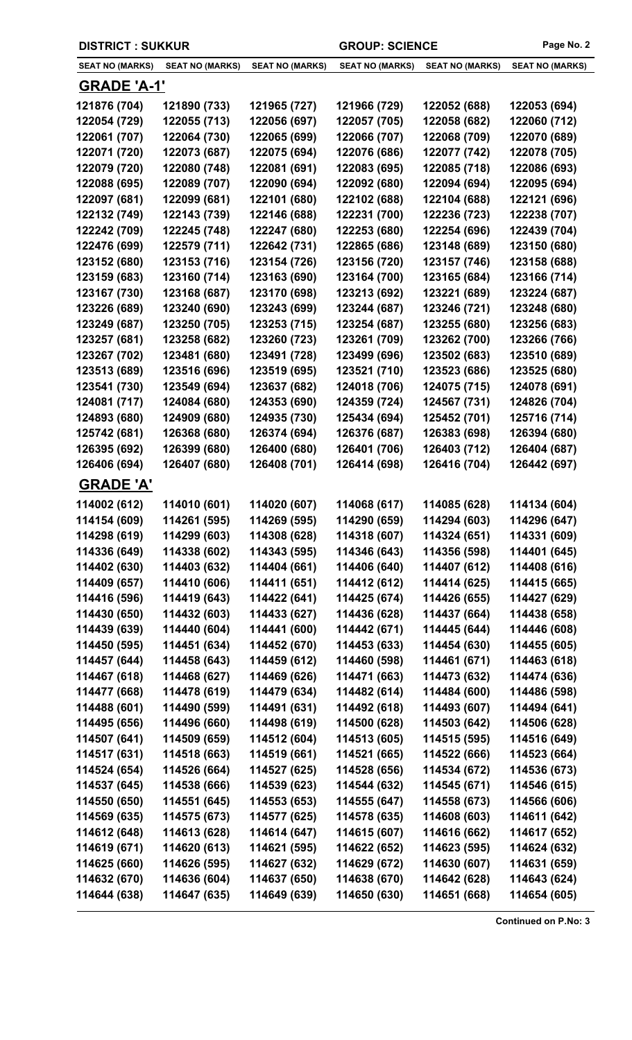| <b>DISTRICT : SUKKUR</b> |                        | <b>GROUP: SCIENCE</b>  |                        | Page No. 2             |                        |
|--------------------------|------------------------|------------------------|------------------------|------------------------|------------------------|
| <b>SEAT NO (MARKS)</b>   | <b>SEAT NO (MARKS)</b> | <b>SEAT NO (MARKS)</b> | <b>SEAT NO (MARKS)</b> | <b>SEAT NO (MARKS)</b> | <b>SEAT NO (MARKS)</b> |
| <b>GRADE 'A-1'</b>       |                        |                        |                        |                        |                        |
| 121876 (704)             | 121890 (733)           | 121965 (727)           | 121966 (729)           | 122052 (688)           | 122053 (694)           |
| 122054 (729)             | 122055 (713)           | 122056 (697)           | 122057 (705)           | 122058 (682)           | 122060 (712)           |
| 122061 (707)             | 122064 (730)           | 122065 (699)           | 122066 (707)           | 122068 (709)           | 122070 (689)           |
| 122071 (720)             | 122073 (687)           | 122075 (694)           | 122076 (686)           | 122077 (742)           | 122078 (705)           |
| 122079 (720)             | 122080 (748)           | 122081 (691)           | 122083 (695)           | 122085 (718)           | 122086 (693)           |
| 122088 (695)             | 122089 (707)           | 122090 (694)           | 122092 (680)           | 122094 (694)           | 122095 (694)           |
| 122097 (681)             | 122099 (681)           | 122101 (680)           | 122102 (688)           | 122104 (688)           | 122121 (696)           |
| 122132 (749)             | 122143 (739)           | 122146 (688)           | 122231 (700)           | 122236 (723)           | 122238 (707)           |
| 122242 (709)             | 122245 (748)           | 122247 (680)           | 122253 (680)           | 122254 (696)           | 122439 (704)           |
| 122476 (699)             | 122579 (711)           | 122642 (731)           | 122865 (686)           | 123148 (689)           | 123150 (680)           |
| 123152 (680)             | 123153 (716)           | 123154 (726)           | 123156 (720)           | 123157 (746)           | 123158 (688)           |
| 123159 (683)             | 123160 (714)           | 123163 (690)           | 123164 (700)           | 123165 (684)           | 123166 (714)           |
| 123167 (730)             | 123168 (687)           | 123170 (698)           | 123213 (692)           | 123221 (689)           | 123224 (687)           |
| 123226 (689)             | 123240 (690)           | 123243 (699)           | 123244 (687)           | 123246 (721)           | 123248 (680)           |
| 123249 (687)             | 123250 (705)           | 123253 (715)           | 123254 (687)           | 123255 (680)           | 123256 (683)           |
| 123257 (681)             | 123258 (682)           | 123260 (723)           | 123261 (709)           | 123262 (700)           | 123266 (766)           |
| 123267 (702)             | 123481 (680)           | 123491 (728)           | 123499 (696)           | 123502 (683)           | 123510 (689)           |
| 123513 (689)             | 123516 (696)           | 123519 (695)           | 123521 (710)           | 123523 (686)           | 123525 (680)           |
| 123541 (730)             | 123549 (694)           | 123637 (682)           | 124018 (706)           | 124075 (715)           | 124078 (691)           |
| 124081 (717)             | 124084 (680)           | 124353 (690)           | 124359 (724)           | 124567 (731)           | 124826 (704)           |
| 124893 (680)             | 124909 (680)           | 124935 (730)           | 125434 (694)           | 125452 (701)           | 125716 (714)           |
| 125742 (681)             | 126368 (680)           | 126374 (694)           | 126376 (687)           | 126383 (698)           | 126394 (680)           |
| 126395 (692)             | 126399 (680)           | 126400 (680)           | 126401 (706)           | 126403 (712)           | 126404 (687)           |
| 126406 (694)             | 126407 (680)           | 126408 (701)           | 126414 (698)           | 126416 (704)           | 126442 (697)           |
| <b>GRADE 'A'</b>         |                        |                        |                        |                        |                        |
| 114002 (612)             | 114010 (601)           | 114020 (607)           | 114068 (617)           | 114085 (628)           | 114134 (604)           |
| 114154 (609)             | 114261 (595)           | 114269 (595)           | 114290 (659)           | 114294 (603)           | 114296 (647)           |
| 114298 (619)             | 114299 (603)           | 114308 (628)           | 114318 (607)           | 114324 (651)           | 114331 (609)           |
| 114336 (649)             | 114338 (602)           | 114343 (595)           | 114346 (643)           | 114356 (598)           | 114401 (645)           |
| 114402 (630)             | 114403 (632)           | 114404 (661)           | 114406 (640)           | 114407 (612)           | 114408 (616)           |
| 114409 (657)             | 114410 (606)           | 114411 (651)           | 114412 (612)           | 114414 (625)           | 114415 (665)           |
| 114416 (596)             | 114419 (643)           | 114422 (641)           | 114425 (674)           | 114426 (655)           | 114427 (629)           |
| 114430 (650)             | 114432 (603)           | 114433 (627)           | 114436 (628)           | 114437 (664)           | 114438 (658)           |
| 114439 (639)             | 114440 (604)           | 114441 (600)           | 114442 (671)           | 114445 (644)           | 114446 (608)           |
| 114450 (595)             | 114451 (634)           | 114452 (670)           | 114453 (633)           | 114454 (630)           | 114455 (605)           |
| 114457 (644)             | 114458 (643)           | 114459 (612)           | 114460 (598)           | 114461 (671)           | 114463 (618)           |
| 114467 (618)             | 114468 (627)           | 114469 (626)           | 114471 (663)           | 114473 (632)           | 114474 (636)           |
| 114477 (668)             | 114478 (619)           | 114479 (634)           | 114482 (614)           | 114484 (600)           | 114486 (598)           |
| 114488 (601)             | 114490 (599)           | 114491 (631)           | 114492 (618)           | 114493 (607)           | 114494 (641)           |
| 114495 (656)             | 114496 (660)           | 114498 (619)           | 114500 (628)           | 114503 (642)           | 114506 (628)           |
| 114507 (641)             | 114509 (659)           | 114512 (604)           | 114513 (605)           | 114515 (595)           | 114516 (649)           |
| 114517 (631)             | 114518 (663)           | 114519 (661)           | 114521 (665)           | 114522 (666)           | 114523 (664)           |
| 114524 (654)             | 114526 (664)           | 114527 (625)           | 114528 (656)           | 114534 (672)           | 114536 (673)           |
| 114537 (645)             | 114538 (666)           | 114539 (623)           | 114544 (632)           | 114545 (671)           | 114546 (615)           |
| 114550 (650)             | 114551 (645)           | 114553 (653)           | 114555 (647)           | 114558 (673)           | 114566 (606)           |
| 114569 (635)             | 114575 (673)           | 114577 (625)           | 114578 (635)           | 114608 (603)           | 114611 (642)           |
| 114612 (648)             | 114613 (628)           | 114614 (647)           | 114615 (607)           | 114616 (662)           | 114617 (652)           |
| 114619 (671)             | 114620 (613)           | 114621 (595)           | 114622 (652)           | 114623 (595)           | 114624 (632)           |
| 114625 (660)             | 114626 (595)           | 114627 (632)           | 114629 (672)           | 114630 (607)           | 114631 (659)           |
| 114632 (670)             | 114636 (604)           | 114637 (650)           | 114638 (670)           | 114642 (628)           | 114643 (624)           |
| 114644 (638)             | 114647 (635)           | 114649 (639)           | 114650 (630)           | 114651 (668)           | 114654 (605)           |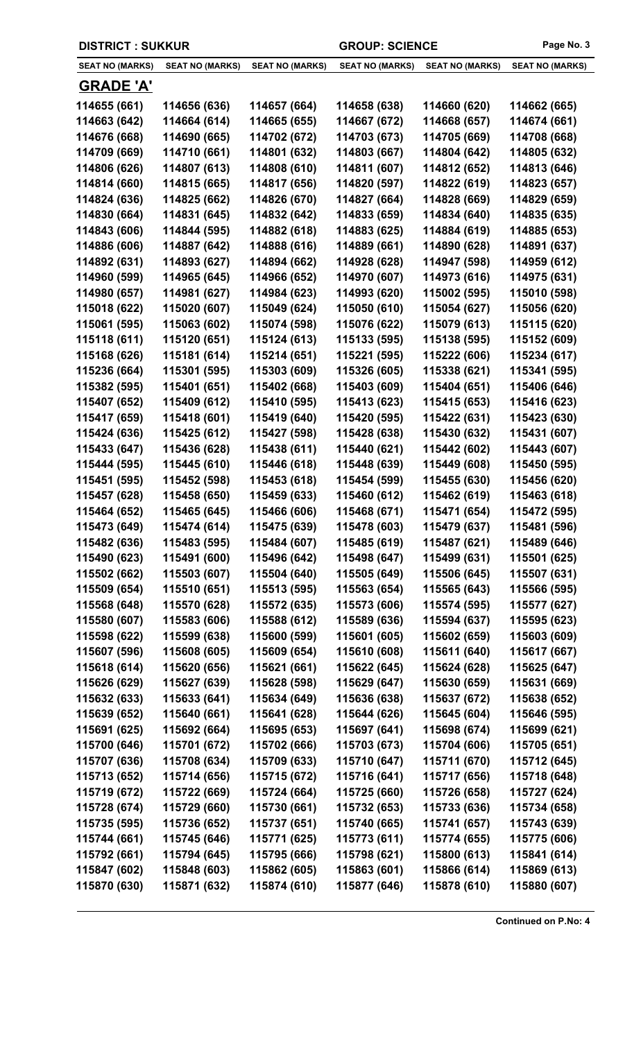|                        | <b>DISTRICT: SUKKUR</b> |                        | <b>GROUP: SCIENCE</b>  |                        | Page No. 3             |
|------------------------|-------------------------|------------------------|------------------------|------------------------|------------------------|
| <b>SEAT NO (MARKS)</b> | <b>SEAT NO (MARKS)</b>  | <b>SEAT NO (MARKS)</b> | <b>SEAT NO (MARKS)</b> | <b>SEAT NO (MARKS)</b> | <b>SEAT NO (MARKS)</b> |
| <b>GRADE 'A'</b>       |                         |                        |                        |                        |                        |
| 114655 (661)           | 114656 (636)            | 114657 (664)           | 114658 (638)           | 114660 (620)           | 114662 (665)           |
| 114663 (642)           | 114664 (614)            | 114665 (655)           | 114667 (672)           | 114668 (657)           | 114674 (661)           |
| 114676 (668)           | 114690 (665)            | 114702 (672)           | 114703 (673)           | 114705 (669)           | 114708 (668)           |
| 114709 (669)           | 114710 (661)            | 114801 (632)           | 114803 (667)           | 114804 (642)           | 114805 (632)           |
| 114806 (626)           | 114807 (613)            | 114808 (610)           | 114811 (607)           | 114812 (652)           | 114813 (646)           |
| 114814 (660)           | 114815 (665)            | 114817 (656)           | 114820 (597)           | 114822 (619)           | 114823 (657)           |
| 114824 (636)           | 114825 (662)            | 114826 (670)           | 114827 (664)           | 114828 (669)           | 114829 (659)           |
| 114830 (664)           | 114831 (645)            | 114832 (642)           | 114833 (659)           | 114834 (640)           | 114835 (635)           |
| 114843 (606)           | 114844 (595)            | 114882 (618)           | 114883 (625)           | 114884 (619)           | 114885 (653)           |
| 114886 (606)           | 114887 (642)            | 114888 (616)           | 114889 (661)           | 114890 (628)           | 114891 (637)           |
| 114892 (631)           | 114893 (627)            | 114894 (662)           | 114928 (628)           | 114947 (598)           | 114959 (612)           |
| 114960 (599)           | 114965 (645)            | 114966 (652)           | 114970 (607)           | 114973 (616)           | 114975 (631)           |
| 114980 (657)           | 114981 (627)            | 114984 (623)           | 114993 (620)           | 115002 (595)           | 115010 (598)           |
| 115018 (622)           | 115020 (607)            | 115049 (624)           | 115050 (610)           | 115054 (627)           | 115056 (620)           |
| 115061 (595)           | 115063 (602)            | 115074 (598)           | 115076 (622)           | 115079 (613)           | 115115 (620)           |
| 115118 (611)           | 115120 (651)            | 115124 (613)           | 115133 (595)           | 115138 (595)           | 115152 (609)           |
| 115168 (626)           | 115181 (614)            | 115214 (651)           | 115221 (595)           | 115222 (606)           | 115234 (617)           |
| 115236 (664)           | 115301 (595)            | 115303 (609)           | 115326 (605)           | 115338 (621)           | 115341 (595)           |
| 115382 (595)           | 115401 (651)            | 115402 (668)           | 115403 (609)           | 115404 (651)           | 115406 (646)           |
| 115407 (652)           | 115409 (612)            | 115410 (595)           | 115413 (623)           | 115415 (653)           | 115416 (623)           |
| 115417 (659)           | 115418 (601)            | 115419 (640)           | 115420 (595)           | 115422 (631)           | 115423 (630)           |
| 115424 (636)           | 115425 (612)            | 115427 (598)           | 115428 (638)           | 115430 (632)           | 115431 (607)           |
| 115433 (647)           | 115436 (628)            | 115438 (611)           | 115440 (621)           | 115442 (602)           | 115443 (607)           |
| 115444 (595)           | 115445 (610)            | 115446 (618)           | 115448 (639)           | 115449 (608)           | 115450 (595)           |
| 115451 (595)           | 115452 (598)            | 115453 (618)           | 115454 (599)           | 115455 (630)           | 115456 (620)           |
| 115457 (628)           | 115458 (650)            | 115459 (633)           | 115460 (612)           | 115462 (619)           | 115463 (618)           |
| 115464 (652)           | 115465 (645)            | 115466 (606)           | 115468 (671)           | 115471 (654)           | 115472 (595)           |
| 115473 (649)           | 115474 (614)            | 115475 (639)           | 115478 (603)           | 115479 (637)           | 115481 (596)           |
| 115482 (636)           | 115483 (595)            | 115484 (607)           | 115485 (619)           | 115487 (621)           | 115489 (646)           |
| 115490 (623)           | 115491 (600)            | 115496 (642)           | 115498 (647)           | 115499 (631)           | 115501 (625)           |
| 115502 (662)           | 115503 (607)            | 115504 (640)           | 115505 (649)           | 115506 (645)           | 115507 (631)           |
| 115509 (654)           | 115510 (651)            | 115513 (595)           | 115563 (654)           | 115565 (643)           | 115566 (595)           |
| 115568 (648)           | 115570 (628)            | 115572 (635)           | 115573 (606)           | 115574 (595)           | 115577 (627)           |
| 115580 (607)           | 115583 (606)            | 115588 (612)           | 115589 (636)           | 115594 (637)           | 115595 (623)           |
| 115598 (622)           | 115599 (638)            | 115600 (599)           | 115601 (605)           | 115602 (659)           | 115603 (609)           |
| 115607 (596)           | 115608 (605)            | 115609 (654)           | 115610 (608)           | 115611 (640)           | 115617 (667)           |
| 115618 (614)           | 115620 (656)            | 115621 (661)           | 115622 (645)           | 115624 (628)           | 115625 (647)           |
| 115626 (629)           | 115627 (639)            | 115628 (598)           | 115629 (647)           | 115630 (659)           | 115631 (669)           |
| 115632 (633)           | 115633 (641)            | 115634 (649)           | 115636 (638)           | 115637 (672)           | 115638 (652)           |
| 115639 (652)           | 115640 (661)            | 115641 (628)           | 115644 (626)           | 115645 (604)           | 115646 (595)           |
| 115691 (625)           | 115692 (664)            | 115695 (653)           | 115697 (641)           | 115698 (674)           | 115699 (621)           |
| 115700 (646)           | 115701 (672)            | 115702 (666)           | 115703 (673)           | 115704 (606)           | 115705 (651)           |
| 115707 (636)           | 115708 (634)            | 115709 (633)           | 115710 (647)           | 115711 (670)           | 115712 (645)           |
| 115713 (652)           | 115714 (656)            | 115715 (672)           | 115716 (641)           | 115717 (656)           | 115718 (648)           |
| 115719 (672)           | 115722 (669)            | 115724 (664)           | 115725 (660)           | 115726 (658)           | 115727 (624)           |
| 115728 (674)           | 115729 (660)            | 115730 (661)           | 115732 (653)           | 115733 (636)           | 115734 (658)           |
| 115735 (595)           | 115736 (652)            | 115737 (651)           | 115740 (665)           | 115741 (657)           | 115743 (639)           |
| 115744 (661)           | 115745 (646)            | 115771 (625)           | 115773 (611)           | 115774 (655)           | 115775 (606)           |
| 115792 (661)           | 115794 (645)            | 115795 (666)           | 115798 (621)           | 115800 (613)           | 115841 (614)           |
| 115847 (602)           | 115848 (603)            | 115862 (605)           | 115863 (601)           | 115866 (614)           | 115869 (613)           |
| 115870 (630)           | 115871 (632)            | 115874 (610)           | 115877 (646)           | 115878 (610)           | 115880 (607)           |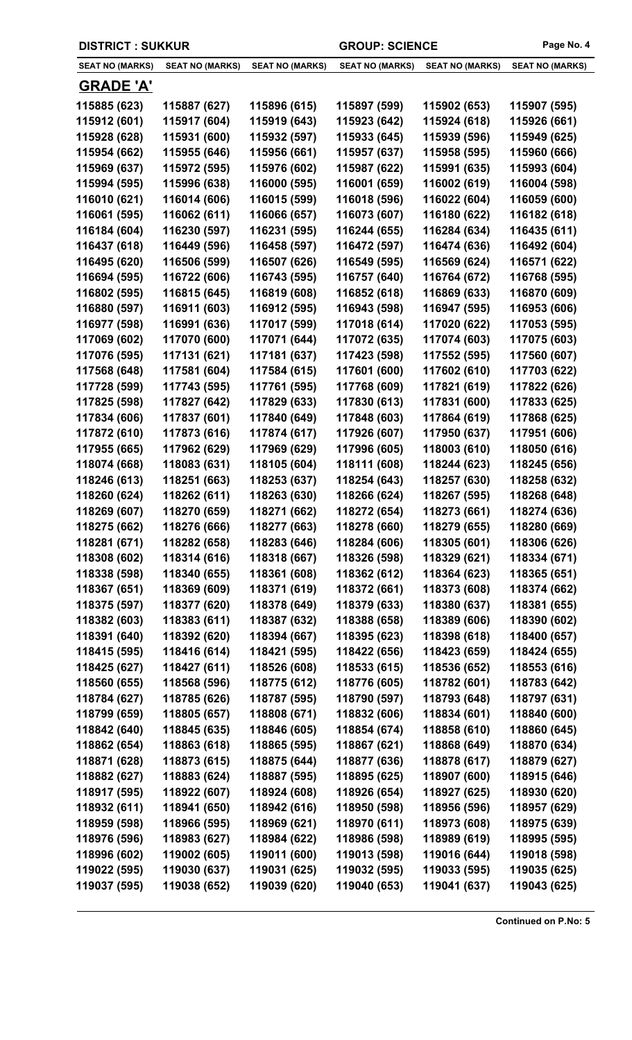| <b>SEAT NO (MARKS)</b> | <b>SEAT NO (MARKS)</b> | <b>SEAT NO (MARKS)</b> | <b>SEAT NO (MARKS)</b> | <b>SEAT NO (MARKS)</b> | <b>SEAT NO (MARKS)</b> |
|------------------------|------------------------|------------------------|------------------------|------------------------|------------------------|
| <b>GRADE 'A'</b>       |                        |                        |                        |                        |                        |
| 115885 (623)           | 115887 (627)           | 115896 (615)           | 115897 (599)           | 115902 (653)           | 115907 (595)           |
| 115912 (601)           | 115917 (604)           | 115919 (643)           | 115923 (642)           | 115924 (618)           | 115926 (661)           |
| 115928 (628)           | 115931 (600)           | 115932 (597)           | 115933 (645)           | 115939 (596)           | 115949 (625)           |
| 115954 (662)           | 115955 (646)           | 115956 (661)           | 115957 (637)           | 115958 (595)           | 115960 (666)           |
| 115969 (637)           | 115972 (595)           | 115976 (602)           | 115987 (622)           | 115991 (635)           | 115993 (604)           |
| 115994 (595)           | 115996 (638)           | 116000 (595)           | 116001 (659)           | 116002 (619)           | 116004 (598)           |
| 116010 (621)           | 116014 (606)           | 116015 (599)           | 116018 (596)           | 116022 (604)           | 116059 (600)           |
| 116061 (595)           | 116062 (611)           | 116066 (657)           | 116073 (607)           | 116180 (622)           | 116182 (618)           |
| 116184 (604)           | 116230 (597)           | 116231 (595)           | 116244 (655)           | 116284 (634)           | 116435 (611)           |
| 116437 (618)           | 116449 (596)           | 116458 (597)           | 116472 (597)           | 116474 (636)           | 116492 (604)           |
| 116495 (620)           | 116506 (599)           | 116507 (626)           | 116549 (595)           | 116569 (624)           | 116571 (622)           |
| 116694 (595)           | 116722 (606)           | 116743 (595)           | 116757 (640)           | 116764 (672)           | 116768 (595)           |
| 116802 (595)           | 116815 (645)           | 116819 (608)           | 116852 (618)           | 116869 (633)           | 116870 (609)           |
| 116880 (597)           | 116911 (603)           | 116912 (595)           | 116943 (598)           | 116947 (595)           | 116953 (606)           |
| 116977 (598)           | 116991 (636)           | 117017 (599)           | 117018 (614)           | 117020 (622)           | 117053 (595)           |
| 117069 (602)           | 117070 (600)           | 117071 (644)           | 117072 (635)           | 117074 (603)           | 117075 (603)           |
| 117076 (595)           | 117131 (621)           | 117181 (637)           | 117423 (598)           | 117552 (595)           | 117560 (607)           |
| 117568 (648)           | 117581 (604)           | 117584 (615)           | 117601 (600)           | 117602 (610)           | 117703 (622)           |
| 117728 (599)           | 117743 (595)           | 117761 (595)           | 117768 (609)           | 117821 (619)           | 117822 (626)           |
| 117825 (598)           | 117827 (642)           | 117829 (633)           | 117830 (613)           | 117831 (600)           | 117833 (625)           |
| 117834 (606)           | 117837 (601)           | 117840 (649)           | 117848 (603)           | 117864 (619)           | 117868 (625)           |
| 117872 (610)           | 117873 (616)           | 117874 (617)           | 117926 (607)           | 117950 (637)           | 117951 (606)           |
| 117955 (665)           | 117962 (629)           | 117969 (629)           | 117996 (605)           | 118003 (610)           | 118050 (616)           |
| 118074 (668)           | 118083 (631)           | 118105 (604)           | 118111 (608)           | 118244 (623)           | 118245 (656)           |
| 118246 (613)           | 118251 (663)           | 118253 (637)           | 118254 (643)           | 118257 (630)           | 118258 (632)           |
| 118260 (624)           | 118262 (611)           | 118263 (630)           | 118266 (624)           | 118267 (595)           | 118268 (648)           |
| 118269 (607)           | 118270 (659)           | 118271 (662)           | 118272 (654)           | 118273 (661)           | 118274 (636)           |
| 118275 (662)           | 118276 (666)           | 118277 (663)           | 118278 (660)           | 118279 (655)           | 118280 (669)           |
| 118281 (671)           | 118282 (658)           | 118283 (646)           | 118284 (606)           | 118305 (601)           | 118306 (626)           |
| 118308 (602)           | 118314 (616)           | 118318 (667)           | 118326 (598)           | 118329 (621)           | 118334 (671)           |
| 118338 (598)           | 118340 (655)           | 118361 (608)           | 118362 (612)           | 118364 (623)           | 118365 (651)           |
| 118367 (651)           | 118369 (609)           | 118371 (619)           | 118372 (661)           | 118373 (608)           | 118374 (662)           |
| 118375 (597)           | 118377 (620)           | 118378 (649)           | 118379 (633)           | 118380 (637)           | 118381 (655)           |
| 118382 (603)           | 118383 (611)           | 118387 (632)           | 118388 (658)           | 118389 (606)           | 118390 (602)           |
| 118391 (640)           | 118392 (620)           | 118394 (667)           | 118395 (623)           | 118398 (618)           | 118400 (657)           |
| 118415 (595)           | 118416 (614)           | 118421 (595)           | 118422 (656)           | 118423 (659)           | 118424 (655)           |
| 118425 (627)           | 118427 (611)           | 118526 (608)           | 118533 (615)           | 118536 (652)           | 118553 (616)           |
| 118560 (655)           | 118568 (596)           | 118775 (612)           | 118776 (605)           | 118782 (601)           | 118783 (642)           |
| 118784 (627)           | 118785 (626)           | 118787 (595)           | 118790 (597)           | 118793 (648)           | 118797 (631)           |
| 118799 (659)           | 118805 (657)           | 118808 (671)           | 118832 (606)           | 118834 (601)           | 118840 (600)           |
| 118842 (640)           | 118845 (635)           | 118846 (605)           | 118854 (674)           | 118858 (610)           | 118860 (645)           |
| 118862 (654)           | 118863 (618)           | 118865 (595)           | 118867 (621)           | 118868 (649)           | 118870 (634)           |
| 118871 (628)           | 118873 (615)           | 118875 (644)           | 118877 (636)           | 118878 (617)           | 118879 (627)           |
| 118882 (627)           | 118883 (624)           | 118887 (595)           | 118895 (625)           | 118907 (600)           | 118915 (646)           |
| 118917 (595)           | 118922 (607)           | 118924 (608)           | 118926 (654)           | 118927 (625)           | 118930 (620)           |
| 118932 (611)           | 118941 (650)           | 118942 (616)           | 118950 (598)           | 118956 (596)           | 118957 (629)           |
| 118959 (598)           | 118966 (595)           | 118969 (621)           | 118970 (611)           | 118973 (608)           | 118975 (639)           |
| 118976 (596)           | 118983 (627)           | 118984 (622)           | 118986 (598)           | 118989 (619)           | 118995 (595)           |
| 118996 (602)           | 119002 (605)           | 119011 (600)           | 119013 (598)           | 119016 (644)           | 119018 (598)           |
| 119022 (595)           | 119030 (637)           | 119031 (625)           | 119032 (595)           | 119033 (595)           | 119035 (625)           |
| 119037 (595)           | 119038 (652)           | 119039 (620)           | 119040 (653)           | 119041 (637)           | 119043 (625)           |

**DISTRICT : SUKKUR GROUP: SCIENCE Page No. 4**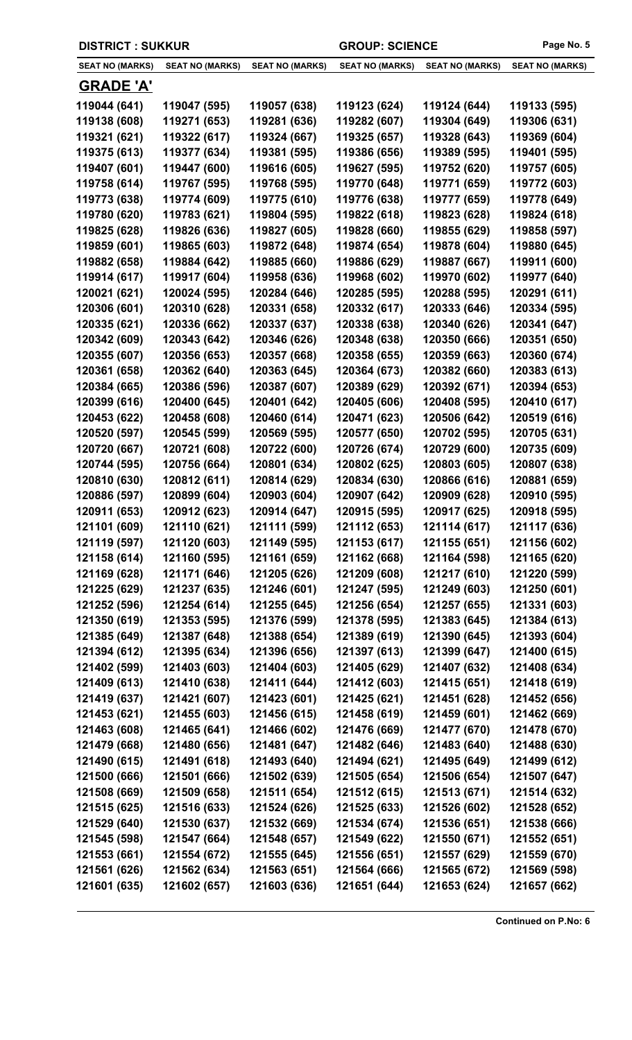| <b>DISTRICT: SUKKUR</b> |                        |                        | <b>GROUP: SCIENCE</b>  |                        | Page No. 5             |
|-------------------------|------------------------|------------------------|------------------------|------------------------|------------------------|
| <b>SEAT NO (MARKS)</b>  | <b>SEAT NO (MARKS)</b> | <b>SEAT NO (MARKS)</b> | <b>SEAT NO (MARKS)</b> | <b>SEAT NO (MARKS)</b> | <b>SEAT NO (MARKS)</b> |
| <b>GRADE 'A'</b>        |                        |                        |                        |                        |                        |
| 119044 (641)            | 119047 (595)           | 119057 (638)           | 119123 (624)           | 119124 (644)           | 119133 (595)           |
| 119138 (608)            | 119271 (653)           | 119281 (636)           | 119282 (607)           | 119304 (649)           | 119306 (631)           |
| 119321 (621)            | 119322 (617)           | 119324 (667)           | 119325 (657)           | 119328 (643)           | 119369 (604)           |
| 119375 (613)            | 119377 (634)           | 119381 (595)           | 119386 (656)           | 119389 (595)           | 119401 (595)           |
| 119407 (601)            | 119447 (600)           | 119616 (605)           | 119627 (595)           | 119752 (620)           | 119757 (605)           |
| 119758 (614)            | 119767 (595)           | 119768 (595)           | 119770 (648)           | 119771 (659)           | 119772 (603)           |
| 119773 (638)            | 119774 (609)           | 119775 (610)           | 119776 (638)           | 119777 (659)           | 119778 (649)           |
| 119780 (620)            | 119783 (621)           | 119804 (595)           | 119822 (618)           | 119823 (628)           | 119824 (618)           |
| 119825 (628)            | 119826 (636)           | 119827 (605)           | 119828 (660)           | 119855 (629)           | 119858 (597)           |
| 119859 (601)            | 119865 (603)           | 119872 (648)           | 119874 (654)           | 119878 (604)           | 119880 (645)           |
| 119882 (658)            | 119884 (642)           | 119885 (660)           | 119886 (629)           | 119887 (667)           | 119911 (600)           |
| 119914 (617)            | 119917 (604)           | 119958 (636)           | 119968 (602)           | 119970 (602)           | 119977 (640)           |
| 120021 (621)            | 120024 (595)           | 120284 (646)           | 120285 (595)           | 120288 (595)           | 120291 (611)           |
| 120306 (601)            | 120310 (628)           | 120331 (658)           | 120332 (617)           | 120333 (646)           | 120334 (595)           |
| 120335 (621)            | 120336 (662)           | 120337 (637)           | 120338 (638)           | 120340 (626)           | 120341 (647)           |
| 120342 (609)            | 120343 (642)           | 120346 (626)           | 120348 (638)           | 120350 (666)           | 120351 (650)           |
| 120355 (607)            | 120356 (653)           | 120357 (668)           | 120358 (655)           | 120359 (663)           | 120360 (674)           |
| 120361 (658)            | 120362 (640)           | 120363 (645)           | 120364 (673)           | 120382 (660)           | 120383 (613)           |
| 120384 (665)            | 120386 (596)           | 120387 (607)           | 120389 (629)           | 120392 (671)           | 120394 (653)           |
| 120399 (616)            | 120400 (645)           | 120401 (642)           | 120405 (606)           | 120408 (595)           | 120410 (617)           |
| 120453 (622)            | 120458 (608)           | 120460 (614)           | 120471 (623)           | 120506 (642)           | 120519 (616)           |
| 120520 (597)            | 120545 (599)           | 120569 (595)           | 120577 (650)           | 120702 (595)           | 120705 (631)           |
| 120720 (667)            | 120721 (608)           | 120722 (600)           | 120726 (674)           | 120729 (600)           | 120735 (609)           |
| 120744 (595)            | 120756 (664)           | 120801 (634)           | 120802 (625)           | 120803 (605)           | 120807 (638)           |
| 120810 (630)            | 120812 (611)           | 120814 (629)           | 120834 (630)           | 120866 (616)           | 120881 (659)           |
| 120886 (597)            | 120899 (604)           | 120903 (604)           | 120907 (642)           | 120909 (628)           | 120910 (595)           |
| 120911 (653)            | 120912 (623)           | 120914 (647)           | 120915 (595)           | 120917 (625)           | 120918 (595)           |
| 121101 (609)            | 121110 (621)           | 121111 (599)           | 121112 (653)           | 121114 (617)           | 121117 (636)           |
| 121119 (597)            | 121120 (603)           | 121149 (595)           | 121153 (617)           | 121155 (651)           | 121156 (602)           |
| 121158 (614)            | 121160 (595)           | 121161 (659)           | 121162 (668)           | 121164 (598)           | 121165 (620)           |
| 121169 (628)            | 121171 (646)           | 121205 (626)           | 121209 (608)           | 121217 (610)           | 121220 (599)           |
| 121225 (629)            | 121237 (635)           | 121246 (601)           | 121247 (595)           | 121249 (603)           | 121250 (601)           |
| 121252 (596)            | 121254 (614)           | 121255 (645)           | 121256 (654)           | 121257 (655)           | 121331 (603)           |
| 121350 (619)            | 121353 (595)           | 121376 (599)           | 121378 (595)           | 121383 (645)           | 121384 (613)           |
| 121385 (649)            | 121387 (648)           | 121388 (654)           | 121389 (619)           | 121390 (645)           | 121393 (604)           |
| 121394 (612)            | 121395 (634)           | 121396 (656)           | 121397 (613)           | 121399 (647)           | 121400 (615)           |
| 121402 (599)            | 121403 (603)           | 121404 (603)           | 121405 (629)           | 121407 (632)           | 121408 (634)           |
| 121409 (613)            | 121410 (638)           | 121411 (644)           | 121412 (603)           | 121415 (651)           | 121418 (619)           |
| 121419 (637)            | 121421 (607)           | 121423 (601)           | 121425 (621)           | 121451 (628)           | 121452 (656)           |
| 121453 (621)            | 121455 (603)           | 121456 (615)           | 121458 (619)           | 121459 (601)           | 121462 (669)           |
| 121463 (608)            | 121465 (641)           | 121466 (602)           | 121476 (669)           | 121477 (670)           | 121478 (670)           |
| 121479 (668)            | 121480 (656)           | 121481 (647)           | 121482 (646)           | 121483 (640)           | 121488 (630)           |
| 121490 (615)            | 121491 (618)           | 121493 (640)           | 121494 (621)           | 121495 (649)           | 121499 (612)           |
| 121500 (666)            | 121501 (666)           | 121502 (639)           | 121505 (654)           | 121506 (654)           | 121507 (647)           |
| 121508 (669)            | 121509 (658)           | 121511 (654)           | 121512 (615)           | 121513 (671)           | 121514 (632)           |
| 121515 (625)            | 121516 (633)           | 121524 (626)           | 121525 (633)           | 121526 (602)           | 121528 (652)           |
| 121529 (640)            | 121530 (637)           | 121532 (669)           | 121534 (674)           | 121536 (651)           | 121538 (666)           |
| 121545 (598)            | 121547 (664)           | 121548 (657)           | 121549 (622)           | 121550 (671)           | 121552 (651)           |
| 121553 (661)            | 121554 (672)           | 121555 (645)           | 121556 (651)           | 121557 (629)           | 121559 (670)           |
| 121561 (626)            | 121562 (634)           | 121563 (651)           | 121564 (666)           | 121565 (672)           | 121569 (598)           |
| 121601 (635)            | 121602 (657)           | 121603 (636)           | 121651 (644)           | 121653 (624)           | 121657 (662)           |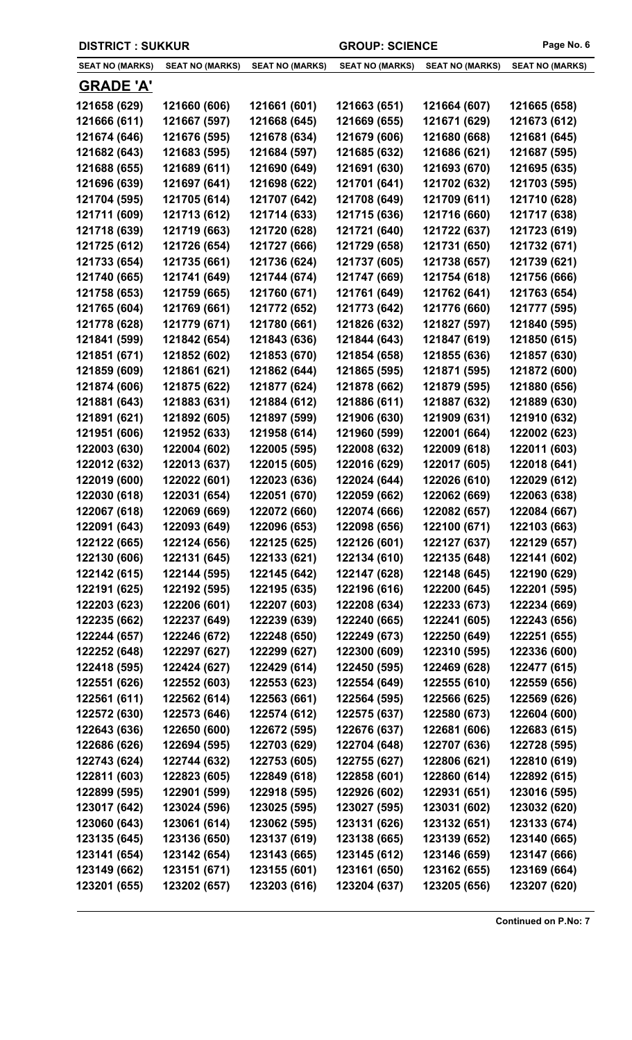| <b>DISTRICT : SUKKUR</b> |                              | <b>GROUP: SCIENCE</b>        | Page No. 6             |                              |                              |
|--------------------------|------------------------------|------------------------------|------------------------|------------------------------|------------------------------|
| <b>SEAT NO (MARKS)</b>   | <b>SEAT NO (MARKS)</b>       | <b>SEAT NO (MARKS)</b>       | <b>SEAT NO (MARKS)</b> | <b>SEAT NO (MARKS)</b>       | <b>SEAT NO (MARKS)</b>       |
| <u>GRADE 'A'</u>         |                              |                              |                        |                              |                              |
| 121658 (629)             | 121660 (606)                 | 121661 (601)                 | 121663 (651)           | 121664 (607)                 | 121665 (658)                 |
| 121666 (611)             | 121667 (597)                 | 121668 (645)                 | 121669 (655)           | 121671 (629)                 | 121673 (612)                 |
| 121674 (646)             | 121676 (595)                 | 121678 (634)                 | 121679 (606)           | 121680 (668)                 | 121681 (645)                 |
| 121682 (643)             | 121683 (595)                 | 121684 (597)                 | 121685 (632)           | 121686 (621)                 | 121687 (595)                 |
| 121688 (655)             | 121689 (611)                 | 121690 (649)                 | 121691 (630)           | 121693 (670)                 | 121695 (635)                 |
| 121696 (639)             | 121697 (641)                 | 121698 (622)                 | 121701 (641)           | 121702 (632)                 | 121703 (595)                 |
| 121704 (595)             | 121705 (614)                 | 121707 (642)                 | 121708 (649)           | 121709 (611)                 | 121710 (628)                 |
| 121711 (609)             | 121713 (612)                 | 121714 (633)                 | 121715 (636)           | 121716 (660)                 | 121717 (638)                 |
| 121718 (639)             | 121719 (663)                 | 121720 (628)                 | 121721 (640)           | 121722 (637)                 | 121723 (619)                 |
| 121725 (612)             | 121726 (654)                 | 121727 (666)                 | 121729 (658)           | 121731 (650)                 | 121732 (671)                 |
| 121733 (654)             | 121735 (661)                 | 121736 (624)                 | 121737 (605)           | 121738 (657)                 | 121739 (621)                 |
| 121740 (665)             | 121741 (649)                 | 121744 (674)                 | 121747 (669)           | 121754 (618)                 | 121756 (666)                 |
| 121758 (653)             | 121759 (665)                 | 121760 (671)                 | 121761 (649)           | 121762 (641)                 | 121763 (654)                 |
| 121765 (604)             | 121769 (661)                 | 121772 (652)                 | 121773 (642)           | 121776 (660)                 | 121777 (595)                 |
| 121778 (628)             | 121779 (671)                 | 121780 (661)                 | 121826 (632)           | 121827 (597)                 | 121840 (595)                 |
| 121841 (599)             | 121842 (654)                 | 121843 (636)                 | 121844 (643)           | 121847 (619)                 | 121850 (615)                 |
| 121851 (671)             | 121852 (602)                 | 121853 (670)                 | 121854 (658)           | 121855 (636)                 | 121857 (630)                 |
| 121859 (609)             | 121861 (621)                 | 121862 (644)                 | 121865 (595)           | 121871 (595)                 | 121872 (600)                 |
| 121874 (606)             | 121875 (622)                 | 121877 (624)                 | 121878 (662)           | 121879 (595)                 | 121880 (656)                 |
| 121881 (643)             | 121883 (631)                 | 121884 (612)                 | 121886 (611)           | 121887 (632)                 | 121889 (630)                 |
| 121891 (621)             | 121892 (605)                 | 121897 (599)                 | 121906 (630)           | 121909 (631)                 | 121910 (632)                 |
| 121951 (606)             | 121952 (633)                 | 121958 (614)                 | 121960 (599)           | 122001 (664)                 | 122002 (623)                 |
| 122003 (630)             | 122004 (602)                 | 122005 (595)                 | 122008 (632)           | 122009 (618)                 | 122011 (603)                 |
| 122012 (632)             |                              | 122015 (605)                 | 122016 (629)           |                              |                              |
| 122019 (600)             | 122013 (637)                 |                              | 122024 (644)           | 122017 (605)<br>122026 (610) | 122018 (641)                 |
|                          | 122022 (601)<br>122031 (654) | 122023 (636)<br>122051 (670) |                        | 122062 (669)                 | 122029 (612)<br>122063 (638) |
| 122030 (618)             |                              |                              | 122059 (662)           |                              |                              |
| 122067 (618)             | 122069 (669)                 | 122072 (660)                 | 122074 (666)           | 122082 (657)                 | 122084 (667)                 |
| 122091 (643)             | 122093 (649)                 | 122096 (653)                 | 122098 (656)           | 122100 (671)                 | 122103 (663)                 |
| 122122 (665)             | 122124 (656)                 | 122125 (625)                 | 122126 (601)           | 122127 (637)                 | 122129 (657)                 |
| 122130 (606)             | 122131 (645)                 | 122133 (621)                 | 122134 (610)           | 122135 (648)                 | 122141 (602)                 |
| 122142 (615)             | 122144 (595)                 | 122145 (642)                 | 122147 (628)           | 122148 (645)                 | 122190 (629)                 |
| 122191 (625)             | 122192 (595)                 | 122195 (635)                 | 122196 (616)           | 122200 (645)                 | 122201 (595)                 |
| 122203 (623)             | 122206 (601)                 | 122207 (603)                 | 122208 (634)           | 122233 (673)                 | 122234 (669)                 |
| 122235 (662)             | 122237 (649)                 | 122239 (639)                 | 122240 (665)           | 122241 (605)                 | 122243 (656)                 |
| 122244 (657)             | 122246 (672)                 | 122248 (650)                 | 122249 (673)           | 122250 (649)                 | 122251 (655)                 |
| 122252 (648)             | 122297 (627)                 | 122299 (627)                 | 122300 (609)           | 122310 (595)                 | 122336 (600)                 |
| 122418 (595)             | 122424 (627)                 | 122429 (614)                 | 122450 (595)           | 122469 (628)                 | 122477 (615)                 |
| 122551 (626)             | 122552 (603)                 | 122553 (623)                 | 122554 (649)           | 122555 (610)                 | 122559 (656)                 |
| 122561 (611)             | 122562 (614)                 | 122563 (661)                 | 122564 (595)           | 122566 (625)                 | 122569 (626)                 |
| 122572 (630)             | 122573 (646)                 | 122574 (612)                 | 122575 (637)           | 122580 (673)                 | 122604 (600)                 |
| 122643 (636)             | 122650 (600)                 | 122672 (595)                 | 122676 (637)           | 122681 (606)                 | 122683 (615)                 |
| 122686 (626)             | 122694 (595)                 | 122703 (629)                 | 122704 (648)           | 122707 (636)                 | 122728 (595)                 |
| 122743 (624)             | 122744 (632)                 | 122753 (605)                 | 122755 (627)           | 122806 (621)                 | 122810 (619)                 |
| 122811 (603)             | 122823 (605)                 | 122849 (618)                 | 122858 (601)           | 122860 (614)                 | 122892 (615)                 |
| 122899 (595)             | 122901 (599)                 | 122918 (595)                 | 122926 (602)           | 122931 (651)                 | 123016 (595)                 |
| 123017 (642)             | 123024 (596)                 | 123025 (595)                 | 123027 (595)           | 123031 (602)                 | 123032 (620)                 |
| 123060 (643)             | 123061 (614)                 | 123062 (595)                 | 123131 (626)           | 123132 (651)                 | 123133 (674)                 |

**123135 (645) 123136 (650) 123137 (619) 123138 (665) 123139 (652) 123140 (665) 123141 (654) 123142 (654) 123143 (665) 123145 (612) 123146 (659) 123147 (666) 123149 (662) 123151 (671) 123155 (601) 123161 (650) 123162 (655) 123169 (664) 123201 (655) 123202 (657) 123203 (616) 123204 (637) 123205 (656) 123207 (620)**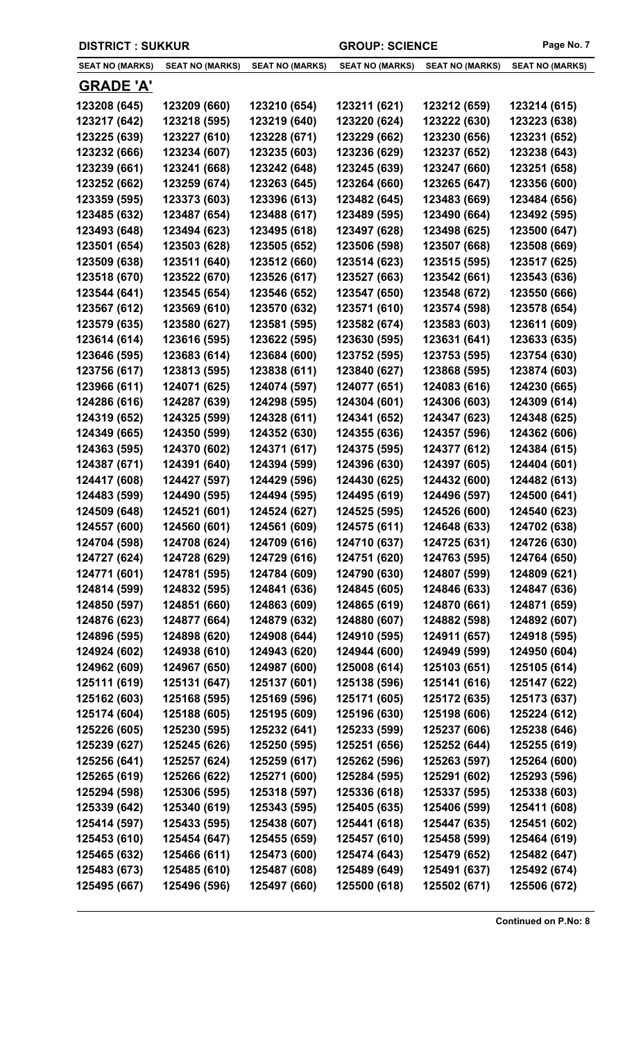|  | <b>DISTRICT : SUKKUR</b> |
|--|--------------------------|
|--|--------------------------|

GROUP: SCIENCE Page No. 7

 $\overline{\phantom{0}}$ 

| <b>SEAT NO (MARKS)</b> | <b>SEAT NO (MARKS)</b>       | <b>SEAT NO (MARKS)</b> | <b>SEAT NO (MARKS)</b> | <b>SEAT NO (MARKS)</b>       | <b>SEAT NO (MARKS)</b>       |
|------------------------|------------------------------|------------------------|------------------------|------------------------------|------------------------------|
| <b>GRADE 'A'</b>       |                              |                        |                        |                              |                              |
| 123208 (645)           | 123209 (660)                 | 123210 (654)           | 123211 (621)           | 123212 (659)                 | 123214 (615)                 |
| 123217 (642)           | 123218 (595)                 | 123219 (640)           | 123220 (624)           | 123222 (630)                 | 123223 (638)                 |
| 123225 (639)           | 123227 (610)                 | 123228 (671)           | 123229 (662)           | 123230 (656)                 | 123231 (652)                 |
| 123232 (666)           | 123234 (607)                 | 123235 (603)           | 123236 (629)           | 123237 (652)                 | 123238 (643)                 |
| 123239 (661)           | 123241 (668)                 | 123242 (648)           | 123245 (639)           | 123247 (660)                 | 123251 (658)                 |
| 123252 (662)           | 123259 (674)                 | 123263 (645)           | 123264 (660)           | 123265 (647)                 | 123356 (600)                 |
| 123359 (595)           | 123373 (603)                 | 123396 (613)           | 123482 (645)           | 123483 (669)                 | 123484 (656)                 |
| 123485 (632)           | 123487 (654)                 | 123488 (617)           | 123489 (595)           | 123490 (664)                 | 123492 (595)                 |
| 123493 (648)           | 123494 (623)                 | 123495 (618)           | 123497 (628)           | 123498 (625)                 | 123500 (647)                 |
| 123501 (654)           | 123503 (628)                 | 123505 (652)           | 123506 (598)           | 123507 (668)                 | 123508 (669)                 |
| 123509 (638)           | 123511 (640)                 | 123512 (660)           | 123514 (623)           | 123515 (595)                 | 123517 (625)                 |
| 123518 (670)           | 123522 (670)                 | 123526 (617)           | 123527 (663)           | 123542 (661)                 | 123543 (636)                 |
| 123544 (641)           | 123545 (654)                 | 123546 (652)           | 123547 (650)           | 123548 (672)                 | 123550 (666)                 |
| 123567 (612)           | 123569 (610)                 | 123570 (632)           | 123571 (610)           | 123574 (598)                 | 123578 (654)                 |
| 123579 (635)           | 123580 (627)                 | 123581 (595)           | 123582 (674)           | 123583 (603)                 | 123611 (609)                 |
| 123614 (614)           | 123616 (595)                 | 123622 (595)           | 123630 (595)           | 123631 (641)                 | 123633 (635)                 |
| 123646 (595)           | 123683 (614)                 | 123684 (600)           | 123752 (595)           | 123753 (595)                 | 123754 (630)                 |
| 123756 (617)           | 123813 (595)                 | 123838 (611)           | 123840 (627)           | 123868 (595)                 | 123874 (603)                 |
| 123966 (611)           | 124071 (625)                 | 124074 (597)           | 124077 (651)           | 124083 (616)                 | 124230 (665)                 |
| 124286 (616)           | 124287 (639)                 | 124298 (595)           | 124304 (601)           | 124306 (603)                 | 124309 (614)                 |
| 124319 (652)           | 124325 (599)                 | 124328 (611)           | 124341 (652)           | 124347 (623)                 | 124348 (625)                 |
| 124349 (665)           | 124350 (599)                 | 124352 (630)           | 124355 (636)           | 124357 (596)                 | 124362 (606)                 |
| 124363 (595)           | 124370 (602)                 | 124371 (617)           | 124375 (595)           | 124377 (612)                 | 124384 (615)                 |
| 124387 (671)           | 124391 (640)                 | 124394 (599)           | 124396 (630)           | 124397 (605)                 |                              |
|                        | 124427 (597)                 | 124429 (596)           |                        |                              | 124404 (601)                 |
| 124417 (608)           |                              |                        | 124430 (625)           | 124432 (600)                 | 124482 (613)                 |
| 124483 (599)           | 124490 (595)<br>124521 (601) | 124494 (595)           | 124495 (619)           | 124496 (597)<br>124526 (600) | 124500 (641)<br>124540 (623) |
| 124509 (648)           |                              | 124524 (627)           | 124525 (595)           |                              |                              |
| 124557 (600)           | 124560 (601)                 | 124561 (609)           | 124575 (611)           | 124648 (633)                 | 124702 (638)                 |
| 124704 (598)           | 124708 (624)                 | 124709 (616)           | 124710 (637)           | 124725 (631)                 | 124726 (630)                 |
| 124727 (624)           | 124728 (629)                 | 124729 (616)           | 124751 (620)           | 124763 (595)                 | 124764 (650)                 |
| 124771 (601)           | 124781 (595)                 | 124784 (609)           | 124790 (630)           | 124807 (599)                 | 124809 (621)                 |
| 124814 (599)           | 124832 (595)                 | 124841 (636)           | 124845 (605)           | 124846 (633)                 | 124847 (636)                 |
| 124850 (597)           | 124851 (660)                 | 124863 (609)           | 124865 (619)           | 124870 (661)                 | 124871 (659)                 |
| 124876 (623)           | 124877 (664)                 | 124879 (632)           | 124880 (607)           | 124882 (598)                 | 124892 (607)                 |
| 124896 (595)           | 124898 (620)                 | 124908 (644)           | 124910 (595)           | 124911 (657)                 | 124918 (595)                 |
| 124924 (602)           | 124938 (610)                 | 124943 (620)           | 124944 (600)           | 124949 (599)                 | 124950 (604)                 |
| 124962 (609)           | 124967 (650)                 | 124987 (600)           | 125008 (614)           | 125103 (651)                 | 125105 (614)                 |
| 125111 (619)           | 125131 (647)                 | 125137 (601)           | 125138 (596)           | 125141 (616)                 | 125147 (622)                 |
| 125162 (603)           | 125168 (595)                 | 125169 (596)           | 125171 (605)           | 125172 (635)                 | 125173 (637)                 |
| 125174 (604)           | 125188 (605)                 | 125195 (609)           | 125196 (630)           | 125198 (606)                 | 125224 (612)                 |
| 125226 (605)           | 125230 (595)                 | 125232 (641)           | 125233 (599)           | 125237 (606)                 | 125238 (646)                 |
| 125239 (627)           | 125245 (626)                 | 125250 (595)           | 125251 (656)           | 125252 (644)                 | 125255 (619)                 |
| 125256 (641)           | 125257 (624)                 | 125259 (617)           | 125262 (596)           | 125263 (597)                 | 125264 (600)                 |
| 125265 (619)           | 125266 (622)                 | 125271 (600)           | 125284 (595)           | 125291 (602)                 | 125293 (596)                 |
| 125294 (598)           | 125306 (595)                 | 125318 (597)           | 125336 (618)           | 125337 (595)                 | 125338 (603)                 |
| 125339 (642)           | 125340 (619)                 | 125343 (595)           | 125405 (635)           | 125406 (599)                 | 125411 (608)                 |
| 125414 (597)           | 125433 (595)                 | 125438 (607)           | 125441 (618)           | 125447 (635)                 | 125451 (602)                 |
| 125453 (610)           | 125454 (647)                 | 125455 (659)           | 125457 (610)           | 125458 (599)                 | 125464 (619)                 |
| 125465 (632)           | 125466 (611)                 | 125473 (600)           | 125474 (643)           | 125479 (652)                 | 125482 (647)                 |
| 125483 (673)           | 125485 (610)                 | 125487 (608)           | 125489 (649)           | 125491 (637)                 | 125492 (674)                 |
| 125495 (667)           | 125496 (596)                 | 125497 (660)           | 125500 (618)           | 125502 (671)                 | 125506 (672)                 |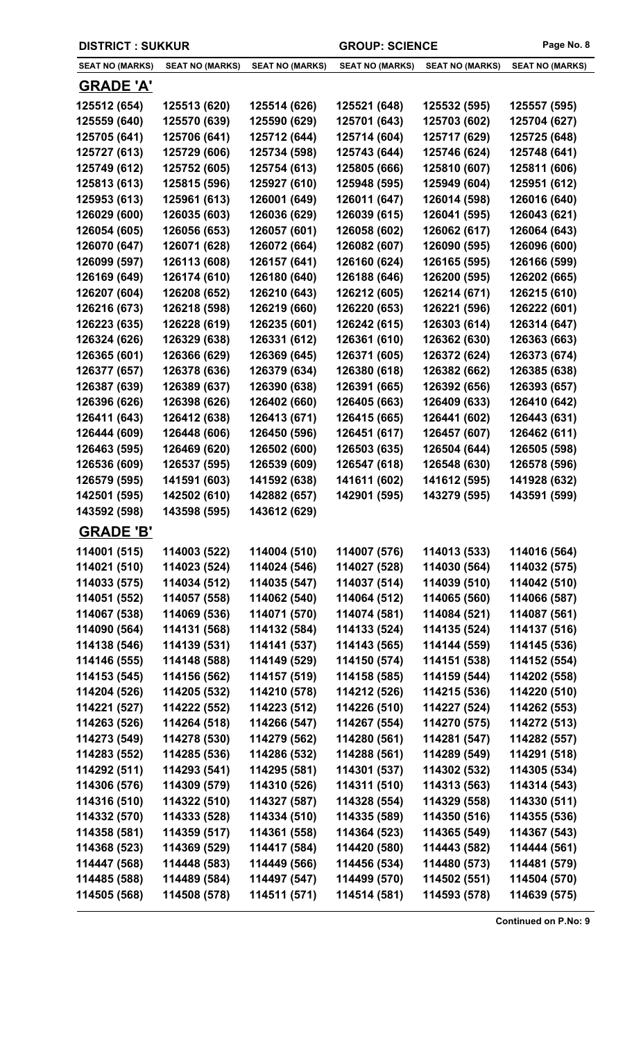| <b>DISTRICT: SUKKUR</b> |                        | <b>GROUP: SCIENCE</b>  |                        | Page No. 8             |                        |
|-------------------------|------------------------|------------------------|------------------------|------------------------|------------------------|
| <b>SEAT NO (MARKS)</b>  | <b>SEAT NO (MARKS)</b> | <b>SEAT NO (MARKS)</b> | <b>SEAT NO (MARKS)</b> | <b>SEAT NO (MARKS)</b> | <b>SEAT NO (MARKS)</b> |
| <b>GRADE 'A'</b>        |                        |                        |                        |                        |                        |
| 125512 (654)            | 125513 (620)           | 125514 (626)           | 125521 (648)           | 125532 (595)           | 125557 (595)           |
| 125559 (640)            | 125570 (639)           | 125590 (629)           | 125701 (643)           | 125703 (602)           | 125704 (627)           |
| 125705 (641)            | 125706 (641)           | 125712 (644)           | 125714 (604)           | 125717 (629)           | 125725 (648)           |
| 125727 (613)            | 125729 (606)           | 125734 (598)           | 125743 (644)           | 125746 (624)           | 125748 (641)           |
| 125749 (612)            | 125752 (605)           | 125754 (613)           | 125805 (666)           | 125810 (607)           | 125811 (606)           |
| 125813 (613)            | 125815 (596)           | 125927 (610)           | 125948 (595)           | 125949 (604)           | 125951 (612)           |
| 125953 (613)            | 125961 (613)           | 126001 (649)           | 126011 (647)           | 126014 (598)           | 126016 (640)           |
| 126029 (600)            | 126035 (603)           | 126036 (629)           | 126039 (615)           | 126041 (595)           | 126043 (621)           |
| 126054 (605)            | 126056 (653)           | 126057 (601)           | 126058 (602)           | 126062 (617)           | 126064 (643)           |
| 126070 (647)            | 126071 (628)           | 126072 (664)           | 126082 (607)           | 126090 (595)           | 126096 (600)           |
| 126099 (597)            | 126113 (608)           | 126157 (641)           | 126160 (624)           | 126165 (595)           | 126166 (599)           |
| 126169 (649)            | 126174 (610)           | 126180 (640)           | 126188 (646)           | 126200 (595)           | 126202 (665)           |
| 126207 (604)            | 126208 (652)           | 126210 (643)           | 126212 (605)           | 126214 (671)           | 126215 (610)           |
| 126216 (673)            | 126218 (598)           | 126219 (660)           | 126220 (653)           | 126221 (596)           | 126222 (601)           |
| 126223 (635)            | 126228 (619)           | 126235 (601)           | 126242 (615)           | 126303 (614)           | 126314 (647)           |
| 126324 (626)            | 126329 (638)           | 126331 (612)           | 126361 (610)           | 126362 (630)           | 126363 (663)           |
| 126365 (601)            | 126366 (629)           | 126369 (645)           | 126371 (605)           | 126372 (624)           | 126373 (674)           |
| 126377 (657)            | 126378 (636)           | 126379 (634)           | 126380 (618)           | 126382 (662)           | 126385 (638)           |
| 126387 (639)            | 126389 (637)           | 126390 (638)           | 126391 (665)           | 126392 (656)           | 126393 (657)           |
| 126396 (626)            | 126398 (626)           | 126402 (660)           | 126405 (663)           | 126409 (633)           | 126410 (642)           |
| 126411 (643)            | 126412 (638)           | 126413 (671)           | 126415 (665)           | 126441 (602)           | 126443 (631)           |
| 126444 (609)            | 126448 (606)           | 126450 (596)           | 126451 (617)           | 126457 (607)           | 126462 (611)           |
| 126463 (595)            | 126469 (620)           | 126502 (600)           | 126503 (635)           | 126504 (644)           | 126505 (598)           |
| 126536 (609)            | 126537 (595)           | 126539 (609)           | 126547 (618)           | 126548 (630)           | 126578 (596)           |
| 126579 (595)            | 141591 (603)           | 141592 (638)           | 141611 (602)           | 141612 (595)           | 141928 (632)           |
| 142501 (595)            | 142502 (610)           | 142882 (657)           | 142901 (595)           | 143279 (595)           | 143591 (599)           |
| 143592 (598)            | 143598 (595)           | 143612 (629)           |                        |                        |                        |
| <b>GRADE 'B'</b>        |                        |                        |                        |                        |                        |
| 114001 (515)            | 114003 (522)           | 114004 (510)           | 114007 (576)           | 114013 (533)           | 114016 (564)           |
| 114021 (510)            | 114023 (524)           | 114024 (546)           | 114027 (528)           | 114030 (564)           | 114032 (575)           |
| 114033 (575)            | 114034 (512)           | 114035 (547)           | 114037 (514)           | 114039 (510)           | 114042 (510)           |
| 114051 (552)            | 114057 (558)           | 114062 (540)           | 114064 (512)           | 114065 (560)           | 114066 (587)           |
| 114067 (538)            | 114069 (536)           | 114071 (570)           | 114074 (581)           | 114084 (521)           | 114087 (561)           |
| 114090 (564)            | 114131 (568)           | 114132 (584)           | 114133 (524)           | 114135 (524)           | 114137 (516)           |
| 114138 (546)            | 114139 (531)           | 114141 (537)           | 114143 (565)           | 114144 (559)           | 114145 (536)           |
| 114146 (555)            | 114148 (588)           | 114149 (529)           | 114150 (574)           | 114151 (538)           | 114152 (554)           |
| 114153 (545)            | 114156 (562)           | 114157 (519)           | 114158 (585)           | 114159 (544)           | 114202 (558)           |
| 114204 (526)            | 114205 (532)           | 114210 (578)           | 114212 (526)           | 114215 (536)           | 114220 (510)           |
| 114221 (527)            | 114222 (552)           | 114223 (512)           | 114226 (510)           | 114227 (524)           | 114262 (553)           |
| 114263 (526)            | 114264 (518)           | 114266 (547)           | 114267 (554)           | 114270 (575)           | 114272 (513)           |
| 114273 (549)            | 114278 (530)           | 114279 (562)           | 114280 (561)           | 114281 (547)           | 114282 (557)           |
| 114283 (552)            | 114285 (536)           | 114286 (532)           | 114288 (561)           | 114289 (549)           | 114291 (518)           |
| 114292 (511)            | 114293 (541)           | 114295 (581)           | 114301 (537)           | 114302 (532)           | 114305 (534)           |
| 114306 (576)            | 114309 (579)           | 114310 (526)           | 114311 (510)           | 114313 (563)           | 114314 (543)           |
| 114316 (510)            | 114322 (510)           | 114327 (587)           | 114328 (554)           | 114329 (558)           | 114330 (511)           |
| 114332 (570)            | 114333 (528)           | 114334 (510)           | 114335 (589)           | 114350 (516)           | 114355 (536)           |
| 114358 (581)            | 114359 (517)           | 114361 (558)           | 114364 (523)           | 114365 (549)           | 114367 (543)           |
| 114368 (523)            | 114369 (529)           | 114417 (584)           | 114420 (580)           | 114443 (582)           | 114444 (561)           |
| 114447 (568)            | 114448 (583)           | 114449 (566)           | 114456 (534)           | 114480 (573)           | 114481 (579)           |
| 114485 (588)            | 114489 (584)           | 114497 (547)           | 114499 (570)           | 114502 (551)           | 114504 (570)           |
| 114505 (568)            | 114508 (578)           | 114511 (571)           | 114514 (581)           | 114593 (578)           | 114639 (575)           |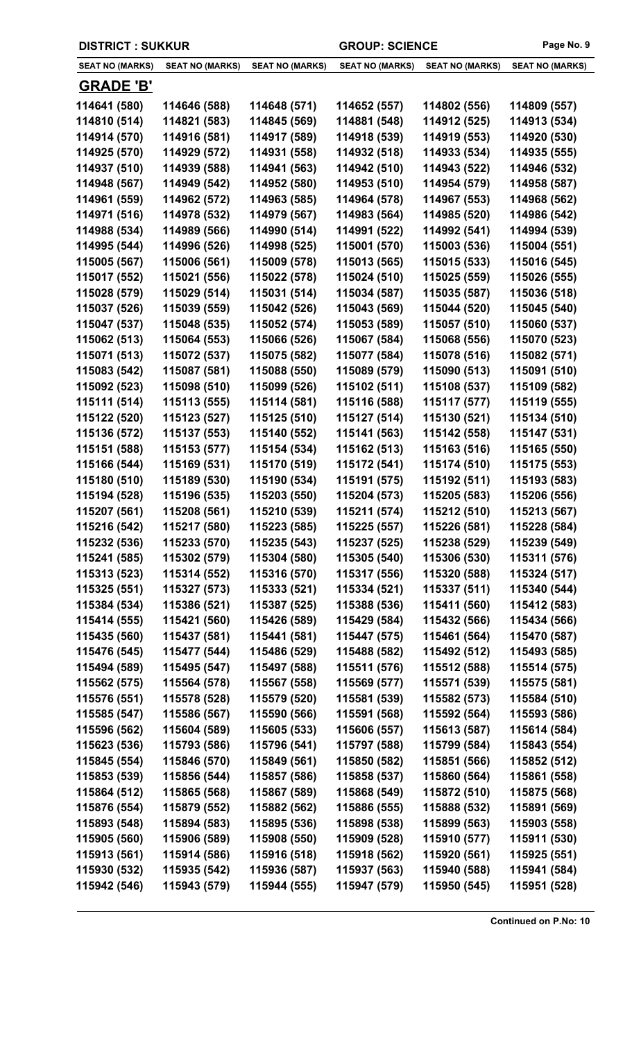| <b>DISTRICT: SUKKUR</b> |                        | <b>GROUP: SCIENCE</b>  |                        | Page No. 9             |                        |
|-------------------------|------------------------|------------------------|------------------------|------------------------|------------------------|
| <b>SEAT NO (MARKS)</b>  | <b>SEAT NO (MARKS)</b> | <b>SEAT NO (MARKS)</b> | <b>SEAT NO (MARKS)</b> | <b>SEAT NO (MARKS)</b> | <b>SEAT NO (MARKS)</b> |
| <b>GRADE 'B'</b>        |                        |                        |                        |                        |                        |
| 114641 (580)            | 114646 (588)           | 114648 (571)           | 114652 (557)           | 114802 (556)           | 114809 (557)           |
| 114810 (514)            | 114821 (583)           | 114845 (569)           | 114881 (548)           | 114912 (525)           | 114913 (534)           |
| 114914 (570)            | 114916 (581)           | 114917 (589)           | 114918 (539)           | 114919 (553)           | 114920 (530)           |
| 114925 (570)            | 114929 (572)           | 114931 (558)           | 114932 (518)           | 114933 (534)           | 114935 (555)           |
| 114937 (510)            | 114939 (588)           | 114941 (563)           | 114942 (510)           | 114943 (522)           | 114946 (532)           |
| 114948 (567)            | 114949 (542)           | 114952 (580)           | 114953 (510)           | 114954 (579)           | 114958 (587)           |
| 114961 (559)            | 114962 (572)           | 114963 (585)           | 114964 (578)           | 114967 (553)           | 114968 (562)           |
| 114971 (516)            | 114978 (532)           | 114979 (567)           | 114983 (564)           | 114985 (520)           | 114986 (542)           |
| 114988 (534)            | 114989 (566)           | 114990 (514)           | 114991 (522)           | 114992 (541)           | 114994 (539)           |
| 114995 (544)            | 114996 (526)           | 114998 (525)           | 115001 (570)           | 115003 (536)           | 115004 (551)           |
| 115005 (567)            | 115006 (561)           | 115009 (578)           | 115013 (565)           | 115015 (533)           | 115016 (545)           |
| 115017 (552)            | 115021 (556)           | 115022 (578)           | 115024 (510)           | 115025 (559)           | 115026 (555)           |
| 115028 (579)            | 115029 (514)           | 115031 (514)           | 115034 (587)           | 115035 (587)           | 115036 (518)           |
| 115037 (526)            | 115039 (559)           | 115042 (526)           | 115043 (569)           | 115044 (520)           | 115045 (540)           |
| 115047 (537)            | 115048 (535)           | 115052 (574)           | 115053 (589)           | 115057 (510)           | 115060 (537)           |
| 115062 (513)            | 115064 (553)           | 115066 (526)           | 115067 (584)           | 115068 (556)           | 115070 (523)           |
| 115071 (513)            | 115072 (537)           | 115075 (582)           | 115077 (584)           | 115078 (516)           | 115082 (571)           |
| 115083 (542)            | 115087 (581)           | 115088 (550)           | 115089 (579)           | 115090 (513)           | 115091 (510)           |
| 115092 (523)            | 115098 (510)           | 115099 (526)           | 115102 (511)           | 115108 (537)           | 115109 (582)           |
| 115111 (514)            | 115113 (555)           | 115114 (581)           | 115116 (588)           | 115117 (577)           | 115119 (555)           |
| 115122 (520)            | 115123 (527)           | 115125 (510)           | 115127 (514)           | 115130 (521)           | 115134 (510)           |
| 115136 (572)            | 115137 (553)           | 115140 (552)           | 115141 (563)           | 115142 (558)           | 115147 (531)           |
| 115151 (588)            | 115153 (577)           | 115154 (534)           | 115162 (513)           | 115163 (516)           | 115165 (550)           |
| 115166 (544)            | 115169 (531)           | 115170 (519)           | 115172 (541)           | 115174 (510)           | 115175 (553)           |
| 115180 (510)            | 115189 (530)           | 115190 (534)           | 115191 (575)           | 115192 (511)           | 115193 (583)           |
| 115194 (528)            | 115196 (535)           | 115203 (550)           | 115204 (573)           | 115205 (583)           | 115206 (556)           |
| 115207 (561)            | 115208 (561)           | 115210 (539)           | 115211 (574)           | 115212 (510)           | 115213 (567)           |
| 115216 (542)            | 115217 (580)           | 115223 (585)           | 115225 (557)           | 115226 (581)           | 115228 (584)           |
| 115232 (536)            | 115233 (570)           | 115235 (543)           | 115237 (525)           | 115238 (529)           | 115239 (549)           |
| 115241 (585)            | 115302 (579)           | 115304 (580)           | 115305 (540)           | 115306 (530)           | 115311 (576)           |
| 115313 (523)            | 115314 (552)           | 115316 (570)           | 115317 (556)           | 115320 (588)           | 115324 (517)           |
| 115325 (551)            | 115327 (573)           | 115333 (521)           | 115334 (521)           | 115337 (511)           | 115340 (544)           |
| 115384 (534)            | 115386 (521)           | 115387 (525)           | 115388 (536)           | 115411 (560)           | 115412 (583)           |
| 115414 (555)            | 115421 (560)           | 115426 (589)           | 115429 (584)           | 115432 (566)           | 115434 (566)           |
| 115435 (560)            | 115437 (581)           | 115441 (581)           | 115447 (575)           | 115461 (564)           | 115470 (587)           |
| 115476 (545)            | 115477 (544)           | 115486 (529)           | 115488 (582)           | 115492 (512)           | 115493 (585)           |
| 115494 (589)            | 115495 (547)           | 115497 (588)           | 115511 (576)           | 115512 (588)           | 115514 (575)           |
| 115562 (575)            | 115564 (578)           | 115567 (558)           | 115569 (577)           | 115571 (539)           | 115575 (581)           |
| 115576 (551)            | 115578 (528)           | 115579 (520)           | 115581 (539)           | 115582 (573)           | 115584 (510)           |
| 115585 (547)            | 115586 (567)           | 115590 (566)           | 115591 (568)           | 115592 (564)           | 115593 (586)           |
| 115596 (562)            | 115604 (589)           | 115605 (533)           | 115606 (557)           | 115613 (587)           | 115614 (584)           |
| 115623 (536)            | 115793 (586)           | 115796 (541)           | 115797 (588)           | 115799 (584)           | 115843 (554)           |
| 115845 (554)            | 115846 (570)           | 115849 (561)           | 115850 (582)           | 115851 (566)           | 115852 (512)           |
| 115853 (539)            | 115856 (544)           | 115857 (586)           | 115858 (537)           | 115860 (564)           | 115861 (558)           |
| 115864 (512)            | 115865 (568)           | 115867 (589)           | 115868 (549)           | 115872 (510)           | 115875 (568)           |
| 115876 (554)            | 115879 (552)           | 115882 (562)           | 115886 (555)           | 115888 (532)           | 115891 (569)           |
| 115893 (548)            | 115894 (583)           | 115895 (536)           | 115898 (538)           | 115899 (563)           | 115903 (558)           |
| 115905 (560)            | 115906 (589)           | 115908 (550)           | 115909 (528)           | 115910 (577)           | 115911 (530)           |
| 115913 (561)            | 115914 (586)           | 115916 (518)           | 115918 (562)           | 115920 (561)           | 115925 (551)           |
| 115930 (532)            | 115935 (542)           | 115936 (587)           | 115937 (563)           | 115940 (588)           | 115941 (584)           |
| 115942 (546)            | 115943 (579)           | 115944 (555)           | 115947 (579)           | 115950 (545)           | 115951 (528)           |
|                         |                        |                        |                        |                        |                        |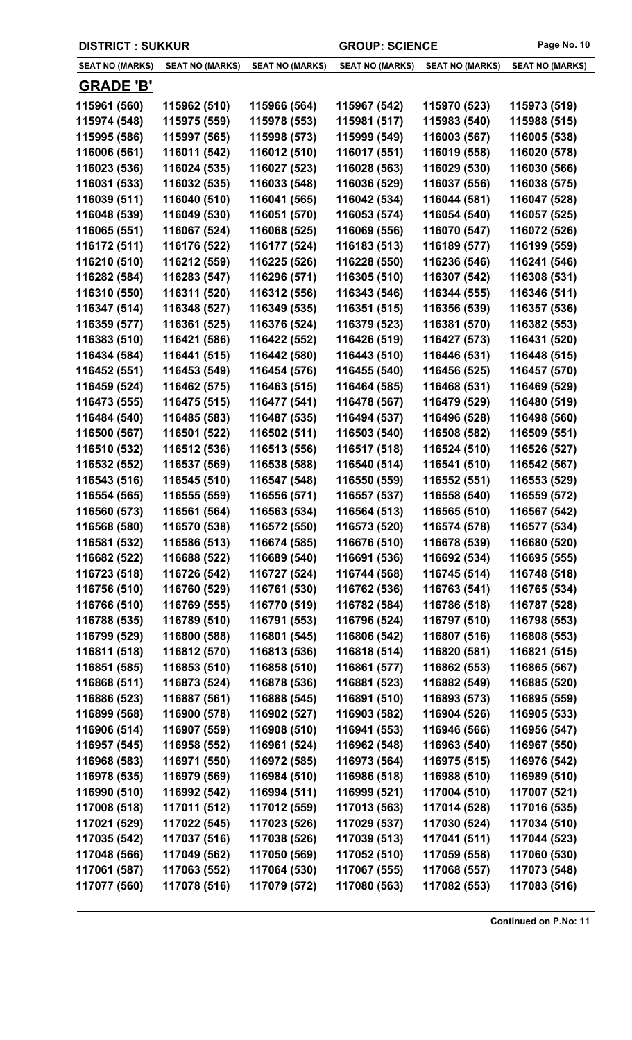| <b>DISTRICT: SUKKUR</b> |                        |                        | <b>GROUP: SCIENCE</b>  |                        | Page No. 10            |
|-------------------------|------------------------|------------------------|------------------------|------------------------|------------------------|
| <b>SEAT NO (MARKS)</b>  | <b>SEAT NO (MARKS)</b> | <b>SEAT NO (MARKS)</b> | <b>SEAT NO (MARKS)</b> | <b>SEAT NO (MARKS)</b> | <b>SEAT NO (MARKS)</b> |
| <b>GRADE 'B'</b>        |                        |                        |                        |                        |                        |
| 115961 (560)            | 115962 (510)           | 115966 (564)           | 115967 (542)           | 115970 (523)           | 115973 (519)           |
| 115974 (548)            | 115975 (559)           | 115978 (553)           | 115981 (517)           | 115983 (540)           | 115988 (515)           |
| 115995 (586)            | 115997 (565)           | 115998 (573)           | 115999 (549)           | 116003 (567)           | 116005 (538)           |
| 116006 (561)            | 116011 (542)           | 116012 (510)           | 116017 (551)           | 116019 (558)           | 116020 (578)           |
| 116023 (536)            | 116024 (535)           | 116027 (523)           | 116028 (563)           | 116029 (530)           | 116030 (566)           |
| 116031 (533)            | 116032 (535)           | 116033 (548)           | 116036 (529)           | 116037 (556)           | 116038 (575)           |
| 116039 (511)            | 116040 (510)           | 116041 (565)           | 116042 (534)           | 116044 (581)           | 116047 (528)           |
| 116048 (539)            | 116049 (530)           | 116051 (570)           | 116053 (574)           | 116054 (540)           | 116057 (525)           |
| 116065 (551)            | 116067 (524)           | 116068 (525)           | 116069 (556)           | 116070 (547)           | 116072 (526)           |
| 116172 (511)            | 116176 (522)           | 116177 (524)           | 116183 (513)           | 116189 (577)           | 116199 (559)           |
| 116210 (510)            | 116212 (559)           | 116225 (526)           | 116228 (550)           | 116236 (546)           | 116241 (546)           |
| 116282 (584)            | 116283 (547)           | 116296 (571)           | 116305 (510)           | 116307 (542)           | 116308 (531)           |
| 116310 (550)            | 116311 (520)           | 116312 (556)           | 116343 (546)           | 116344 (555)           | 116346 (511)           |
| 116347 (514)            | 116348 (527)           | 116349 (535)           | 116351 (515)           | 116356 (539)           | 116357 (536)           |
| 116359 (577)            | 116361 (525)           | 116376 (524)           | 116379 (523)           | 116381 (570)           | 116382 (553)           |
| 116383 (510)            | 116421 (586)           | 116422 (552)           | 116426 (519)           | 116427 (573)           | 116431 (520)           |
| 116434 (584)            | 116441 (515)           | 116442 (580)           | 116443 (510)           | 116446 (531)           | 116448 (515)           |
| 116452 (551)            | 116453 (549)           | 116454 (576)           | 116455 (540)           | 116456 (525)           | 116457 (570)           |
| 116459 (524)            | 116462 (575)           | 116463 (515)           | 116464 (585)           | 116468 (531)           | 116469 (529)           |
| 116473 (555)            | 116475 (515)           | 116477 (541)           | 116478 (567)           | 116479 (529)           | 116480 (519)           |
| 116484 (540)            | 116485 (583)           | 116487 (535)           | 116494 (537)           | 116496 (528)           | 116498 (560)           |
| 116500 (567)            | 116501 (522)           | 116502 (511)           | 116503 (540)           | 116508 (582)           | 116509 (551)           |
| 116510 (532)            | 116512 (536)           | 116513 (556)           | 116517 (518)           | 116524 (510)           | 116526 (527)           |
| 116532 (552)            | 116537 (569)           | 116538 (588)           | 116540 (514)           | 116541 (510)           | 116542 (567)           |
| 116543 (516)            | 116545 (510)           | 116547 (548)           | 116550 (559)           | 116552 (551)           | 116553 (529)           |
| 116554 (565)            | 116555 (559)           | 116556 (571)           | 116557 (537)           | 116558 (540)           | 116559 (572)           |
| 116560 (573)            | 116561 (564)           | 116563 (534)           | 116564 (513)           | 116565 (510)           | 116567 (542)           |
| 116568 (580)            | 116570 (538)           | 116572 (550)           | 116573 (520)           | 116574 (578)           | 116577 (534)           |
| 116581 (532)            | 116586 (513)           | 116674 (585)           | 116676 (510)           | 116678 (539)           | 116680 (520)           |
| 116682 (522)            | 116688 (522)           | 116689 (540)           | 116691 (536)           | 116692 (534)           | 116695 (555)           |
| 116723 (518)            | 116726 (542)           | 116727 (524)           | 116744 (568)           | 116745 (514)           | 116748 (518)           |
| 116756 (510)            | 116760 (529)           | 116761 (530)           | 116762 (536)           | 116763 (541)           | 116765 (534)           |
| 116766 (510)            | 116769 (555)           | 116770 (519)           | 116782 (584)           | 116786 (518)           | 116787 (528)           |
| 116788 (535)            | 116789 (510)           | 116791 (553)           | 116796 (524)           | 116797 (510)           | 116798 (553)           |
| 116799 (529)            | 116800 (588)           | 116801 (545)           | 116806 (542)           | 116807 (516)           | 116808 (553)           |
| 116811 (518)            | 116812 (570)           | 116813 (536)           | 116818 (514)           | 116820 (581)           | 116821 (515)           |
| 116851 (585)            | 116853 (510)           | 116858 (510)           | 116861 (577)           | 116862 (553)           | 116865 (567)           |
| 116868 (511)            | 116873 (524)           | 116878 (536)           | 116881 (523)           | 116882 (549)           | 116885 (520)           |
| 116886 (523)            | 116887 (561)           | 116888 (545)           | 116891 (510)           | 116893 (573)           | 116895 (559)           |
| 116899 (568)            | 116900 (578)           | 116902 (527)           | 116903 (582)           | 116904 (526)           | 116905 (533)           |
| 116906 (514)            | 116907 (559)           | 116908 (510)           | 116941 (553)           | 116946 (566)           | 116956 (547)           |
| 116957 (545)            | 116958 (552)           | 116961 (524)           | 116962 (548)           | 116963 (540)           | 116967 (550)           |
| 116968 (583)            | 116971 (550)           | 116972 (585)           | 116973 (564)           | 116975 (515)           | 116976 (542)           |
| 116978 (535)            | 116979 (569)           | 116984 (510)           | 116986 (518)           | 116988 (510)           | 116989 (510)           |
| 116990 (510)            | 116992 (542)           | 116994 (511)           | 116999 (521)           | 117004 (510)           | 117007 (521)           |
| 117008 (518)            | 117011 (512)           | 117012 (559)           | 117013 (563)           | 117014 (528)           | 117016 (535)           |
| 117021 (529)            | 117022 (545)           | 117023 (526)           | 117029 (537)           | 117030 (524)           | 117034 (510)           |
| 117035 (542)            | 117037 (516)           | 117038 (526)           | 117039 (513)           | 117041 (511)           | 117044 (523)           |
| 117048 (566)            | 117049 (562)           | 117050 (569)           | 117052 (510)           | 117059 (558)           | 117060 (530)           |
| 117061 (587)            | 117063 (552)           | 117064 (530)           | 117067 (555)           | 117068 (557)           | 117073 (548)           |
| 117077 (560)            | 117078 (516)           | 117079 (572)           | 117080 (563)           | 117082 (553)           | 117083 (516)           |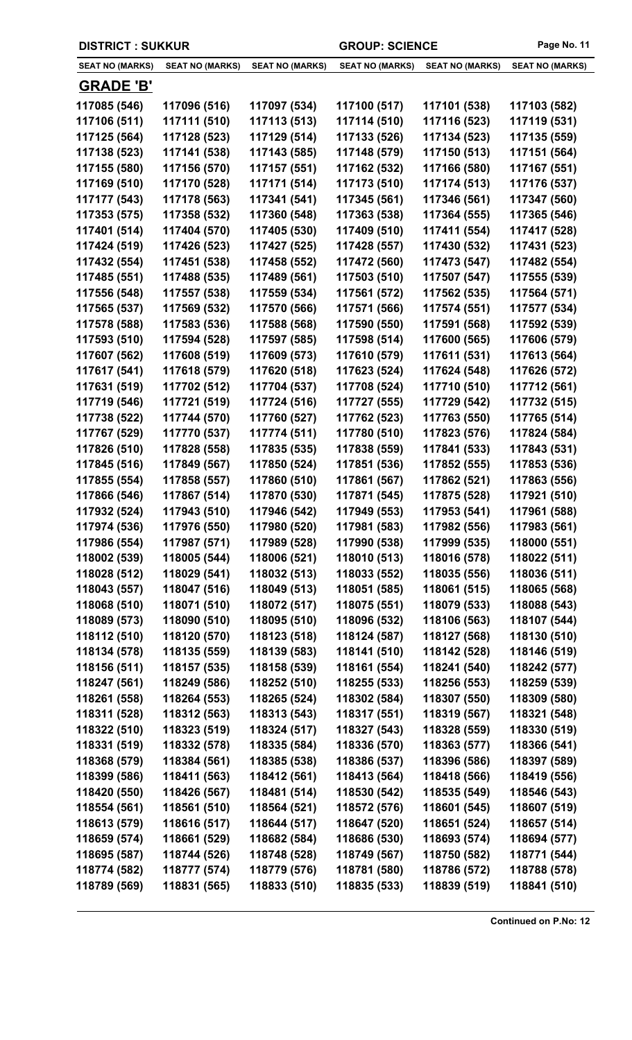| <b>DISTRICT: SUKKUR</b> |                        |                        | <b>GROUP: SCIENCE</b>  |                        | Page No. 11            |
|-------------------------|------------------------|------------------------|------------------------|------------------------|------------------------|
| <b>SEAT NO (MARKS)</b>  | <b>SEAT NO (MARKS)</b> | <b>SEAT NO (MARKS)</b> | <b>SEAT NO (MARKS)</b> | <b>SEAT NO (MARKS)</b> | <b>SEAT NO (MARKS)</b> |
| <b>GRADE 'B'</b>        |                        |                        |                        |                        |                        |
| 117085 (546)            | 117096 (516)           | 117097 (534)           | 117100 (517)           | 117101 (538)           | 117103 (582)           |
| 117106 (511)            | 117111 (510)           | 117113 (513)           | 117114 (510)           | 117116 (523)           | 117119 (531)           |
| 117125 (564)            | 117128 (523)           | 117129 (514)           | 117133 (526)           | 117134 (523)           | 117135 (559)           |
| 117138 (523)            | 117141 (538)           | 117143 (585)           | 117148 (579)           | 117150 (513)           | 117151 (564)           |
| 117155 (580)            | 117156 (570)           | 117157 (551)           | 117162 (532)           | 117166 (580)           | 117167 (551)           |
| 117169 (510)            | 117170 (528)           | 117171 (514)           | 117173 (510)           | 117174 (513)           | 117176 (537)           |
| 117177 (543)            | 117178 (563)           | 117341 (541)           | 117345 (561)           | 117346 (561)           | 117347 (560)           |
| 117353 (575)            | 117358 (532)           | 117360 (548)           | 117363 (538)           | 117364 (555)           | 117365 (546)           |
| 117401 (514)            | 117404 (570)           | 117405 (530)           | 117409 (510)           | 117411 (554)           | 117417 (528)           |
| 117424 (519)            | 117426 (523)           | 117427 (525)           | 117428 (557)           | 117430 (532)           | 117431 (523)           |
| 117432 (554)            | 117451 (538)           | 117458 (552)           | 117472 (560)           | 117473 (547)           | 117482 (554)           |
| 117485 (551)            | 117488 (535)           | 117489 (561)           | 117503 (510)           | 117507 (547)           | 117555 (539)           |
| 117556 (548)            | 117557 (538)           | 117559 (534)           | 117561 (572)           | 117562 (535)           | 117564 (571)           |
| 117565 (537)            | 117569 (532)           | 117570 (566)           | 117571 (566)           | 117574 (551)           | 117577 (534)           |
| 117578 (588)            | 117583 (536)           | 117588 (568)           | 117590 (550)           | 117591 (568)           | 117592 (539)           |
| 117593 (510)            | 117594 (528)           | 117597 (585)           | 117598 (514)           | 117600 (565)           | 117606 (579)           |
| 117607 (562)            | 117608 (519)           | 117609 (573)           | 117610 (579)           | 117611 (531)           | 117613 (564)           |
| 117617 (541)            | 117618 (579)           | 117620 (518)           | 117623 (524)           | 117624 (548)           | 117626 (572)           |
| 117631 (519)            | 117702 (512)           | 117704 (537)           | 117708 (524)           | 117710 (510)           | 117712 (561)           |
| 117719 (546)            | 117721 (519)           | 117724 (516)           | 117727 (555)           | 117729 (542)           | 117732 (515)           |
| 117738 (522)            | 117744 (570)           | 117760 (527)           | 117762 (523)           | 117763 (550)           | 117765 (514)           |
| 117767 (529)            | 117770 (537)           | 117774 (511)           | 117780 (510)           | 117823 (576)           | 117824 (584)           |
| 117826 (510)            | 117828 (558)           | 117835 (535)           | 117838 (559)           | 117841 (533)           | 117843 (531)           |
| 117845 (516)            | 117849 (567)           | 117850 (524)           | 117851 (536)           | 117852 (555)           | 117853 (536)           |
| 117855 (554)            | 117858 (557)           | 117860 (510)           | 117861 (567)           | 117862 (521)           | 117863 (556)           |
| 117866 (546)            | 117867 (514)           | 117870 (530)           | 117871 (545)           | 117875 (528)           | 117921 (510)           |
| 117932 (524)            | 117943 (510)           | 117946 (542)           | 117949 (553)           | 117953 (541)           | 117961 (588)           |
| 117974 (536)            | 117976 (550)           | 117980 (520)           | 117981 (583)           | 117982 (556)           | 117983 (561)           |
| 117986 (554)            | 117987 (571)           | 117989 (528)           | 117990 (538)           | 117999 (535)           | 118000 (551)           |
| 118002 (539)            | 118005 (544)           | 118006 (521)           | 118010 (513)           | 118016 (578)           | 118022 (511)           |
| 118028 (512)            | 118029 (541)           | 118032 (513)           | 118033 (552)           | 118035 (556)           | 118036 (511)           |
| 118043 (557)            | 118047 (516)           | 118049 (513)           | 118051 (585)           | 118061 (515)           | 118065 (568)           |
| 118068 (510)            | 118071 (510)           | 118072 (517)           | 118075 (551)           | 118079 (533)           | 118088 (543)           |
| 118089 (573)            | 118090 (510)           | 118095 (510)           | 118096 (532)           | 118106 (563)           | 118107 (544)           |
| 118112 (510)            | 118120 (570)           | 118123 (518)           | 118124 (587)           | 118127 (568)           | 118130 (510)           |
| 118134 (578)            | 118135 (559)           | 118139 (583)           | 118141 (510)           | 118142 (528)           | 118146 (519)           |
| 118156 (511)            | 118157 (535)           | 118158 (539)           | 118161 (554)           | 118241 (540)           | 118242 (577)           |
| 118247 (561)            | 118249 (586)           | 118252 (510)           | 118255 (533)           | 118256 (553)           | 118259 (539)           |
| 118261 (558)            | 118264 (553)           | 118265 (524)           | 118302 (584)           | 118307 (550)           | 118309 (580)           |
| 118311 (528)            | 118312 (563)           | 118313 (543)           | 118317 (551)           | 118319 (567)           | 118321 (548)           |
| 118322 (510)            | 118323 (519)           | 118324 (517)           | 118327 (543)           | 118328 (559)           | 118330 (519)           |
| 118331 (519)            | 118332 (578)           | 118335 (584)           | 118336 (570)           | 118363 (577)           | 118366 (541)           |
| 118368 (579)            | 118384 (561)           | 118385 (538)           | 118386 (537)           | 118396 (586)           | 118397 (589)           |
| 118399 (586)            | 118411 (563)           | 118412 (561)           | 118413 (564)           | 118418 (566)           | 118419 (556)           |
| 118420 (550)            | 118426 (567)           | 118481 (514)           | 118530 (542)           | 118535 (549)           | 118546 (543)           |
| 118554 (561)            | 118561 (510)           | 118564 (521)           | 118572 (576)           | 118601 (545)           | 118607 (519)           |
| 118613 (579)            | 118616 (517)           | 118644 (517)           | 118647 (520)           | 118651 (524)           | 118657 (514)           |
| 118659 (574)            | 118661 (529)           | 118682 (584)           | 118686 (530)           | 118693 (574)           | 118694 (577)           |
| 118695 (587)            | 118744 (526)           | 118748 (528)           | 118749 (567)           | 118750 (582)           | 118771 (544)           |
| 118774 (582)            | 118777 (574)           | 118779 (576)           | 118781 (580)           | 118786 (572)           | 118788 (578)           |
| 118789 (569)            | 118831 (565)           | 118833 (510)           | 118835 (533)           | 118839 (519)           | 118841 (510)           |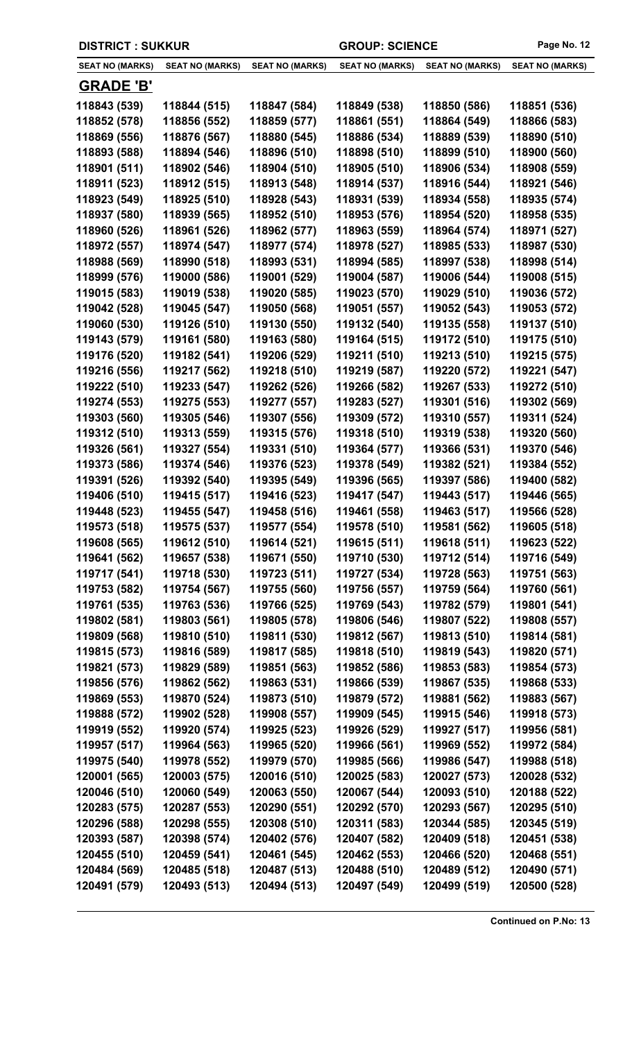| <b>DISTRICT: SUKKUR</b> |                        |                        | <b>GROUP: SCIENCE</b>  |                        | Page No. 12            |
|-------------------------|------------------------|------------------------|------------------------|------------------------|------------------------|
| <b>SEAT NO (MARKS)</b>  | <b>SEAT NO (MARKS)</b> | <b>SEAT NO (MARKS)</b> | <b>SEAT NO (MARKS)</b> | <b>SEAT NO (MARKS)</b> | <b>SEAT NO (MARKS)</b> |
| <b>GRADE 'B'</b>        |                        |                        |                        |                        |                        |
| 118843 (539)            | 118844 (515)           | 118847 (584)           | 118849 (538)           | 118850 (586)           | 118851 (536)           |
| 118852 (578)            | 118856 (552)           | 118859 (577)           | 118861 (551)           | 118864 (549)           | 118866 (583)           |
| 118869 (556)            | 118876 (567)           | 118880 (545)           | 118886 (534)           | 118889 (539)           | 118890 (510)           |
| 118893 (588)            | 118894 (546)           | 118896 (510)           | 118898 (510)           | 118899 (510)           | 118900 (560)           |
| 118901 (511)            | 118902 (546)           | 118904 (510)           | 118905 (510)           | 118906 (534)           | 118908 (559)           |
| 118911 (523)            | 118912 (515)           | 118913 (548)           | 118914 (537)           | 118916 (544)           | 118921 (546)           |
| 118923 (549)            | 118925 (510)           | 118928 (543)           | 118931 (539)           | 118934 (558)           | 118935 (574)           |
| 118937 (580)            | 118939 (565)           | 118952 (510)           | 118953 (576)           | 118954 (520)           | 118958 (535)           |
| 118960 (526)            | 118961 (526)           | 118962 (577)           | 118963 (559)           | 118964 (574)           | 118971 (527)           |
| 118972 (557)            | 118974 (547)           | 118977 (574)           | 118978 (527)           | 118985 (533)           | 118987 (530)           |
| 118988 (569)            | 118990 (518)           | 118993 (531)           | 118994 (585)           | 118997 (538)           | 118998 (514)           |
| 118999 (576)            | 119000 (586)           | 119001 (529)           | 119004 (587)           | 119006 (544)           | 119008 (515)           |
| 119015 (583)            | 119019 (538)           | 119020 (585)           | 119023 (570)           | 119029 (510)           | 119036 (572)           |
| 119042 (528)            | 119045 (547)           | 119050 (568)           | 119051 (557)           | 119052 (543)           | 119053 (572)           |
| 119060 (530)            | 119126 (510)           | 119130 (550)           | 119132 (540)           | 119135 (558)           | 119137 (510)           |
| 119143 (579)            | 119161 (580)           | 119163 (580)           | 119164 (515)           | 119172 (510)           | 119175 (510)           |
| 119176 (520)            | 119182 (541)           | 119206 (529)           | 119211 (510)           | 119213 (510)           | 119215 (575)           |
| 119216 (556)            | 119217 (562)           | 119218 (510)           | 119219 (587)           | 119220 (572)           | 119221 (547)           |
| 119222 (510)            | 119233 (547)           | 119262 (526)           | 119266 (582)           | 119267 (533)           | 119272 (510)           |
| 119274 (553)            | 119275 (553)           | 119277 (557)           | 119283 (527)           | 119301 (516)           | 119302 (569)           |
| 119303 (560)            | 119305 (546)           | 119307 (556)           | 119309 (572)           | 119310 (557)           | 119311 (524)           |
| 119312 (510)            | 119313 (559)           | 119315 (576)           | 119318 (510)           | 119319 (538)           | 119320 (560)           |
| 119326 (561)            | 119327 (554)           | 119331 (510)           | 119364 (577)           | 119366 (531)           | 119370 (546)           |
| 119373 (586)            | 119374 (546)           | 119376 (523)           | 119378 (549)           | 119382 (521)           | 119384 (552)           |
| 119391 (526)            | 119392 (540)           | 119395 (549)           | 119396 (565)           | 119397 (586)           | 119400 (582)           |
| 119406 (510)            | 119415 (517)           | 119416 (523)           | 119417 (547)           | 119443 (517)           | 119446 (565)           |
| 119448 (523)            | 119455 (547)           | 119458 (516)           | 119461 (558)           | 119463 (517)           | 119566 (528)           |
| 119573 (518)            | 119575 (537)           | 119577 (554)           | 119578 (510)           | 119581 (562)           | 119605 (518)           |
| 119608 (565)            | 119612 (510)           | 119614 (521)           | 119615 (511)           | 119618 (511)           | 119623 (522)           |
| 119641 (562)            | 119657 (538)           | 119671 (550)           | 119710 (530)           | 119712 (514)           | 119716 (549)           |
| 119717 (541)            | 119718 (530)           | 119723 (511)           | 119727 (534)           | 119728 (563)           | 119751 (563)           |
| 119753 (582)            | 119754 (567)           | 119755 (560)           | 119756 (557)           | 119759 (564)           | 119760 (561)           |
| 119761 (535)            | 119763 (536)           | 119766 (525)           | 119769 (543)           | 119782 (579)           | 119801 (541)           |
| 119802 (581)            | 119803 (561)           | 119805 (578)           | 119806 (546)           | 119807 (522)           | 119808 (557)           |
| 119809 (568)            | 119810 (510)           | 119811 (530)           | 119812 (567)           | 119813 (510)           | 119814 (581)           |
| 119815 (573)            | 119816 (589)           | 119817 (585)           | 119818 (510)           | 119819 (543)           | 119820 (571)           |
| 119821 (573)            | 119829 (589)           | 119851 (563)           | 119852 (586)           | 119853 (583)           | 119854 (573)           |
| 119856 (576)            | 119862 (562)           | 119863 (531)           | 119866 (539)           | 119867 (535)           | 119868 (533)           |
| 119869 (553)            | 119870 (524)           | 119873 (510)           | 119879 (572)           | 119881 (562)           | 119883 (567)           |
| 119888 (572)            | 119902 (528)           | 119908 (557)           | 119909 (545)           | 119915 (546)           | 119918 (573)           |
| 119919 (552)            | 119920 (574)           | 119925 (523)           | 119926 (529)           | 119927 (517)           | 119956 (581)           |
| 119957 (517)            | 119964 (563)           | 119965 (520)           | 119966 (561)           | 119969 (552)           | 119972 (584)           |
| 119975 (540)            | 119978 (552)           | 119979 (570)           | 119985 (566)           | 119986 (547)           | 119988 (518)           |
| 120001 (565)            | 120003 (575)           | 120016 (510)           | 120025 (583)           | 120027 (573)           | 120028 (532)           |
| 120046 (510)            | 120060 (549)           | 120063 (550)           | 120067 (544)           | 120093 (510)           | 120188 (522)           |
| 120283 (575)            | 120287 (553)           | 120290 (551)           | 120292 (570)           | 120293 (567)           | 120295 (510)           |
| 120296 (588)            | 120298 (555)           | 120308 (510)           | 120311 (583)           | 120344 (585)           | 120345 (519)           |
| 120393 (587)            | 120398 (574)           | 120402 (576)           | 120407 (582)           | 120409 (518)           | 120451 (538)           |
| 120455 (510)            | 120459 (541)           | 120461 (545)           | 120462 (553)           | 120466 (520)           | 120468 (551)           |
| 120484 (569)            | 120485 (518)           | 120487 (513)           | 120488 (510)           | 120489 (512)           | 120490 (571)           |
| 120491 (579)            | 120493 (513)           | 120494 (513)           | 120497 (549)           | 120499 (519)           | 120500 (528)           |
|                         |                        |                        |                        |                        |                        |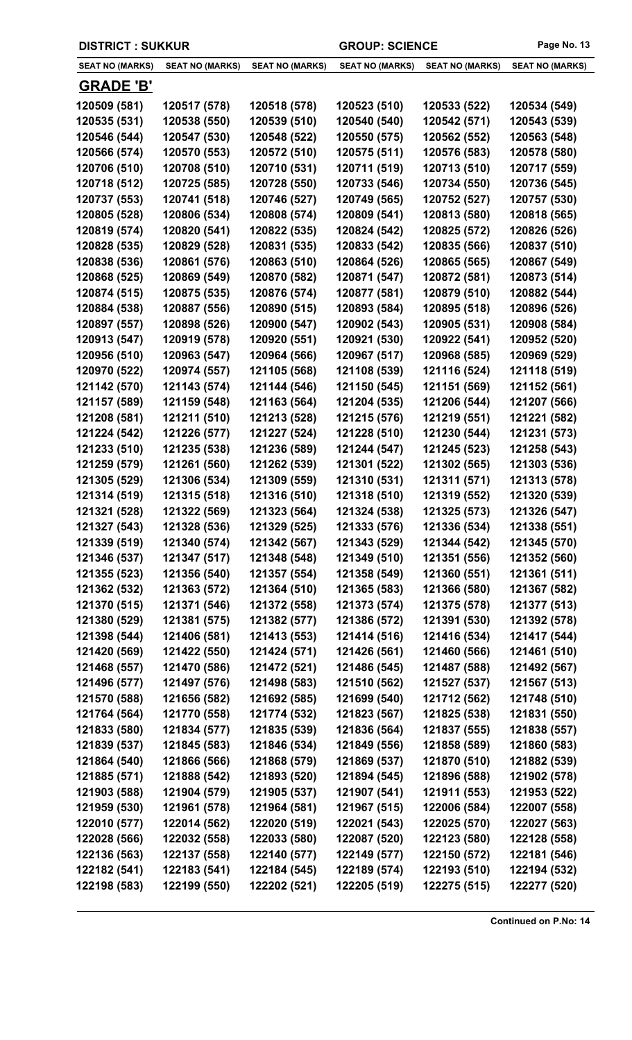| <b>DISTRICT: SUKKUR</b>      |                              |                              | <b>GROUP: SCIENCE</b>        |                              | Page No. 13                  |
|------------------------------|------------------------------|------------------------------|------------------------------|------------------------------|------------------------------|
| <b>SEAT NO (MARKS)</b>       | <b>SEAT NO (MARKS)</b>       | <b>SEAT NO (MARKS)</b>       | <b>SEAT NO (MARKS)</b>       | <b>SEAT NO (MARKS)</b>       | <b>SEAT NO (MARKS)</b>       |
| <b>GRADE 'B'</b>             |                              |                              |                              |                              |                              |
| 120509 (581)                 | 120517 (578)                 | 120518 (578)                 | 120523 (510)                 | 120533 (522)                 | 120534 (549)                 |
| 120535 (531)                 | 120538 (550)                 | 120539 (510)                 | 120540 (540)                 | 120542 (571)                 | 120543 (539)                 |
| 120546 (544)                 | 120547 (530)                 | 120548 (522)                 | 120550 (575)                 | 120562 (552)                 | 120563 (548)                 |
| 120566 (574)                 | 120570 (553)                 | 120572 (510)                 | 120575 (511)                 | 120576 (583)                 | 120578 (580)                 |
| 120706 (510)                 | 120708 (510)                 | 120710 (531)                 | 120711 (519)                 | 120713 (510)                 | 120717 (559)                 |
| 120718 (512)                 | 120725 (585)                 | 120728 (550)                 | 120733 (546)                 | 120734 (550)                 | 120736 (545)                 |
| 120737 (553)                 | 120741 (518)                 | 120746 (527)                 | 120749 (565)                 | 120752 (527)                 | 120757 (530)                 |
| 120805 (528)                 | 120806 (534)                 | 120808 (574)                 | 120809 (541)                 | 120813 (580)                 | 120818 (565)                 |
| 120819 (574)                 | 120820 (541)                 | 120822 (535)                 | 120824 (542)                 | 120825 (572)                 | 120826 (526)                 |
| 120828 (535)                 | 120829 (528)                 | 120831 (535)                 | 120833 (542)                 | 120835 (566)                 | 120837 (510)                 |
| 120838 (536)                 | 120861 (576)                 | 120863 (510)                 | 120864 (526)                 | 120865 (565)                 | 120867 (549)                 |
| 120868 (525)                 | 120869 (549)                 | 120870 (582)                 | 120871 (547)                 | 120872 (581)                 | 120873 (514)                 |
| 120874 (515)                 | 120875 (535)                 | 120876 (574)                 | 120877 (581)                 | 120879 (510)                 | 120882 (544)                 |
| 120884 (538)                 | 120887 (556)                 | 120890 (515)                 | 120893 (584)                 | 120895 (518)                 | 120896 (526)                 |
| 120897 (557)                 | 120898 (526)                 | 120900 (547)                 | 120902 (543)                 | 120905 (531)                 | 120908 (584)                 |
| 120913 (547)                 | 120919 (578)                 | 120920 (551)                 | 120921 (530)                 | 120922 (541)                 | 120952 (520)                 |
| 120956 (510)                 | 120963 (547)                 | 120964 (566)                 | 120967 (517)                 | 120968 (585)                 | 120969 (529)                 |
| 120970 (522)                 | 120974 (557)                 | 121105 (568)                 | 121108 (539)                 | 121116 (524)                 | 121118 (519)                 |
| 121142 (570)                 | 121143 (574)                 | 121144 (546)                 | 121150 (545)                 | 121151 (569)                 | 121152 (561)                 |
| 121157 (589)                 | 121159 (548)                 | 121163 (564)                 | 121204 (535)                 | 121206 (544)                 | 121207 (566)                 |
| 121208 (581)                 | 121211 (510)                 | 121213 (528)                 | 121215 (576)                 | 121219 (551)                 | 121221 (582)                 |
| 121224 (542)                 | 121226 (577)                 | 121227 (524)                 | 121228 (510)                 | 121230 (544)                 | 121231 (573)                 |
| 121233 (510)                 | 121235 (538)                 | 121236 (589)                 | 121244 (547)                 | 121245 (523)                 | 121258 (543)                 |
| 121259 (579)                 | 121261 (560)                 | 121262 (539)                 | 121301 (522)                 | 121302 (565)                 | 121303 (536)                 |
| 121305 (529)                 | 121306 (534)                 | 121309 (559)                 | 121310 (531)                 | 121311 (571)                 | 121313 (578)                 |
| 121314 (519)                 | 121315 (518)                 | 121316 (510)                 | 121318 (510)                 | 121319 (552)                 | 121320 (539)                 |
| 121321 (528)                 | 121322 (569)                 | 121323 (564)                 | 121324 (538)                 | 121325 (573)                 | 121326 (547)                 |
| 121327 (543)                 | 121328 (536)                 | 121329 (525)                 | 121333 (576)                 | 121336 (534)                 | 121338 (551)                 |
| 121339 (519)                 | 121340 (574)                 | 121342 (567)                 | 121343 (529)                 | 121344 (542)                 | 121345 (570)                 |
| 121346 (537)                 | 121347 (517)                 | 121348 (548)                 | 121349 (510)                 | 121351 (556)                 | 121352 (560)                 |
| 121355 (523)                 | 121356 (540)                 | 121357 (554)                 | 121358 (549)                 | 121360 (551)                 | 121361 (511)                 |
| 121362 (532)                 | 121363 (572)                 | 121364 (510)                 | 121365 (583)                 | 121366 (580)                 | 121367 (582)                 |
| 121370 (515)                 | 121371 (546)                 | 121372 (558)<br>121382 (577) | 121373 (574)<br>121386 (572) | 121375 (578)                 | 121377 (513)                 |
| 121380 (529)                 | 121381 (575)<br>121406 (581) |                              |                              | 121391 (530)                 | 121392 (578)                 |
| 121398 (544)<br>121420 (569) | 121422 (550)                 | 121413 (553)<br>121424 (571) | 121414 (516)<br>121426 (561) | 121416 (534)<br>121460 (566) | 121417 (544)<br>121461 (510) |
| 121468 (557)                 | 121470 (586)                 | 121472 (521)                 | 121486 (545)                 | 121487 (588)                 | 121492 (567)                 |
| 121496 (577)                 | 121497 (576)                 | 121498 (583)                 | 121510 (562)                 | 121527 (537)                 | 121567 (513)                 |
| 121570 (588)                 | 121656 (582)                 | 121692 (585)                 | 121699 (540)                 | 121712 (562)                 | 121748 (510)                 |
| 121764 (564)                 | 121770 (558)                 | 121774 (532)                 | 121823 (567)                 | 121825 (538)                 | 121831 (550)                 |
| 121833 (580)                 | 121834 (577)                 | 121835 (539)                 | 121836 (564)                 | 121837 (555)                 | 121838 (557)                 |
| 121839 (537)                 | 121845 (583)                 | 121846 (534)                 | 121849 (556)                 | 121858 (589)                 | 121860 (583)                 |
| 121864 (540)                 | 121866 (566)                 | 121868 (579)                 | 121869 (537)                 | 121870 (510)                 | 121882 (539)                 |
| 121885 (571)                 | 121888 (542)                 | 121893 (520)                 | 121894 (545)                 | 121896 (588)                 | 121902 (578)                 |
| 121903 (588)                 | 121904 (579)                 | 121905 (537)                 | 121907 (541)                 | 121911 (553)                 | 121953 (522)                 |
| 121959 (530)                 | 121961 (578)                 | 121964 (581)                 | 121967 (515)                 | 122006 (584)                 | 122007 (558)                 |
| 122010 (577)                 | 122014 (562)                 | 122020 (519)                 | 122021 (543)                 | 122025 (570)                 | 122027 (563)                 |
| 122028 (566)                 | 122032 (558)                 | 122033 (580)                 | 122087 (520)                 | 122123 (580)                 | 122128 (558)                 |
| 122136 (563)                 | 122137 (558)                 | 122140 (577)                 | 122149 (577)                 | 122150 (572)                 | 122181 (546)                 |
| 122182 (541)                 | 122183 (541)                 | 122184 (545)                 | 122189 (574)                 | 122193 (510)                 | 122194 (532)                 |
| 122198 (583)                 | 122199 (550)                 | 122202 (521)                 | 122205 (519)                 | 122275 (515)                 | 122277 (520)                 |
|                              |                              |                              |                              |                              |                              |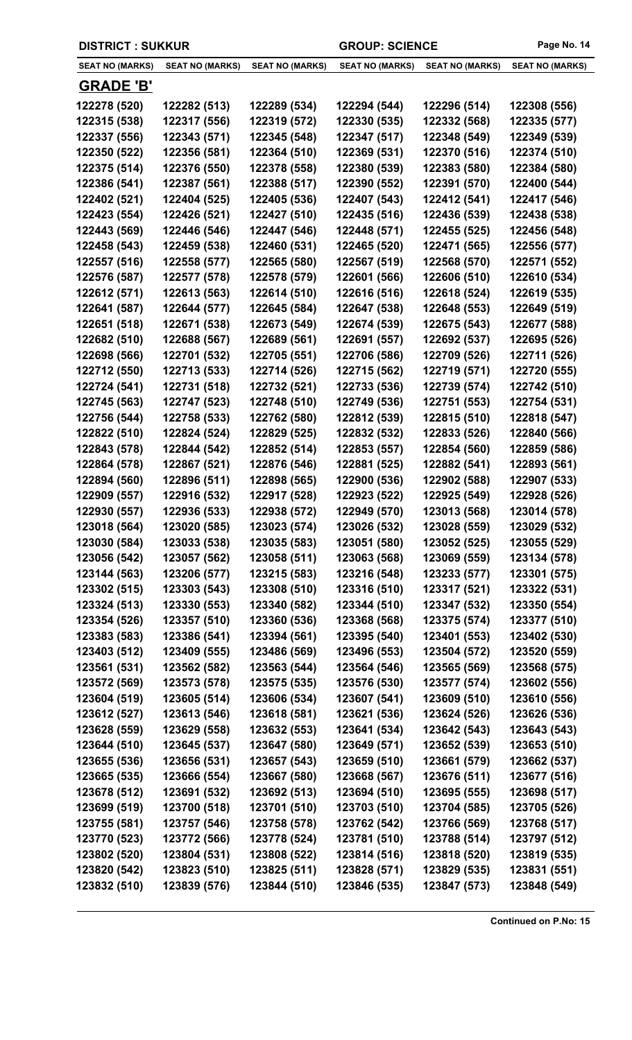| <b>DISTRICT: SUKKUR</b> |                        |                        | <b>GROUP: SCIENCE</b>  |                        | Page No. 14            |
|-------------------------|------------------------|------------------------|------------------------|------------------------|------------------------|
| <b>SEAT NO (MARKS)</b>  | <b>SEAT NO (MARKS)</b> | <b>SEAT NO (MARKS)</b> | <b>SEAT NO (MARKS)</b> | <b>SEAT NO (MARKS)</b> | <b>SEAT NO (MARKS)</b> |
| <b>GRADE 'B'</b>        |                        |                        |                        |                        |                        |
| 122278 (520)            | 122282 (513)           | 122289 (534)           | 122294 (544)           | 122296 (514)           | 122308 (556)           |
| 122315 (538)            | 122317 (556)           | 122319 (572)           | 122330 (535)           | 122332 (568)           | 122335 (577)           |
| 122337 (556)            | 122343 (571)           | 122345 (548)           | 122347 (517)           | 122348 (549)           | 122349 (539)           |
| 122350 (522)            | 122356 (581)           | 122364 (510)           | 122369 (531)           | 122370 (516)           | 122374 (510)           |
| 122375 (514)            | 122376 (550)           | 122378 (558)           | 122380 (539)           | 122383 (580)           | 122384 (580)           |
| 122386 (541)            | 122387 (561)           | 122388 (517)           | 122390 (552)           | 122391 (570)           | 122400 (544)           |
| 122402 (521)            | 122404 (525)           | 122405 (536)           | 122407 (543)           | 122412 (541)           | 122417 (546)           |
| 122423 (554)            | 122426 (521)           | 122427 (510)           | 122435 (516)           | 122436 (539)           | 122438 (538)           |
| 122443 (569)            | 122446 (546)           | 122447 (546)           | 122448 (571)           | 122455 (525)           | 122456 (548)           |
| 122458 (543)            | 122459 (538)           | 122460 (531)           | 122465 (520)           | 122471 (565)           | 122556 (577)           |
| 122557 (516)            | 122558 (577)           | 122565 (580)           | 122567 (519)           | 122568 (570)           | 122571 (552)           |
| 122576 (587)            | 122577 (578)           | 122578 (579)           | 122601 (566)           | 122606 (510)           | 122610 (534)           |
| 122612 (571)            | 122613 (563)           | 122614 (510)           | 122616 (516)           | 122618 (524)           | 122619 (535)           |
| 122641 (587)            | 122644 (577)           | 122645 (584)           | 122647 (538)           | 122648 (553)           | 122649 (519)           |
| 122651 (518)            | 122671 (538)           | 122673 (549)           | 122674 (539)           | 122675 (543)           | 122677 (588)           |
| 122682 (510)            | 122688 (567)           | 122689 (561)           | 122691 (557)           | 122692 (537)           | 122695 (526)           |
| 122698 (566)            | 122701 (532)           | 122705 (551)           | 122706 (586)           | 122709 (526)           | 122711 (526)           |
| 122712 (550)            | 122713 (533)           | 122714 (526)           | 122715 (562)           | 122719 (571)           | 122720 (555)           |
| 122724 (541)            | 122731 (518)           | 122732 (521)           | 122733 (536)           | 122739 (574)           | 122742 (510)           |
| 122745 (563)            | 122747 (523)           | 122748 (510)           | 122749 (536)           | 122751 (553)           | 122754 (531)           |
| 122756 (544)            | 122758 (533)           | 122762 (580)           | 122812 (539)           | 122815 (510)           | 122818 (547)           |
| 122822 (510)            | 122824 (524)           | 122829 (525)           | 122832 (532)           | 122833 (526)           | 122840 (566)           |
| 122843 (578)            | 122844 (542)           | 122852 (514)           | 122853 (557)           | 122854 (560)           | 122859 (586)           |
| 122864 (578)            | 122867 (521)           | 122876 (546)           | 122881 (525)           | 122882 (541)           | 122893 (561)           |
| 122894 (560)            | 122896 (511)           | 122898 (565)           | 122900 (536)           | 122902 (588)           | 122907 (533)           |
| 122909 (557)            | 122916 (532)           | 122917 (528)           | 122923 (522)           | 122925 (549)           | 122928 (526)           |
| 122930 (557)            | 122936 (533)           | 122938 (572)           | 122949 (570)           | 123013 (568)           | 123014 (578)           |
| 123018 (564)            | 123020 (585)           | 123023 (574)           | 123026 (532)           | 123028 (559)           | 123029 (532)           |
| 123030 (584)            | 123033 (538)           | 123035 (583)           | 123051 (580)           | 123052 (525)           | 123055 (529)           |
| 123056 (542)            | 123057 (562)           | 123058 (511)           | 123063 (568)           | 123069 (559)           | 123134 (578)           |
| 123144 (563)            | 123206 (577)           | 123215 (583)           | 123216 (548)           | 123233 (577)           | 123301 (575)           |
| 123302 (515)            | 123303 (543)           | 123308 (510)           | 123316 (510)           | 123317 (521)           | 123322 (531)           |
| 123324 (513)            | 123330 (553)           | 123340 (582)           | 123344 (510)           | 123347 (532)           | 123350 (554)           |
| 123354 (526)            | 123357 (510)           | 123360 (536)           | 123368 (568)           | 123375 (574)           | 123377 (510)           |
| 123383 (583)            | 123386 (541)           | 123394 (561)           | 123395 (540)           | 123401 (553)           | 123402 (530)           |
| 123403 (512)            | 123409 (555)           | 123486 (569)           | 123496 (553)           | 123504 (572)           | 123520 (559)           |
| 123561 (531)            | 123562 (582)           | 123563 (544)           | 123564 (546)           | 123565 (569)           | 123568 (575)           |
| 123572 (569)            | 123573 (578)           | 123575 (535)           | 123576 (530)           | 123577 (574)           | 123602 (556)           |
| 123604 (519)            | 123605 (514)           | 123606 (534)           | 123607 (541)           | 123609 (510)           | 123610 (556)           |
| 123612 (527)            | 123613 (546)           | 123618 (581)           | 123621 (536)           | 123624 (526)           | 123626 (536)           |
| 123628 (559)            | 123629 (558)           | 123632 (553)           | 123641 (534)           | 123642 (543)           | 123643 (543)           |
| 123644 (510)            | 123645 (537)           | 123647 (580)           | 123649 (571)           | 123652 (539)           | 123653 (510)           |
| 123655 (536)            | 123656 (531)           | 123657 (543)           | 123659 (510)           | 123661 (579)           | 123662 (537)           |
| 123665 (535)            | 123666 (554)           | 123667 (580)           | 123668 (567)           | 123676 (511)           | 123677 (516)           |
| 123678 (512)            | 123691 (532)           | 123692 (513)           | 123694 (510)           | 123695 (555)           | 123698 (517)           |
| 123699 (519)            | 123700 (518)           | 123701 (510)           | 123703 (510)           | 123704 (585)           | 123705 (526)           |
| 123755 (581)            | 123757 (546)           | 123758 (578)           | 123762 (542)           | 123766 (569)           | 123768 (517)           |
| 123770 (523)            | 123772 (566)           | 123778 (524)           | 123781 (510)           | 123788 (514)           | 123797 (512)           |
| 123802 (520)            | 123804 (531)           | 123808 (522)           | 123814 (516)           | 123818 (520)           | 123819 (535)           |
| 123820 (542)            | 123823 (510)           | 123825 (511)           | 123828 (571)           | 123829 (535)           | 123831 (551)           |
| 123832 (510)            | 123839 (576)           | 123844 (510)           | 123846 (535)           | 123847 (573)           | 123848 (549)           |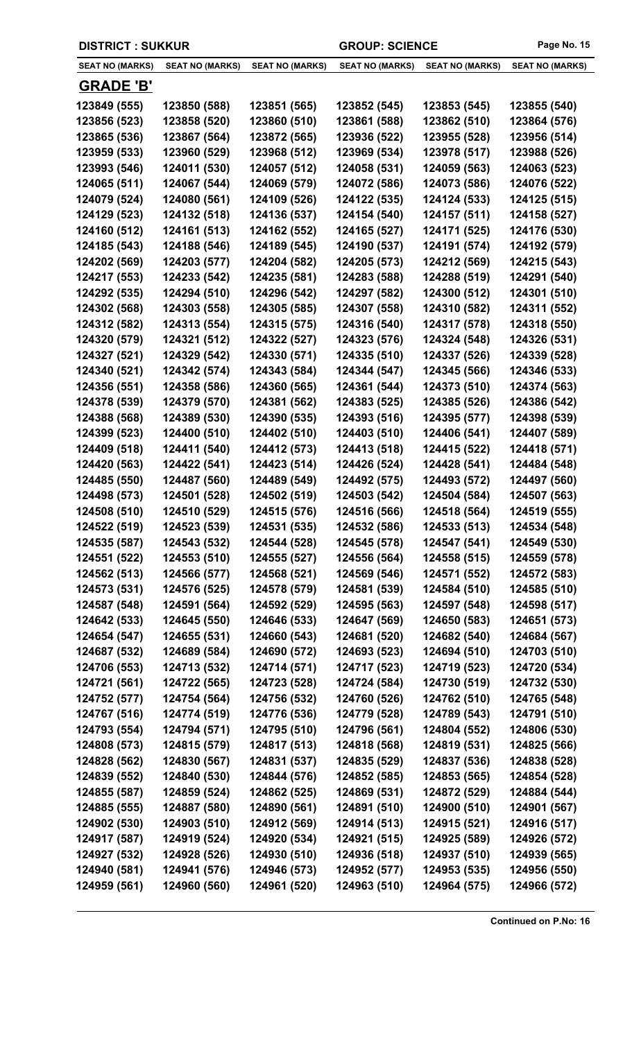| <b>DISTRICT: SUKKUR</b>      |                              |                              |                              | <b>GROUP: SCIENCE</b>        |                              |
|------------------------------|------------------------------|------------------------------|------------------------------|------------------------------|------------------------------|
| <b>SEAT NO (MARKS)</b>       | <b>SEAT NO (MARKS)</b>       | <b>SEAT NO (MARKS)</b>       | <b>SEAT NO (MARKS)</b>       | <b>SEAT NO (MARKS)</b>       | <b>SEAT NO (MARKS)</b>       |
| <b>GRADE 'B'</b>             |                              |                              |                              |                              |                              |
| 123849 (555)                 | 123850 (588)                 | 123851 (565)                 | 123852 (545)                 | 123853 (545)                 | 123855 (540)                 |
| 123856 (523)                 | 123858 (520)                 | 123860 (510)                 | 123861 (588)                 | 123862 (510)                 | 123864 (576)                 |
| 123865 (536)                 | 123867 (564)                 | 123872 (565)                 | 123936 (522)                 | 123955 (528)                 | 123956 (514)                 |
| 123959 (533)                 | 123960 (529)                 | 123968 (512)                 | 123969 (534)                 | 123978 (517)                 | 123988 (526)                 |
| 123993 (546)                 | 124011 (530)                 | 124057 (512)                 | 124058 (531)                 | 124059 (563)                 | 124063 (523)                 |
| 124065 (511)                 | 124067 (544)                 | 124069 (579)                 | 124072 (586)                 | 124073 (586)                 | 124076 (522)                 |
| 124079 (524)                 | 124080 (561)                 | 124109 (526)                 | 124122 (535)                 | 124124 (533)                 | 124125 (515)                 |
| 124129 (523)                 | 124132 (518)                 | 124136 (537)                 | 124154 (540)                 | 124157 (511)                 | 124158 (527)                 |
| 124160 (512)                 | 124161 (513)                 | 124162 (552)                 | 124165 (527)                 | 124171 (525)                 | 124176 (530)                 |
| 124185 (543)                 | 124188 (546)                 | 124189 (545)                 | 124190 (537)                 | 124191 (574)                 | 124192 (579)                 |
| 124202 (569)                 | 124203 (577)                 | 124204 (582)                 | 124205 (573)                 | 124212 (569)                 | 124215 (543)                 |
| 124217 (553)                 | 124233 (542)                 | 124235 (581)                 | 124283 (588)                 | 124288 (519)                 | 124291 (540)                 |
| 124292 (535)                 | 124294 (510)                 | 124296 (542)                 | 124297 (582)                 | 124300 (512)                 | 124301 (510)                 |
| 124302 (568)                 | 124303 (558)                 | 124305 (585)                 | 124307 (558)                 | 124310 (582)                 | 124311 (552)                 |
| 124312 (582)                 | 124313 (554)                 | 124315 (575)                 | 124316 (540)                 | 124317 (578)                 | 124318 (550)                 |
| 124320 (579)                 | 124321 (512)                 | 124322 (527)                 | 124323 (576)                 | 124324 (548)                 | 124326 (531)                 |
| 124327 (521)                 | 124329 (542)                 | 124330 (571)                 | 124335 (510)                 | 124337 (526)                 | 124339 (528)                 |
| 124340 (521)                 | 124342 (574)                 | 124343 (584)                 | 124344 (547)                 | 124345 (566)                 | 124346 (533)                 |
| 124356 (551)                 | 124358 (586)                 | 124360 (565)                 | 124361 (544)                 | 124373 (510)                 | 124374 (563)                 |
| 124378 (539)                 | 124379 (570)                 | 124381 (562)                 | 124383 (525)                 | 124385 (526)                 | 124386 (542)                 |
| 124388 (568)                 | 124389 (530)                 | 124390 (535)                 | 124393 (516)                 | 124395 (577)                 | 124398 (539)                 |
| 124399 (523)                 | 124400 (510)                 | 124402 (510)                 | 124403 (510)                 | 124406 (541)                 | 124407 (589)                 |
| 124409 (518)                 | 124411 (540)                 | 124412 (573)                 | 124413 (518)                 | 124415 (522)                 | 124418 (571)                 |
| 124420 (563)                 | 124422 (541)                 | 124423 (514)                 | 124426 (524)                 | 124428 (541)                 | 124484 (548)                 |
| 124485 (550)                 | 124487 (560)                 | 124489 (549)                 | 124492 (575)                 | 124493 (572)                 | 124497 (560)                 |
| 124498 (573)                 | 124501 (528)                 | 124502 (519)                 | 124503 (542)                 | 124504 (584)                 | 124507 (563)                 |
| 124508 (510)                 | 124510 (529)                 | 124515 (576)                 | 124516 (566)                 | 124518 (564)                 | 124519 (555)                 |
| 124522 (519)                 | 124523 (539)                 | 124531 (535)                 | 124532 (586)                 | 124533 (513)                 | 124534 (548)                 |
| 124535 (587)                 | 124543 (532)                 | 124544 (528)                 | 124545 (578)                 | 124547 (541)                 | 124549 (530)                 |
| 124551 (522)                 | 124553 (510)                 | 124555 (527)                 | 124556 (564)                 | 124558 (515)                 | 124559 (578)                 |
| 124562 (513)                 | 124566 (577)                 | 124568 (521)                 | 124569 (546)                 | 124571 (552)                 | 124572 (583)                 |
| 124573 (531)                 | 124576 (525)                 | 124578 (579)                 | 124581 (539)                 | 124584 (510)                 | 124585 (510)                 |
| 124587 (548)                 | 124591 (564)                 | 124592 (529)                 | 124595 (563)                 | 124597 (548)                 | 124598 (517)                 |
| 124642 (533)                 | 124645 (550)                 | 124646 (533)                 | 124647 (569)                 | 124650 (583)                 | 124651 (573)                 |
| 124654 (547)                 | 124655 (531)                 | 124660 (543)                 | 124681 (520)                 | 124682 (540)                 | 124684 (567)                 |
| 124687 (532)                 | 124689 (584)                 | 124690 (572)                 | 124693 (523)                 | 124694 (510)                 | 124703 (510)                 |
| 124706 (553)                 | 124713 (532)                 | 124714 (571)                 | 124717 (523)                 | 124719 (523)                 | 124720 (534)                 |
| 124721 (561)                 | 124722 (565)                 | 124723 (528)                 | 124724 (584)                 | 124730 (519)                 | 124732 (530)                 |
| 124752 (577)                 | 124754 (564)                 | 124756 (532)                 | 124760 (526)                 | 124762 (510)                 | 124765 (548)                 |
| 124767 (516)<br>124793 (554) | 124774 (519)<br>124794 (571) | 124776 (536)<br>124795 (510) | 124779 (528)                 | 124789 (543)<br>124804 (552) | 124791 (510)                 |
| 124808 (573)                 | 124815 (579)                 | 124817 (513)                 | 124796 (561)<br>124818 (568) | 124819 (531)                 | 124806 (530)<br>124825 (566) |
| 124828 (562)                 | 124830 (567)                 | 124831 (537)                 | 124835 (529)                 | 124837 (536)                 |                              |
| 124839 (552)                 | 124840 (530)                 | 124844 (576)                 | 124852 (585)                 | 124853 (565)                 | 124838 (528)<br>124854 (528) |
| 124855 (587)                 | 124859 (524)                 | 124862 (525)                 | 124869 (531)                 | 124872 (529)                 | 124884 (544)                 |
| 124885 (555)                 | 124887 (580)                 | 124890 (561)                 | 124891 (510)                 | 124900 (510)                 | 124901 (567)                 |
| 124902 (530)                 | 124903 (510)                 | 124912 (569)                 | 124914 (513)                 | 124915 (521)                 | 124916 (517)                 |
| 124917 (587)                 | 124919 (524)                 | 124920 (534)                 | 124921 (515)                 | 124925 (589)                 | 124926 (572)                 |
| 124927 (532)                 | 124928 (526)                 | 124930 (510)                 | 124936 (518)                 | 124937 (510)                 | 124939 (565)                 |
| 124940 (581)                 | 124941 (576)                 | 124946 (573)                 | 124952 (577)                 | 124953 (535)                 | 124956 (550)                 |
| 124959 (561)                 | 124960 (560)                 | 124961 (520)                 | 124963 (510)                 | 124964 (575)                 | 124966 (572)                 |
|                              |                              |                              |                              |                              |                              |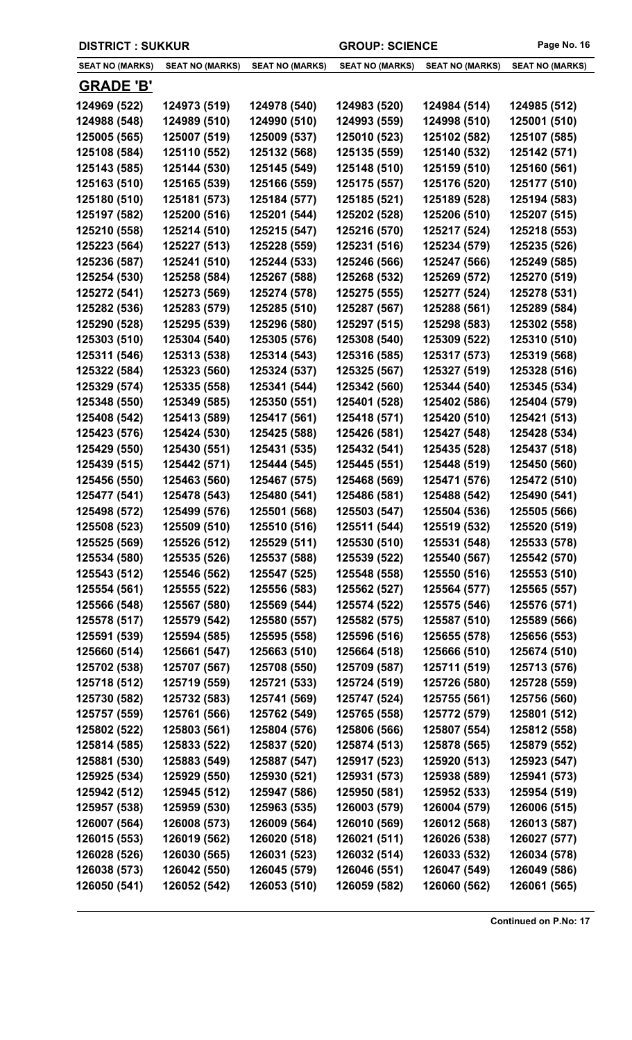| <b>DISTRICT : SUKKUR</b> |                        |                        | <b>GROUP: SCIENCE</b>  |                        | Page No. 16            |
|--------------------------|------------------------|------------------------|------------------------|------------------------|------------------------|
| <b>SEAT NO (MARKS)</b>   | <b>SEAT NO (MARKS)</b> | <b>SEAT NO (MARKS)</b> | <b>SEAT NO (MARKS)</b> | <b>SEAT NO (MARKS)</b> | <b>SEAT NO (MARKS)</b> |
| <b>GRADE 'B'</b>         |                        |                        |                        |                        |                        |
| 124969 (522)             | 124973 (519)           | 124978 (540)           | 124983 (520)           | 124984 (514)           | 124985 (512)           |
| 124988 (548)             | 124989 (510)           | 124990 (510)           | 124993 (559)           | 124998 (510)           | 125001 (510)           |
| 125005 (565)             | 125007 (519)           | 125009 (537)           | 125010 (523)           | 125102 (582)           | 125107 (585)           |
| 125108 (584)             | 125110 (552)           | 125132 (568)           | 125135 (559)           | 125140 (532)           | 125142 (571)           |
| 125143 (585)             | 125144 (530)           | 125145 (549)           | 125148 (510)           | 125159 (510)           | 125160 (561)           |
| 125163 (510)             | 125165 (539)           | 125166 (559)           | 125175 (557)           | 125176 (520)           | 125177 (510)           |
| 125180 (510)             | 125181 (573)           | 125184 (577)           | 125185 (521)           | 125189 (528)           | 125194 (583)           |
| 125197 (582)             | 125200 (516)           | 125201 (544)           | 125202 (528)           | 125206 (510)           | 125207 (515)           |
| 125210 (558)             | 125214 (510)           | 125215 (547)           | 125216 (570)           | 125217 (524)           | 125218 (553)           |
| 125223 (564)             | 125227 (513)           | 125228 (559)           | 125231 (516)           | 125234 (579)           | 125235 (526)           |
| 125236 (587)             | 125241 (510)           | 125244 (533)           | 125246 (566)           | 125247 (566)           | 125249 (585)           |
| 125254 (530)             | 125258 (584)           | 125267 (588)           | 125268 (532)           | 125269 (572)           | 125270 (519)           |
| 125272 (541)             | 125273 (569)           | 125274 (578)           | 125275 (555)           | 125277 (524)           | 125278 (531)           |
| 125282 (536)             | 125283 (579)           | 125285 (510)           | 125287 (567)           | 125288 (561)           | 125289 (584)           |
| 125290 (528)             | 125295 (539)           | 125296 (580)           | 125297 (515)           | 125298 (583)           | 125302 (558)           |
| 125303 (510)             | 125304 (540)           | 125305 (576)           | 125308 (540)           | 125309 (522)           | 125310 (510)           |
| 125311 (546)             | 125313 (538)           | 125314 (543)           | 125316 (585)           | 125317 (573)           | 125319 (568)           |
| 125322 (584)             | 125323 (560)           | 125324 (537)           | 125325 (567)           | 125327 (519)           | 125328 (516)           |
| 125329 (574)             | 125335 (558)           | 125341 (544)           | 125342 (560)           | 125344 (540)           | 125345 (534)           |
| 125348 (550)             | 125349 (585)           | 125350 (551)           | 125401 (528)           | 125402 (586)           | 125404 (579)           |
| 125408 (542)             | 125413 (589)           | 125417 (561)           | 125418 (571)           | 125420 (510)           | 125421 (513)           |
| 125423 (576)             | 125424 (530)           | 125425 (588)           | 125426 (581)           | 125427 (548)           | 125428 (534)           |
| 125429 (550)             | 125430 (551)           | 125431 (535)           | 125432 (541)           | 125435 (528)           | 125437 (518)           |
| 125439 (515)             | 125442 (571)           | 125444 (545)           | 125445 (551)           | 125448 (519)           | 125450 (560)           |
| 125456 (550)             | 125463 (560)           | 125467 (575)           | 125468 (569)           | 125471 (576)           | 125472 (510)           |
| 125477 (541)             | 125478 (543)           | 125480 (541)           | 125486 (581)           | 125488 (542)           | 125490 (541)           |
| 125498 (572)             | 125499 (576)           | 125501 (568)           | 125503 (547)           | 125504 (536)           | 125505 (566)           |
| 125508 (523)             | 125509 (510)           | 125510 (516)           | 125511 (544)           | 125519 (532)           | 125520 (519)           |
| 125525 (569)             | 125526 (512)           | 125529 (511)           | 125530 (510)           | 125531 (548)           | 125533 (578)           |
| 125534 (580)             | 125535 (526)           | 125537 (588)           | 125539 (522)           | 125540 (567)           | 125542 (570)           |
| 125543 (512)             | 125546 (562)           | 125547 (525)           | 125548 (558)           | 125550 (516)           | 125553 (510)           |
| 125554 (561)             | 125555 (522)           | 125556 (583)           | 125562 (527)           | 125564 (577)           | 125565 (557)           |
| 125566 (548)             | 125567 (580)           | 125569 (544)           | 125574 (522)           | 125575 (546)           | 125576 (571)           |
| 125578 (517)             | 125579 (542)           | 125580 (557)           | 125582 (575)           | 125587 (510)           | 125589 (566)           |
| 125591 (539)             | 125594 (585)           | 125595 (558)           | 125596 (516)           | 125655 (578)           | 125656 (553)           |
| 125660 (514)             | 125661 (547)           | 125663 (510)           | 125664 (518)           | 125666 (510)           | 125674 (510)           |
| 125702 (538)             | 125707 (567)           | 125708 (550)           | 125709 (587)           | 125711 (519)           | 125713 (576)           |
| 125718 (512)             | 125719 (559)           | 125721 (533)           | 125724 (519)           | 125726 (580)           | 125728 (559)           |
| 125730 (582)             | 125732 (583)           | 125741 (569)           | 125747 (524)           | 125755 (561)           | 125756 (560)           |
| 125757 (559)             | 125761 (566)           | 125762 (549)           | 125765 (558)           | 125772 (579)           | 125801 (512)           |
| 125802 (522)             | 125803 (561)           | 125804 (576)           | 125806 (566)           | 125807 (554)           | 125812 (558)           |
| 125814 (585)             | 125833 (522)           | 125837 (520)           | 125874 (513)           | 125878 (565)           | 125879 (552)           |
| 125881 (530)             | 125883 (549)           | 125887 (547)           | 125917 (523)           | 125920 (513)           | 125923 (547)           |
| 125925 (534)             | 125929 (550)           | 125930 (521)           | 125931 (573)           | 125938 (589)           | 125941 (573)           |
| 125942 (512)             | 125945 (512)           | 125947 (586)           | 125950 (581)           | 125952 (533)           | 125954 (519)           |
| 125957 (538)             | 125959 (530)           | 125963 (535)           | 126003 (579)           | 126004 (579)           | 126006 (515)           |
| 126007 (564)             | 126008 (573)           | 126009 (564)           | 126010 (569)           | 126012 (568)           | 126013 (587)           |
| 126015 (553)             | 126019 (562)           | 126020 (518)           | 126021 (511)           | 126026 (538)           | 126027 (577)           |
| 126028 (526)             | 126030 (565)           | 126031 (523)           | 126032 (514)           | 126033 (532)           | 126034 (578)           |
| 126038 (573)             | 126042 (550)           | 126045 (579)           | 126046 (551)           | 126047 (549)           | 126049 (586)           |
| 126050 (541)             | 126052 (542)           | 126053 (510)           | 126059 (582)           | 126060 (562)           | 126061 (565)           |
|                          |                        |                        |                        |                        |                        |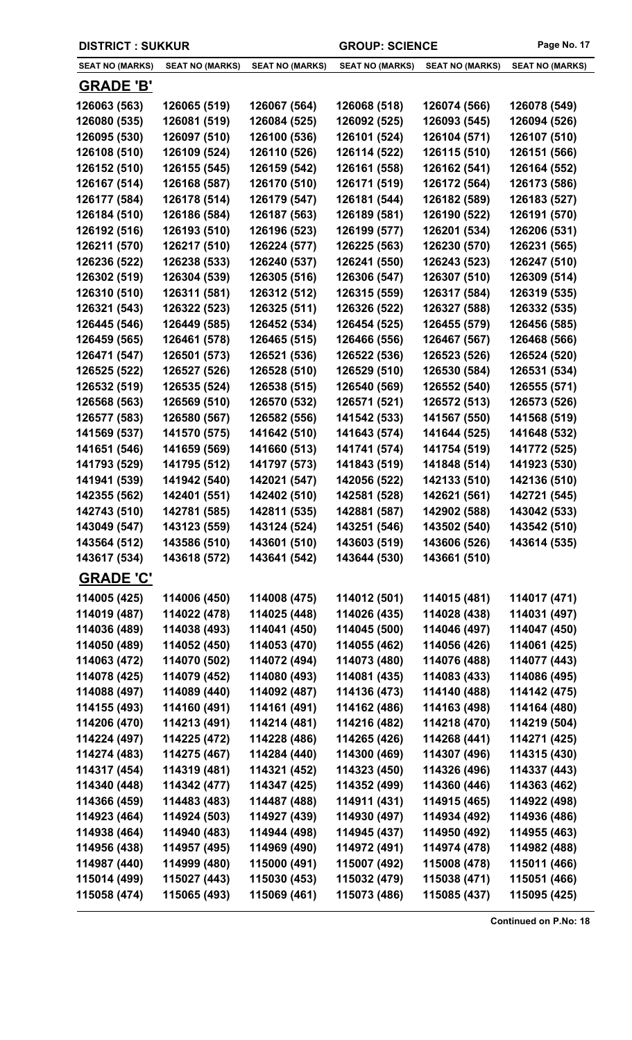| <b>DISTRICT : SUKKUR</b> |                        |                        | <b>GROUP: SCIENCE</b>  |                        | Page No. 17            |
|--------------------------|------------------------|------------------------|------------------------|------------------------|------------------------|
| <b>SEAT NO (MARKS)</b>   | <b>SEAT NO (MARKS)</b> | <b>SEAT NO (MARKS)</b> | <b>SEAT NO (MARKS)</b> | <b>SEAT NO (MARKS)</b> | <b>SEAT NO (MARKS)</b> |
| <b>GRADE 'B'</b>         |                        |                        |                        |                        |                        |
| 126063 (563)             | 126065 (519)           | 126067 (564)           | 126068 (518)           | 126074 (566)           | 126078 (549)           |
| 126080 (535)             | 126081 (519)           | 126084 (525)           | 126092 (525)           | 126093 (545)           | 126094 (526)           |
| 126095 (530)             | 126097 (510)           | 126100 (536)           | 126101 (524)           | 126104 (571)           | 126107 (510)           |
| 126108 (510)             | 126109 (524)           | 126110 (526)           | 126114 (522)           | 126115 (510)           | 126151 (566)           |
| 126152 (510)             | 126155 (545)           | 126159 (542)           | 126161 (558)           | 126162 (541)           | 126164 (552)           |
| 126167 (514)             | 126168 (587)           | 126170 (510)           | 126171 (519)           | 126172 (564)           | 126173 (586)           |
| 126177 (584)             | 126178 (514)           | 126179 (547)           | 126181 (544)           | 126182 (589)           | 126183 (527)           |
| 126184 (510)             | 126186 (584)           | 126187 (563)           | 126189 (581)           | 126190 (522)           | 126191 (570)           |
| 126192 (516)             | 126193 (510)           | 126196 (523)           | 126199 (577)           | 126201 (534)           | 126206 (531)           |
| 126211 (570)             | 126217 (510)           | 126224 (577)           | 126225 (563)           | 126230 (570)           | 126231 (565)           |
| 126236 (522)             | 126238 (533)           | 126240 (537)           | 126241 (550)           | 126243 (523)           | 126247 (510)           |
| 126302 (519)             | 126304 (539)           | 126305 (516)           | 126306 (547)           | 126307 (510)           | 126309 (514)           |
| 126310 (510)             | 126311 (581)           | 126312 (512)           | 126315 (559)           | 126317 (584)           | 126319 (535)           |
| 126321 (543)             | 126322 (523)           | 126325 (511)           | 126326 (522)           | 126327 (588)           | 126332 (535)           |
| 126445 (546)             | 126449 (585)           | 126452 (534)           | 126454 (525)           | 126455 (579)           | 126456 (585)           |
| 126459 (565)             | 126461 (578)           | 126465 (515)           | 126466 (556)           | 126467 (567)           | 126468 (566)           |
| 126471 (547)             | 126501 (573)           | 126521 (536)           | 126522 (536)           | 126523 (526)           | 126524 (520)           |
| 126525 (522)             | 126527 (526)           | 126528 (510)           | 126529 (510)           | 126530 (584)           | 126531 (534)           |
| 126532 (519)             | 126535 (524)           | 126538 (515)           | 126540 (569)           | 126552 (540)           | 126555 (571)           |
| 126568 (563)             | 126569 (510)           | 126570 (532)           | 126571 (521)           | 126572 (513)           | 126573 (526)           |
| 126577 (583)             | 126580 (567)           | 126582 (556)           | 141542 (533)           | 141567 (550)           | 141568 (519)           |
| 141569 (537)             | 141570 (575)           | 141642 (510)           | 141643 (574)           | 141644 (525)           | 141648 (532)           |
| 141651 (546)             | 141659 (569)           | 141660 (513)           | 141741 (574)           | 141754 (519)           | 141772 (525)           |
| 141793 (529)             | 141795 (512)           | 141797 (573)           | 141843 (519)           | 141848 (514)           | 141923 (530)           |
| 141941 (539)             | 141942 (540)           | 142021 (547)           | 142056 (522)           | 142133 (510)           | 142136 (510)           |
| 142355 (562)             | 142401 (551)           | 142402 (510)           | 142581 (528)           | 142621 (561)           | 142721 (545)           |
| 142743 (510)             | 142781 (585)           | 142811 (535)           | 142881 (587)           | 142902 (588)           | 143042 (533)           |
| 143049 (547)             | 143123 (559)           | 143124 (524)           | 143251 (546)           | 143502 (540)           | 143542 (510)           |
| 143564 (512)             | 143586 (510)           | 143601 (510)           | 143603 (519)           | 143606 (526)           | 143614 (535)           |
| 143617 (534)             | 143618 (572)           | 143641 (542)           | 143644 (530)           | 143661 (510)           |                        |
| <b>GRADE 'C'</b>         |                        |                        |                        |                        |                        |
| 114005 (425)             | 114006 (450)           | 114008 (475)           | 114012 (501)           | 114015 (481)           | 114017 (471)           |
| 114019 (487)             | 114022 (478)           | 114025 (448)           | 114026 (435)           | 114028 (438)           | 114031 (497)           |
| 114036 (489)             | 114038 (493)           | 114041 (450)           | 114045 (500)           | 114046 (497)           | 114047 (450)           |
| 114050 (489)             | 114052 (450)           | 114053 (470)           | 114055 (462)           | 114056 (426)           | 114061 (425)           |
| 114063 (472)             | 114070 (502)           | 114072 (494)           | 114073 (480)           | 114076 (488)           | 114077 (443)           |
| 114078 (425)             | 114079 (452)           | 114080 (493)           | 114081 (435)           | 114083 (433)           | 114086 (495)           |
| 114088 (497)             | 114089 (440)           | 114092 (487)           | 114136 (473)           | 114140 (488)           | 114142 (475)           |
| 114155 (493)             | 114160 (491)           | 114161 (491)           | 114162 (486)           | 114163 (498)           | 114164 (480)           |
| 114206 (470)             | 114213 (491)           | 114214 (481)           | 114216 (482)           | 114218 (470)           | 114219 (504)           |
| 114224 (497)             | 114225 (472)           | 114228 (486)           | 114265 (426)           | 114268 (441)           | 114271 (425)           |
| 114274 (483)             | 114275 (467)           | 114284 (440)           | 114300 (469)           | 114307 (496)           | 114315 (430)           |
| 114317 (454)             | 114319 (481)           | 114321 (452)           | 114323 (450)           | 114326 (496)           | 114337 (443)           |
| 114340 (448)             | 114342 (477)           | 114347 (425)           | 114352 (499)           | 114360 (446)           | 114363 (462)           |
| 114366 (459)             | 114483 (483)           | 114487 (488)           | 114911 (431)           | 114915 (465)           | 114922 (498)           |
| 114923 (464)             | 114924 (503)           | 114927 (439)           | 114930 (497)           | 114934 (492)           | 114936 (486)           |
| 114938 (464)             | 114940 (483)           | 114944 (498)           | 114945 (437)           | 114950 (492)           | 114955 (463)           |
| 114956 (438)             | 114957 (495)           | 114969 (490)           | 114972 (491)           | 114974 (478)           | 114982 (488)           |
| 114987 (440)             | 114999 (480)           | 115000 (491)           | 115007 (492)           | 115008 (478)           | 115011 (466)           |
| 115014 (499)             | 115027 (443)           | 115030 (453)           | 115032 (479)           | 115038 (471)           | 115051 (466)           |
| 115058 (474)             | 115065 (493)           | 115069 (461)           | 115073 (486)           | 115085 (437)           | 115095 (425)           |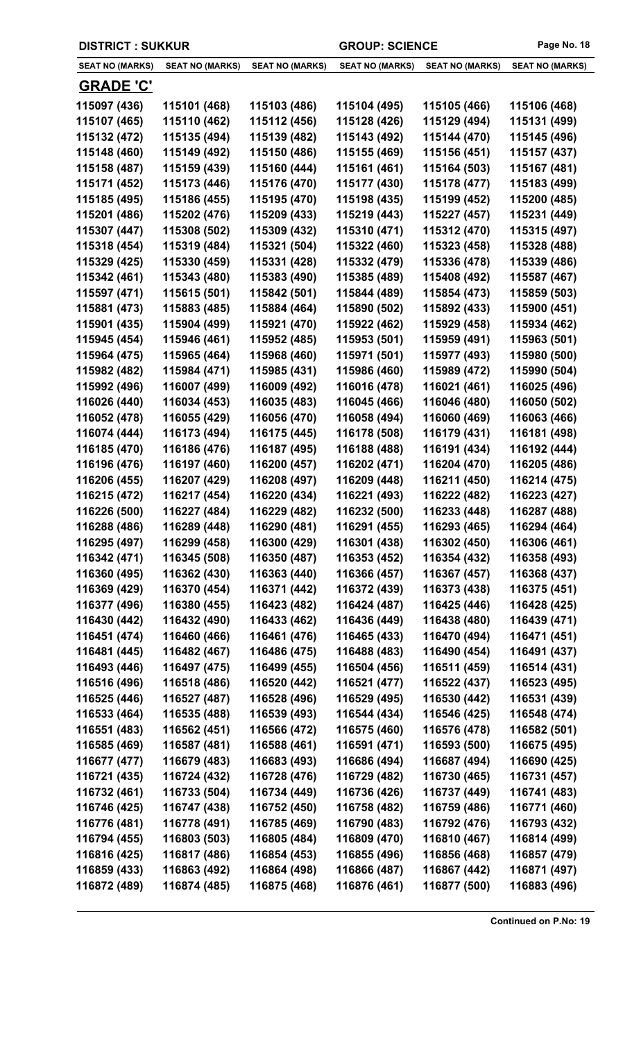| <b>DISTRICT: SUKKUR</b> |                        |                        | <b>GROUP: SCIENCE</b>  |                        | Page No. 18            |
|-------------------------|------------------------|------------------------|------------------------|------------------------|------------------------|
| <b>SEAT NO (MARKS)</b>  | <b>SEAT NO (MARKS)</b> | <b>SEAT NO (MARKS)</b> | <b>SEAT NO (MARKS)</b> | <b>SEAT NO (MARKS)</b> | <b>SEAT NO (MARKS)</b> |
| <b>GRADE 'C'</b>        |                        |                        |                        |                        |                        |
| 115097 (436)            | 115101 (468)           | 115103 (486)           | 115104 (495)           | 115105 (466)           | 115106 (468)           |
| 115107 (465)            | 115110 (462)           | 115112 (456)           | 115128 (426)           | 115129 (494)           | 115131 (499)           |
| 115132 (472)            | 115135 (494)           | 115139 (482)           | 115143 (492)           | 115144 (470)           | 115145 (496)           |
| 115148 (460)            | 115149 (492)           | 115150 (486)           | 115155 (469)           | 115156 (451)           | 115157 (437)           |
| 115158 (487)            | 115159 (439)           | 115160 (444)           | 115161 (461)           | 115164 (503)           | 115167 (481)           |
| 115171 (452)            | 115173 (446)           | 115176 (470)           | 115177 (430)           | 115178 (477)           | 115183 (499)           |
| 115185 (495)            | 115186 (455)           | 115195 (470)           | 115198 (435)           | 115199 (452)           | 115200 (485)           |
| 115201 (486)            | 115202 (476)           | 115209 (433)           | 115219 (443)           | 115227 (457)           | 115231 (449)           |
| 115307 (447)            | 115308 (502)           | 115309 (432)           | 115310 (471)           | 115312 (470)           | 115315 (497)           |
| 115318 (454)            | 115319 (484)           | 115321 (504)           | 115322 (460)           | 115323 (458)           | 115328 (488)           |
| 115329 (425)            | 115330 (459)           | 115331 (428)           | 115332 (479)           | 115336 (478)           | 115339 (486)           |
| 115342 (461)            | 115343 (480)           | 115383 (490)           | 115385 (489)           | 115408 (492)           | 115587 (467)           |
| 115597 (471)            | 115615 (501)           | 115842 (501)           | 115844 (489)           | 115854 (473)           | 115859 (503)           |
| 115881 (473)            | 115883 (485)           | 115884 (464)           | 115890 (502)           | 115892 (433)           | 115900 (451)           |
| 115901 (435)            | 115904 (499)           | 115921 (470)           | 115922 (462)           | 115929 (458)           | 115934 (462)           |
| 115945 (454)            | 115946 (461)           | 115952 (485)           | 115953 (501)           | 115959 (491)           | 115963 (501)           |
| 115964 (475)            | 115965 (464)           | 115968 (460)           | 115971 (501)           | 115977 (493)           | 115980 (500)           |
| 115982 (482)            | 115984 (471)           | 115985 (431)           | 115986 (460)           | 115989 (472)           | 115990 (504)           |
| 115992 (496)            | 116007 (499)           | 116009 (492)           | 116016 (478)           | 116021 (461)           | 116025 (496)           |
| 116026 (440)            | 116034 (453)           | 116035 (483)           | 116045 (466)           | 116046 (480)           | 116050 (502)           |
| 116052 (478)            | 116055 (429)           | 116056 (470)           | 116058 (494)           | 116060 (469)           | 116063 (466)           |
| 116074 (444)            | 116173 (494)           | 116175 (445)           | 116178 (508)           | 116179 (431)           | 116181 (498)           |
| 116185 (470)            | 116186 (476)           | 116187 (495)           | 116188 (488)           | 116191 (434)           | 116192 (444)           |
| 116196 (476)            | 116197 (460)           | 116200 (457)           | 116202 (471)           | 116204 (470)           | 116205 (486)           |
| 116206 (455)            | 116207 (429)           | 116208 (497)           | 116209 (448)           | 116211 (450)           | 116214 (475)           |
| 116215 (472)            | 116217 (454)           | 116220 (434)           | 116221 (493)           | 116222 (482)           | 116223 (427)           |
| 116226 (500)            | 116227 (484)           | 116229 (482)           | 116232 (500)           | 116233 (448)           | 116287 (488)           |
| 116288 (486)            | 116289 (448)           | 116290 (481)           | 116291 (455)           | 116293 (465)           | 116294 (464)           |
| 116295 (497)            | 116299 (458)           | 116300 (429)           | 116301 (438)           | 116302 (450)           | 116306 (461)           |
| 116342 (471)            | 116345 (508)           | 116350 (487)           | 116353 (452)           | 116354 (432)           | 116358 (493)           |
| 116360 (495)            | 116362 (430)           | 116363 (440)           | 116366 (457)           | 116367 (457)           | 116368 (437)           |
| 116369 (429)            | 116370 (454)           | 116371 (442)           | 116372 (439)           | 116373 (438)           | 116375 (451)           |
| 116377 (496)            | 116380 (455)           | 116423 (482)           | 116424 (487)           | 116425 (446)           | 116428 (425)           |
| 116430 (442)            | 116432 (490)           | 116433 (462)           | 116436 (449)           | 116438 (480)           | 116439 (471)           |
| 116451 (474)            | 116460 (466)           | 116461 (476)           | 116465 (433)           | 116470 (494)           | 116471 (451)           |
| 116481 (445)            | 116482 (467)           | 116486 (475)           | 116488 (483)           | 116490 (454)           | 116491 (437)           |
| 116493 (446)            | 116497 (475)           | 116499 (455)           | 116504 (456)           | 116511 (459)           | 116514 (431)           |
| 116516 (496)            | 116518 (486)           | 116520 (442)           | 116521 (477)           | 116522 (437)           | 116523 (495)           |
| 116525 (446)            | 116527 (487)           | 116528 (496)           | 116529 (495)           | 116530 (442)           | 116531 (439)           |
| 116533 (464)            | 116535 (488)           | 116539 (493)           | 116544 (434)           | 116546 (425)           | 116548 (474)           |
| 116551 (483)            | 116562 (451)           | 116566 (472)           | 116575 (460)           | 116576 (478)           | 116582 (501)           |
| 116585 (469)            | 116587 (481)           | 116588 (461)           | 116591 (471)           | 116593 (500)           | 116675 (495)           |
| 116677 (477)            | 116679 (483)           | 116683 (493)           | 116686 (494)           | 116687 (494)           | 116690 (425)           |
| 116721 (435)            | 116724 (432)           | 116728 (476)           | 116729 (482)           | 116730 (465)           | 116731 (457)           |
| 116732 (461)            | 116733 (504)           | 116734 (449)           | 116736 (426)           | 116737 (449)           | 116741 (483)           |
| 116746 (425)            | 116747 (438)           | 116752 (450)           | 116758 (482)           | 116759 (486)           | 116771 (460)           |
| 116776 (481)            | 116778 (491)           | 116785 (469)           | 116790 (483)           | 116792 (476)           | 116793 (432)           |
| 116794 (455)            | 116803 (503)           | 116805 (484)           | 116809 (470)           | 116810 (467)           | 116814 (499)           |
| 116816 (425)            | 116817 (486)           | 116854 (453)           | 116855 (496)           | 116856 (468)           | 116857 (479)           |
| 116859 (433)            | 116863 (492)           | 116864 (498)           | 116866 (487)           | 116867 (442)           | 116871 (497)           |
| 116872 (489)            | 116874 (485)           | 116875 (468)           | 116876 (461)           | 116877 (500)           | 116883 (496)           |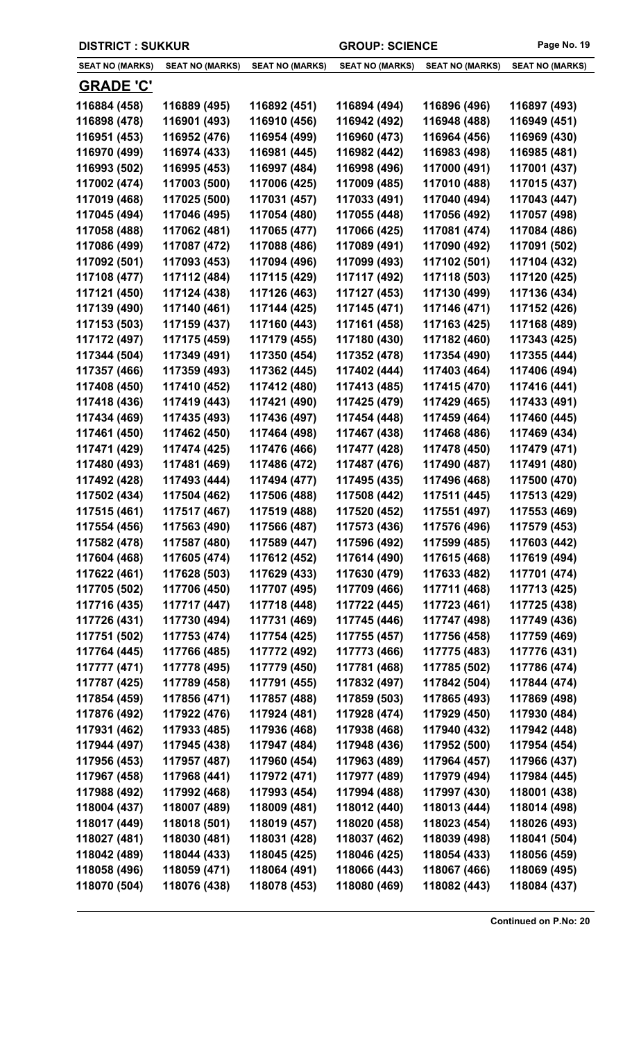| <b>DISTRICT : SUKKUR</b>     |                              |                              | <b>GROUP: SCIENCE</b>        |                              | Page No. 19                  |
|------------------------------|------------------------------|------------------------------|------------------------------|------------------------------|------------------------------|
| <b>SEAT NO (MARKS)</b>       | <b>SEAT NO (MARKS)</b>       | <b>SEAT NO (MARKS)</b>       | <b>SEAT NO (MARKS)</b>       | <b>SEAT NO (MARKS)</b>       | <b>SEAT NO (MARKS)</b>       |
| <b>GRADE 'C'</b>             |                              |                              |                              |                              |                              |
| 116884 (458)                 | 116889 (495)                 | 116892 (451)                 | 116894 (494)                 | 116896 (496)                 | 116897 (493)                 |
| 116898 (478)                 | 116901 (493)                 | 116910 (456)                 | 116942 (492)                 | 116948 (488)                 | 116949 (451)                 |
| 116951 (453)                 | 116952 (476)                 | 116954 (499)                 | 116960 (473)                 | 116964 (456)                 | 116969 (430)                 |
| 116970 (499)                 | 116974 (433)                 | 116981 (445)                 | 116982 (442)                 | 116983 (498)                 | 116985 (481)                 |
| 116993 (502)                 | 116995 (453)                 | 116997 (484)                 | 116998 (496)                 | 117000 (491)                 | 117001 (437)                 |
| 117002 (474)                 | 117003 (500)                 | 117006 (425)                 | 117009 (485)                 | 117010 (488)                 | 117015 (437)                 |
| 117019 (468)                 | 117025 (500)                 | 117031 (457)                 | 117033 (491)                 | 117040 (494)                 | 117043 (447)                 |
| 117045 (494)                 | 117046 (495)                 | 117054 (480)                 | 117055 (448)                 | 117056 (492)                 | 117057 (498)                 |
| 117058 (488)                 | 117062 (481)                 | 117065 (477)                 | 117066 (425)                 | 117081 (474)                 | 117084 (486)                 |
| 117086 (499)                 | 117087 (472)                 | 117088 (486)                 | 117089 (491)                 | 117090 (492)                 | 117091 (502)                 |
| 117092 (501)                 | 117093 (453)                 | 117094 (496)                 | 117099 (493)                 | 117102 (501)                 | 117104 (432)                 |
| 117108 (477)                 | 117112 (484)                 | 117115 (429)                 | 117117 (492)                 | 117118 (503)                 | 117120 (425)                 |
| 117121 (450)                 | 117124 (438)                 | 117126 (463)                 | 117127 (453)                 | 117130 (499)                 | 117136 (434)                 |
| 117139 (490)                 | 117140 (461)                 | 117144 (425)                 | 117145 (471)                 | 117146 (471)                 | 117152 (426)                 |
| 117153 (503)                 | 117159 (437)                 | 117160 (443)                 | 117161 (458)                 | 117163 (425)                 | 117168 (489)                 |
| 117172 (497)                 | 117175 (459)                 | 117179 (455)                 | 117180 (430)                 | 117182 (460)                 | 117343 (425)                 |
| 117344 (504)                 | 117349 (491)                 | 117350 (454)                 | 117352 (478)                 | 117354 (490)                 | 117355 (444)                 |
| 117357 (466)                 | 117359 (493)                 | 117362 (445)                 | 117402 (444)                 | 117403 (464)                 | 117406 (494)                 |
| 117408 (450)                 | 117410 (452)                 | 117412 (480)                 | 117413 (485)                 | 117415 (470)                 | 117416 (441)                 |
| 117418 (436)                 | 117419 (443)                 | 117421 (490)                 | 117425 (479)                 | 117429 (465)                 | 117433 (491)                 |
| 117434 (469)                 | 117435 (493)                 | 117436 (497)                 | 117454 (448)                 | 117459 (464)                 | 117460 (445)                 |
| 117461 (450)                 | 117462 (450)                 | 117464 (498)                 | 117467 (438)                 | 117468 (486)                 | 117469 (434)                 |
| 117471 (429)                 | 117474 (425)                 | 117476 (466)                 | 117477 (428)                 | 117478 (450)                 | 117479 (471)                 |
| 117480 (493)                 | 117481 (469)                 | 117486 (472)                 | 117487 (476)                 | 117490 (487)                 | 117491 (480)                 |
| 117492 (428)                 | 117493 (444)                 | 117494 (477)                 | 117495 (435)                 | 117496 (468)                 | 117500 (470)                 |
| 117502 (434)                 | 117504 (462)                 | 117506 (488)                 | 117508 (442)                 | 117511 (445)                 | 117513 (429)                 |
| 117515 (461)                 | 117517 (467)                 | 117519 (488)                 | 117520 (452)                 | 117551 (497)                 | 117553 (469)                 |
| 117554 (456)                 | 117563 (490)                 | 117566 (487)                 | 117573 (436)                 | 117576 (496)                 | 117579 (453)                 |
| 117582 (478)                 | 117587 (480)                 | 117589 (447)                 | 117596 (492)                 | 117599 (485)                 | 117603 (442)                 |
| 117604 (468)                 | 117605 (474)                 | 117612 (452)                 | 117614 (490)<br>117630 (479) | 117615 (468)                 | 117619 (494)                 |
| 117622 (461)                 | 117628 (503)<br>117706 (450) | 117629 (433)<br>117707 (495) | 117709 (466)                 | 117633 (482)<br>117711 (468) | 117701 (474)                 |
| 117705 (502)<br>117716 (435) | 117717 (447)                 | 117718 (448)                 | 117722 (445)                 | 117723 (461)                 | 117713 (425)<br>117725 (438) |
| 117726 (431)                 | 117730 (494)                 | 117731 (469)                 | 117745 (446)                 | 117747 (498)                 | 117749 (436)                 |
| 117751 (502)                 | 117753 (474)                 | 117754 (425)                 | 117755 (457)                 | 117756 (458)                 | 117759 (469)                 |
| 117764 (445)                 | 117766 (485)                 | 117772 (492)                 | 117773 (466)                 | 117775 (483)                 | 117776 (431)                 |
| 117777 (471)                 | 117778 (495)                 | 117779 (450)                 | 117781 (468)                 | 117785 (502)                 | 117786 (474)                 |
| 117787 (425)                 | 117789 (458)                 | 117791 (455)                 | 117832 (497)                 | 117842 (504)                 | 117844 (474)                 |
| 117854 (459)                 | 117856 (471)                 | 117857 (488)                 | 117859 (503)                 | 117865 (493)                 | 117869 (498)                 |
| 117876 (492)                 | 117922 (476)                 | 117924 (481)                 | 117928 (474)                 | 117929 (450)                 | 117930 (484)                 |
| 117931 (462)                 | 117933 (485)                 | 117936 (468)                 | 117938 (468)                 | 117940 (432)                 | 117942 (448)                 |
| 117944 (497)                 | 117945 (438)                 | 117947 (484)                 | 117948 (436)                 | 117952 (500)                 | 117954 (454)                 |
| 117956 (453)                 | 117957 (487)                 | 117960 (454)                 | 117963 (489)                 | 117964 (457)                 | 117966 (437)                 |
| 117967 (458)                 | 117968 (441)                 | 117972 (471)                 | 117977 (489)                 | 117979 (494)                 | 117984 (445)                 |
| 117988 (492)                 | 117992 (468)                 | 117993 (454)                 | 117994 (488)                 | 117997 (430)                 | 118001 (438)                 |
| 118004 (437)                 | 118007 (489)                 | 118009 (481)                 | 118012 (440)                 | 118013 (444)                 | 118014 (498)                 |
| 118017 (449)                 | 118018 (501)                 | 118019 (457)                 | 118020 (458)                 | 118023 (454)                 | 118026 (493)                 |
| 118027 (481)                 | 118030 (481)                 | 118031 (428)                 | 118037 (462)                 | 118039 (498)                 | 118041 (504)                 |
| 118042 (489)                 | 118044 (433)                 | 118045 (425)                 | 118046 (425)                 | 118054 (433)                 | 118056 (459)                 |
| 118058 (496)                 | 118059 (471)                 | 118064 (491)                 | 118066 (443)                 | 118067 (466)                 | 118069 (495)                 |
| 118070 (504)                 | 118076 (438)                 | 118078 (453)                 | 118080 (469)                 | 118082 (443)                 | 118084 (437)                 |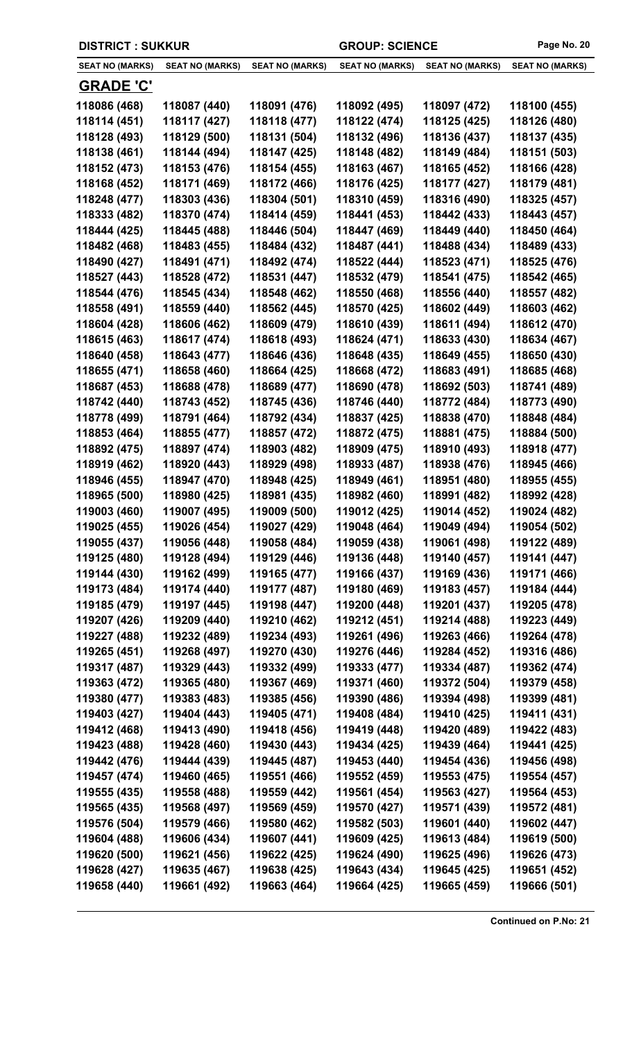| <b>DISTRICT: SUKKUR</b> |                        |                        | <b>GROUP: SCIENCE</b>  |                        | Page No. 20            |
|-------------------------|------------------------|------------------------|------------------------|------------------------|------------------------|
| <b>SEAT NO (MARKS)</b>  | <b>SEAT NO (MARKS)</b> | <b>SEAT NO (MARKS)</b> | <b>SEAT NO (MARKS)</b> | <b>SEAT NO (MARKS)</b> | <b>SEAT NO (MARKS)</b> |
| <b>GRADE 'C'</b>        |                        |                        |                        |                        |                        |
| 118086 (468)            | 118087 (440)           | 118091 (476)           | 118092 (495)           | 118097 (472)           | 118100 (455)           |
| 118114 (451)            | 118117 (427)           | 118118 (477)           | 118122 (474)           | 118125 (425)           | 118126 (480)           |
| 118128 (493)            | 118129 (500)           | 118131 (504)           | 118132 (496)           | 118136 (437)           | 118137 (435)           |
| 118138 (461)            | 118144 (494)           | 118147 (425)           | 118148 (482)           | 118149 (484)           | 118151 (503)           |
| 118152 (473)            | 118153 (476)           | 118154 (455)           | 118163 (467)           | 118165 (452)           | 118166 (428)           |
| 118168 (452)            | 118171 (469)           | 118172 (466)           | 118176 (425)           | 118177 (427)           | 118179 (481)           |
| 118248 (477)            | 118303 (436)           | 118304 (501)           | 118310 (459)           | 118316 (490)           | 118325 (457)           |
| 118333 (482)            | 118370 (474)           | 118414 (459)           | 118441 (453)           | 118442 (433)           | 118443 (457)           |
| 118444 (425)            | 118445 (488)           | 118446 (504)           | 118447 (469)           | 118449 (440)           | 118450 (464)           |
| 118482 (468)            | 118483 (455)           | 118484 (432)           | 118487 (441)           | 118488 (434)           | 118489 (433)           |
| 118490 (427)            | 118491 (471)           | 118492 (474)           | 118522 (444)           | 118523 (471)           | 118525 (476)           |
| 118527 (443)            | 118528 (472)           | 118531 (447)           | 118532 (479)           | 118541 (475)           | 118542 (465)           |
| 118544 (476)            | 118545 (434)           | 118548 (462)           | 118550 (468)           | 118556 (440)           | 118557 (482)           |
| 118558 (491)            | 118559 (440)           | 118562 (445)           | 118570 (425)           | 118602 (449)           | 118603 (462)           |
| 118604 (428)            | 118606 (462)           | 118609 (479)           | 118610 (439)           | 118611 (494)           | 118612 (470)           |
| 118615 (463)            | 118617 (474)           | 118618 (493)           | 118624 (471)           | 118633 (430)           | 118634 (467)           |
| 118640 (458)            | 118643 (477)           | 118646 (436)           | 118648 (435)           | 118649 (455)           | 118650 (430)           |
| 118655 (471)            | 118658 (460)           | 118664 (425)           | 118668 (472)           | 118683 (491)           | 118685 (468)           |
| 118687 (453)            | 118688 (478)           | 118689 (477)           | 118690 (478)           | 118692 (503)           | 118741 (489)           |
| 118742 (440)            | 118743 (452)           | 118745 (436)           | 118746 (440)           | 118772 (484)           | 118773 (490)           |
| 118778 (499)            | 118791 (464)           | 118792 (434)           | 118837 (425)           | 118838 (470)           | 118848 (484)           |
| 118853 (464)            | 118855 (477)           | 118857 (472)           | 118872 (475)           | 118881 (475)           | 118884 (500)           |
| 118892 (475)            | 118897 (474)           | 118903 (482)           | 118909 (475)           | 118910 (493)           | 118918 (477)           |
| 118919 (462)            | 118920 (443)           | 118929 (498)           | 118933 (487)           | 118938 (476)           | 118945 (466)           |
| 118946 (455)            | 118947 (470)           | 118948 (425)           | 118949 (461)           | 118951 (480)           | 118955 (455)           |
| 118965 (500)            | 118980 (425)           | 118981 (435)           | 118982 (460)           | 118991 (482)           | 118992 (428)           |
| 119003 (460)            | 119007 (495)           | 119009 (500)           | 119012 (425)           | 119014 (452)           | 119024 (482)           |
| 119025 (455)            | 119026 (454)           | 119027 (429)           | 119048 (464)           | 119049 (494)           | 119054 (502)           |
| 119055 (437)            | 119056 (448)           | 119058 (484)           | 119059 (438)           | 119061 (498)           | 119122 (489)           |
| 119125 (480)            | 119128 (494)           | 119129 (446)           | 119136 (448)           | 119140 (457)           | 119141 (447)           |
| 119144 (430)            | 119162 (499)           | 119165 (477)           | 119166 (437)           | 119169 (436)           | 119171 (466)           |
| 119173 (484)            | 119174 (440)           | 119177 (487)           | 119180 (469)           | 119183 (457)           | 119184 (444)           |
| 119185 (479)            | 119197 (445)           | 119198 (447)           | 119200 (448)           | 119201 (437)           | 119205 (478)           |
| 119207 (426)            | 119209 (440)           | 119210 (462)           | 119212 (451)           | 119214 (488)           | 119223 (449)           |
| 119227 (488)            | 119232 (489)           | 119234 (493)           | 119261 (496)           | 119263 (466)           | 119264 (478)           |
| 119265 (451)            | 119268 (497)           | 119270 (430)           | 119276 (446)           | 119284 (452)           | 119316 (486)           |
| 119317 (487)            | 119329 (443)           | 119332 (499)           | 119333 (477)           | 119334 (487)           | 119362 (474)           |
| 119363 (472)            | 119365 (480)           | 119367 (469)           | 119371 (460)           | 119372 (504)           | 119379 (458)           |
| 119380 (477)            | 119383 (483)           | 119385 (456)           | 119390 (486)           | 119394 (498)           | 119399 (481)           |
| 119403 (427)            | 119404 (443)           | 119405 (471)           | 119408 (484)           | 119410 (425)           | 119411 (431)           |
| 119412 (468)            | 119413 (490)           | 119418 (456)           | 119419 (448)           | 119420 (489)           | 119422 (483)           |
| 119423 (488)            | 119428 (460)           | 119430 (443)           | 119434 (425)           | 119439 (464)           | 119441 (425)           |
| 119442 (476)            | 119444 (439)           | 119445 (487)           | 119453 (440)           | 119454 (436)           | 119456 (498)           |
| 119457 (474)            | 119460 (465)           | 119551 (466)           | 119552 (459)           | 119553 (475)           | 119554 (457)           |
| 119555 (435)            | 119558 (488)           | 119559 (442)           | 119561 (454)           | 119563 (427)           | 119564 (453)           |
| 119565 (435)            | 119568 (497)           | 119569 (459)           | 119570 (427)           | 119571 (439)           | 119572 (481)           |
| 119576 (504)            | 119579 (466)           | 119580 (462)           | 119582 (503)           | 119601 (440)           | 119602 (447)           |
| 119604 (488)            | 119606 (434)           | 119607 (441)           | 119609 (425)           | 119613 (484)           | 119619 (500)           |
| 119620 (500)            | 119621 (456)           | 119622 (425)           | 119624 (490)           | 119625 (496)           | 119626 (473)           |
| 119628 (427)            | 119635 (467)           | 119638 (425)           | 119643 (434)           | 119645 (425)           | 119651 (452)           |
| 119658 (440)            | 119661 (492)           | 119663 (464)           | 119664 (425)           | 119665 (459)           | 119666 (501)           |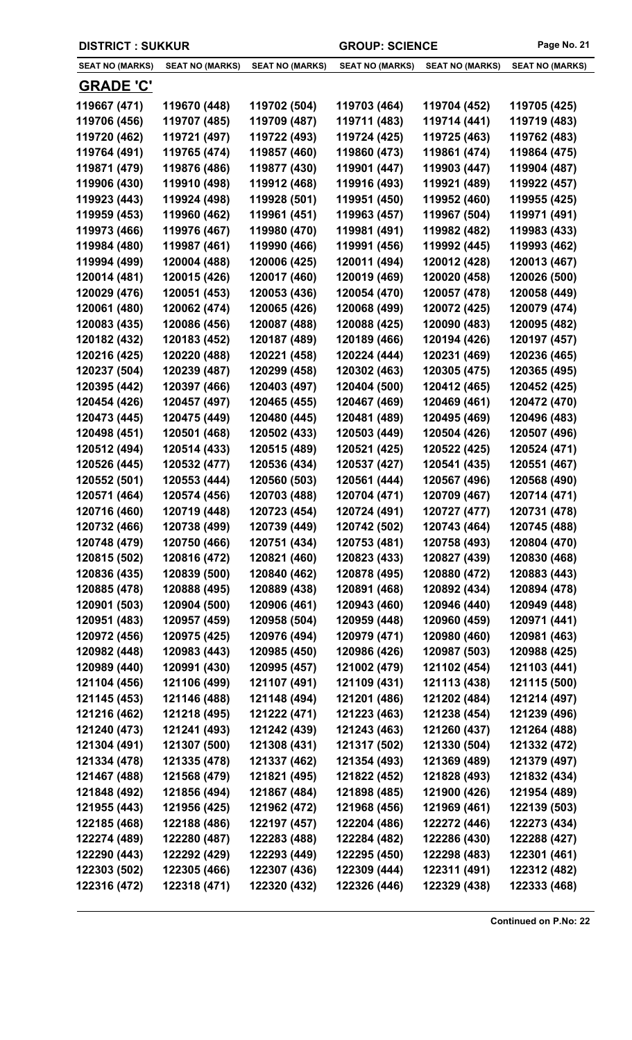| <b>DISTRICT: SUKKUR</b> |                        |                        | <b>GROUP: SCIENCE</b>  |                        | Page No. 21            |
|-------------------------|------------------------|------------------------|------------------------|------------------------|------------------------|
| <b>SEAT NO (MARKS)</b>  | <b>SEAT NO (MARKS)</b> | <b>SEAT NO (MARKS)</b> | <b>SEAT NO (MARKS)</b> | <b>SEAT NO (MARKS)</b> | <b>SEAT NO (MARKS)</b> |
| <b>GRADE 'C'</b>        |                        |                        |                        |                        |                        |
| 119667 (471)            | 119670 (448)           | 119702 (504)           | 119703 (464)           | 119704 (452)           | 119705 (425)           |
| 119706 (456)            | 119707 (485)           | 119709 (487)           | 119711 (483)           | 119714 (441)           | 119719 (483)           |
| 119720 (462)            | 119721 (497)           | 119722 (493)           | 119724 (425)           | 119725 (463)           | 119762 (483)           |
| 119764 (491)            | 119765 (474)           | 119857 (460)           | 119860 (473)           | 119861 (474)           | 119864 (475)           |
| 119871 (479)            | 119876 (486)           | 119877 (430)           | 119901 (447)           | 119903 (447)           | 119904 (487)           |
| 119906 (430)            | 119910 (498)           | 119912 (468)           | 119916 (493)           | 119921 (489)           | 119922 (457)           |
| 119923 (443)            | 119924 (498)           | 119928 (501)           | 119951 (450)           | 119952 (460)           | 119955 (425)           |
| 119959 (453)            | 119960 (462)           | 119961 (451)           | 119963 (457)           | 119967 (504)           | 119971 (491)           |
| 119973 (466)            | 119976 (467)           | 119980 (470)           | 119981 (491)           | 119982 (482)           | 119983 (433)           |
| 119984 (480)            | 119987 (461)           | 119990 (466)           | 119991 (456)           | 119992 (445)           | 119993 (462)           |
| 119994 (499)            | 120004 (488)           | 120006 (425)           | 120011 (494)           | 120012 (428)           | 120013 (467)           |
| 120014 (481)            | 120015 (426)           | 120017 (460)           | 120019 (469)           | 120020 (458)           | 120026 (500)           |
| 120029 (476)            | 120051 (453)           | 120053 (436)           | 120054 (470)           | 120057 (478)           | 120058 (449)           |
| 120061 (480)            | 120062 (474)           | 120065 (426)           | 120068 (499)           | 120072 (425)           | 120079 (474)           |
| 120083 (435)            | 120086 (456)           | 120087 (488)           | 120088 (425)           | 120090 (483)           | 120095 (482)           |
| 120182 (432)            | 120183 (452)           | 120187 (489)           | 120189 (466)           | 120194 (426)           | 120197 (457)           |
| 120216 (425)            | 120220 (488)           | 120221 (458)           | 120224 (444)           | 120231 (469)           | 120236 (465)           |
| 120237 (504)            | 120239 (487)           | 120299 (458)           | 120302 (463)           | 120305 (475)           | 120365 (495)           |
| 120395 (442)            | 120397 (466)           | 120403 (497)           | 120404 (500)           | 120412 (465)           | 120452 (425)           |
| 120454 (426)            | 120457 (497)           | 120465 (455)           | 120467 (469)           | 120469 (461)           | 120472 (470)           |
| 120473 (445)            | 120475 (449)           | 120480 (445)           | 120481 (489)           | 120495 (469)           | 120496 (483)           |
| 120498 (451)            | 120501 (468)           | 120502 (433)           | 120503 (449)           | 120504 (426)           | 120507 (496)           |
| 120512 (494)            | 120514 (433)           | 120515 (489)           | 120521 (425)           | 120522 (425)           | 120524 (471)           |
| 120526 (445)            | 120532 (477)           | 120536 (434)           | 120537 (427)           | 120541 (435)           | 120551 (467)           |
| 120552 (501)            | 120553 (444)           | 120560 (503)           | 120561 (444)           | 120567 (496)           | 120568 (490)           |
| 120571 (464)            | 120574 (456)           | 120703 (488)           | 120704 (471)           | 120709 (467)           | 120714 (471)           |
| 120716 (460)            | 120719 (448)           | 120723 (454)           | 120724 (491)           | 120727 (477)           | 120731 (478)           |
| 120732 (466)            | 120738 (499)           | 120739 (449)           | 120742 (502)           | 120743 (464)           | 120745 (488)           |
| 120748 (479)            | 120750 (466)           | 120751 (434)           | 120753 (481)           | 120758 (493)           | 120804 (470)           |
| 120815 (502)            | 120816 (472)           | 120821 (460)           | 120823 (433)           | 120827 (439)           | 120830 (468)           |
| 120836 (435)            | 120839 (500)           | 120840 (462)           | 120878 (495)           | 120880 (472)           | 120883 (443)           |
| 120885 (478)            | 120888 (495)           | 120889 (438)           | 120891 (468)           | 120892 (434)           | 120894 (478)           |
| 120901 (503)            | 120904 (500)           | 120906 (461)           | 120943 (460)           | 120946 (440)           | 120949 (448)           |
| 120951 (483)            | 120957 (459)           | 120958 (504)           | 120959 (448)           | 120960 (459)           | 120971 (441)           |
| 120972 (456)            | 120975 (425)           | 120976 (494)           | 120979 (471)           | 120980 (460)           | 120981 (463)           |
| 120982 (448)            | 120983 (443)           | 120985 (450)           | 120986 (426)           | 120987 (503)           | 120988 (425)           |
| 120989 (440)            | 120991 (430)           | 120995 (457)           | 121002 (479)           | 121102 (454)           | 121103 (441)           |
| 121104 (456)            | 121106 (499)           | 121107 (491)           | 121109 (431)           | 121113 (438)           | 121115 (500)           |
| 121145 (453)            | 121146 (488)           | 121148 (494)           | 121201 (486)           | 121202 (484)           | 121214 (497)           |
| 121216 (462)            | 121218 (495)           | 121222 (471)           | 121223 (463)           | 121238 (454)           | 121239 (496)           |
| 121240 (473)            | 121241 (493)           | 121242 (439)           | 121243 (463)           | 121260 (437)           | 121264 (488)           |
| 121304 (491)            | 121307 (500)           | 121308 (431)           | 121317 (502)           | 121330 (504)           | 121332 (472)           |
| 121334 (478)            | 121335 (478)           | 121337 (462)           | 121354 (493)           | 121369 (489)           | 121379 (497)           |
| 121467 (488)            | 121568 (479)           | 121821 (495)           | 121822 (452)           | 121828 (493)           | 121832 (434)           |
| 121848 (492)            | 121856 (494)           | 121867 (484)           | 121898 (485)           | 121900 (426)           | 121954 (489)           |
| 121955 (443)            | 121956 (425)           | 121962 (472)           | 121968 (456)           | 121969 (461)           | 122139 (503)           |
| 122185 (468)            | 122188 (486)           | 122197 (457)           | 122204 (486)           | 122272 (446)           | 122273 (434)           |
| 122274 (489)            | 122280 (487)           | 122283 (488)           | 122284 (482)           | 122286 (430)           | 122288 (427)           |
| 122290 (443)            | 122292 (429)           | 122293 (449)           | 122295 (450)           | 122298 (483)           | 122301 (461)           |
| 122303 (502)            | 122305 (466)           | 122307 (436)           | 122309 (444)           | 122311 (491)           | 122312 (482)           |

**122316 (472) 122318 (471) 122320 (432) 122326 (446) 122329 (438) 122333 (468)**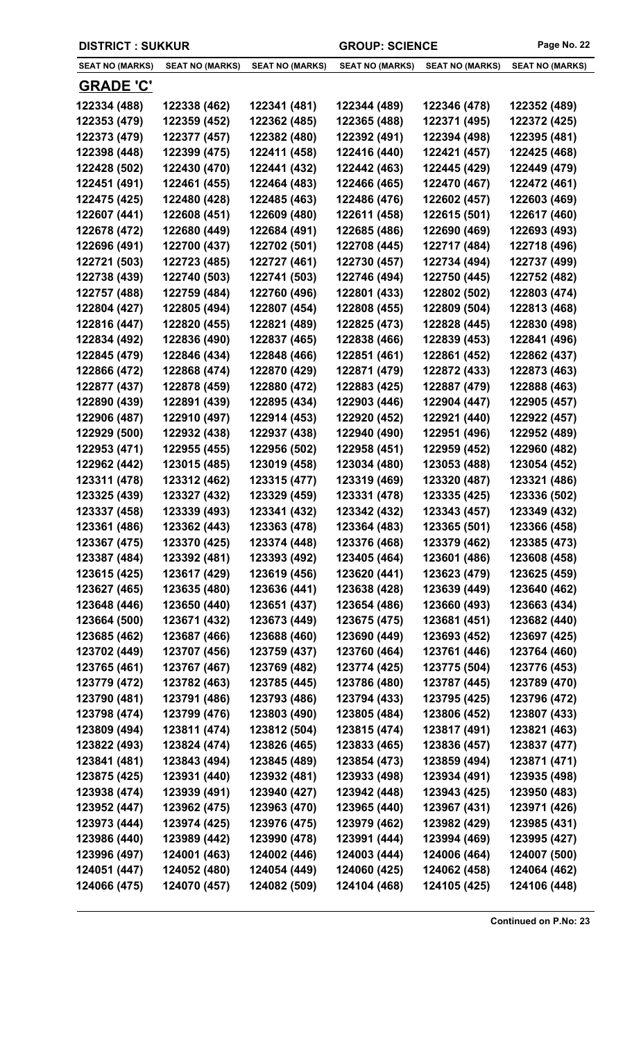| <b>DISTRICT : SUKKUR</b> |                        |                        | <b>GROUP: SCIENCE</b>  |                        | Page No. 22            |
|--------------------------|------------------------|------------------------|------------------------|------------------------|------------------------|
| <b>SEAT NO (MARKS)</b>   | <b>SEAT NO (MARKS)</b> | <b>SEAT NO (MARKS)</b> | <b>SEAT NO (MARKS)</b> | <b>SEAT NO (MARKS)</b> | <b>SEAT NO (MARKS)</b> |
| <b>GRADE 'C'</b>         |                        |                        |                        |                        |                        |
| 122334 (488)             | 122338 (462)           | 122341 (481)           | 122344 (489)           | 122346 (478)           | 122352 (489)           |
| 122353 (479)             | 122359 (452)           | 122362 (485)           | 122365 (488)           | 122371 (495)           | 122372 (425)           |
| 122373 (479)             | 122377 (457)           | 122382 (480)           | 122392 (491)           | 122394 (498)           | 122395 (481)           |
| 122398 (448)             | 122399 (475)           | 122411 (458)           | 122416 (440)           | 122421 (457)           | 122425 (468)           |
| 122428 (502)             | 122430 (470)           | 122441 (432)           | 122442 (463)           | 122445 (429)           | 122449 (479)           |
| 122451 (491)             | 122461 (455)           | 122464 (483)           | 122466 (465)           | 122470 (467)           | 122472 (461)           |
| 122475 (425)             | 122480 (428)           | 122485 (463)           | 122486 (476)           | 122602 (457)           | 122603 (469)           |
| 122607 (441)             | 122608 (451)           | 122609 (480)           | 122611 (458)           | 122615 (501)           | 122617 (460)           |
| 122678 (472)             | 122680 (449)           | 122684 (491)           | 122685 (486)           | 122690 (469)           | 122693 (493)           |
| 122696 (491)             | 122700 (437)           | 122702 (501)           | 122708 (445)           | 122717 (484)           | 122718 (496)           |
| 122721 (503)             | 122723 (485)           | 122727 (461)           | 122730 (457)           | 122734 (494)           | 122737 (499)           |
| 122738 (439)             | 122740 (503)           | 122741 (503)           | 122746 (494)           | 122750 (445)           | 122752 (482)           |
| 122757 (488)             | 122759 (484)           | 122760 (496)           | 122801 (433)           | 122802 (502)           | 122803 (474)           |
| 122804 (427)             | 122805 (494)           | 122807 (454)           | 122808 (455)           | 122809 (504)           | 122813 (468)           |
| 122816 (447)             | 122820 (455)           | 122821 (489)           | 122825 (473)           | 122828 (445)           | 122830 (498)           |
| 122834 (492)             | 122836 (490)           | 122837 (465)           | 122838 (466)           | 122839 (453)           | 122841 (496)           |
| 122845 (479)             | 122846 (434)           | 122848 (466)           | 122851 (461)           | 122861 (452)           | 122862 (437)           |
| 122866 (472)             | 122868 (474)           | 122870 (429)           | 122871 (479)           | 122872 (433)           | 122873 (463)           |
| 122877 (437)             | 122878 (459)           | 122880 (472)           | 122883 (425)           | 122887 (479)           | 122888 (463)           |
| 122890 (439)             | 122891 (439)           | 122895 (434)           | 122903 (446)           | 122904 (447)           | 122905 (457)           |
| 122906 (487)             | 122910 (497)           | 122914 (453)           | 122920 (452)           | 122921 (440)           | 122922 (457)           |
| 122929 (500)             | 122932 (438)           | 122937 (438)           | 122940 (490)           | 122951 (496)           | 122952 (489)           |
| 122953 (471)             | 122955 (455)           | 122956 (502)           | 122958 (451)           | 122959 (452)           | 122960 (482)           |
| 122962 (442)             | 123015 (485)           | 123019 (458)           | 123034 (480)           | 123053 (488)           | 123054 (452)           |
| 123311 (478)             | 123312 (462)           | 123315 (477)           | 123319 (469)           | 123320 (487)           | 123321 (486)           |
| 123325 (439)             | 123327 (432)           | 123329 (459)           | 123331 (478)           | 123335 (425)           | 123336 (502)           |
| 123337 (458)             | 123339 (493)           | 123341 (432)           | 123342 (432)           | 123343 (457)           | 123349 (432)           |
| 123361 (486)             | 123362 (443)           | 123363 (478)           | 123364 (483)           | 123365 (501)           | 123366 (458)           |
| 123367 (475)             | 123370 (425)           | 123374 (448)           | 123376 (468)           | 123379 (462)           | 123385 (473)           |
| 123387 (484)             | 123392 (481)           | 123393 (492)           | 123405 (464)           | 123601 (486)           | 123608 (458)           |
| 123615 (425)             | 123617 (429)           | 123619 (456)           | 123620 (441)           | 123623 (479)           | 123625 (459)           |
| 123627 (465)             | 123635 (480)           | 123636 (441)           | 123638 (428)           | 123639 (449)           | 123640 (462)           |
| 123648 (446)             | 123650 (440)           | 123651 (437)           | 123654 (486)           | 123660 (493)           | 123663 (434)           |
| 123664 (500)             | 123671 (432)           | 123673 (449)           | 123675 (475)           | 123681 (451)           | 123682 (440)           |
| 123685 (462)             | 123687 (466)           | 123688 (460)           | 123690 (449)           | 123693 (452)           | 123697 (425)           |
| 123702 (449)             | 123707 (456)           | 123759 (437)           | 123760 (464)           | 123761 (446)           | 123764 (460)           |
| 123765 (461)             | 123767 (467)           | 123769 (482)           | 123774 (425)           | 123775 (504)           | 123776 (453)           |
| 123779 (472)             | 123782 (463)           | 123785 (445)           | 123786 (480)           | 123787 (445)           | 123789 (470)           |
| 123790 (481)             | 123791 (486)           | 123793 (486)           | 123794 (433)           | 123795 (425)           | 123796 (472)           |
| 123798 (474)             | 123799 (476)           | 123803 (490)           | 123805 (484)           | 123806 (452)           | 123807 (433)           |
| 123809 (494)             | 123811 (474)           | 123812 (504)           | 123815 (474)           | 123817 (491)           | 123821 (463)           |
| 123822 (493)             | 123824 (474)           | 123826 (465)           | 123833 (465)           | 123836 (457)           | 123837 (477)           |
| 123841 (481)             | 123843 (494)           | 123845 (489)           | 123854 (473)           | 123859 (494)           | 123871 (471)           |
| 123875 (425)             | 123931 (440)           | 123932 (481)           | 123933 (498)           | 123934 (491)           | 123935 (498)           |
| 123938 (474)             | 123939 (491)           | 123940 (427)           | 123942 (448)           | 123943 (425)           | 123950 (483)           |
| 123952 (447)             | 123962 (475)           | 123963 (470)           | 123965 (440)           | 123967 (431)           | 123971 (426)           |
| 123973 (444)             | 123974 (425)           | 123976 (475)           | 123979 (462)           | 123982 (429)           | 123985 (431)           |
| 123986 (440)             | 123989 (442)           | 123990 (478)           | 123991 (444)           | 123994 (469)           | 123995 (427)           |
| 123996 (497)             | 124001 (463)           | 124002 (446)           | 124003 (444)           | 124006 (464)           | 124007 (500)           |
| 124051 (447)             | 124052 (480)           | 124054 (449)           | 124060 (425)           | 124062 (458)           | 124064 (462)           |
| 124066 (475)             | 124070 (457)           | 124082 (509)           | 124104 (468)           | 124105 (425)           | 124106 (448)           |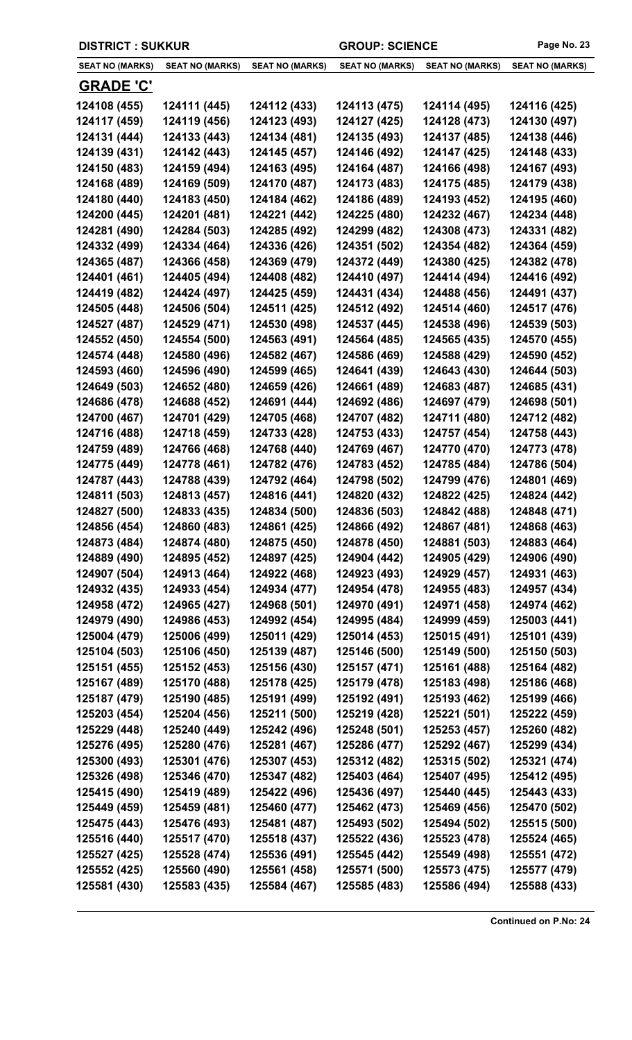| <b>DISTRICT: SUKKUR</b>      |                              |                              | <b>GROUP: SCIENCE</b>        |                              | Page No. 23                  |
|------------------------------|------------------------------|------------------------------|------------------------------|------------------------------|------------------------------|
| <b>SEAT NO (MARKS)</b>       | <b>SEAT NO (MARKS)</b>       | <b>SEAT NO (MARKS)</b>       | <b>SEAT NO (MARKS)</b>       | <b>SEAT NO (MARKS)</b>       | <b>SEAT NO (MARKS)</b>       |
| <b>GRADE 'C'</b>             |                              |                              |                              |                              |                              |
| 124108 (455)                 | 124111 (445)                 | 124112 (433)                 | 124113 (475)                 | 124114 (495)                 | 124116 (425)                 |
| 124117 (459)                 | 124119 (456)                 | 124123 (493)                 | 124127 (425)                 | 124128 (473)                 | 124130 (497)                 |
| 124131 (444)                 | 124133 (443)                 | 124134 (481)                 | 124135 (493)                 | 124137 (485)                 | 124138 (446)                 |
| 124139 (431)                 | 124142 (443)                 | 124145 (457)                 | 124146 (492)                 | 124147 (425)                 | 124148 (433)                 |
| 124150 (483)                 | 124159 (494)                 | 124163 (495)                 | 124164 (487)                 | 124166 (498)                 | 124167 (493)                 |
| 124168 (489)                 | 124169 (509)                 | 124170 (487)                 | 124173 (483)                 | 124175 (485)                 | 124179 (438)                 |
| 124180 (440)                 | 124183 (450)                 | 124184 (462)                 | 124186 (489)                 | 124193 (452)                 | 124195 (460)                 |
| 124200 (445)                 | 124201 (481)                 | 124221 (442)                 | 124225 (480)                 | 124232 (467)                 | 124234 (448)                 |
| 124281 (490)                 | 124284 (503)                 | 124285 (492)                 | 124299 (482)                 | 124308 (473)                 | 124331 (482)                 |
| 124332 (499)                 | 124334 (464)                 | 124336 (426)                 | 124351 (502)                 | 124354 (482)                 | 124364 (459)                 |
| 124365 (487)                 | 124366 (458)                 | 124369 (479)                 | 124372 (449)                 | 124380 (425)                 | 124382 (478)                 |
| 124401 (461)                 | 124405 (494)                 | 124408 (482)                 | 124410 (497)                 | 124414 (494)                 | 124416 (492)                 |
| 124419 (482)                 | 124424 (497)                 | 124425 (459)                 | 124431 (434)                 | 124488 (456)                 | 124491 (437)                 |
| 124505 (448)                 | 124506 (504)                 | 124511 (425)                 | 124512 (492)                 | 124514 (460)                 | 124517 (476)                 |
| 124527 (487)                 | 124529 (471)                 | 124530 (498)                 | 124537 (445)                 | 124538 (496)                 | 124539 (503)                 |
| 124552 (450)                 | 124554 (500)                 | 124563 (491)                 | 124564 (485)                 | 124565 (435)                 | 124570 (455)                 |
| 124574 (448)                 | 124580 (496)                 | 124582 (467)                 | 124586 (469)                 | 124588 (429)                 | 124590 (452)                 |
| 124593 (460)                 | 124596 (490)                 | 124599 (465)                 | 124641 (439)                 | 124643 (430)                 | 124644 (503)                 |
| 124649 (503)                 | 124652 (480)                 | 124659 (426)                 | 124661 (489)                 | 124683 (487)                 | 124685 (431)                 |
| 124686 (478)                 | 124688 (452)                 | 124691 (444)                 | 124692 (486)                 | 124697 (479)                 | 124698 (501)                 |
| 124700 (467)                 | 124701 (429)                 | 124705 (468)                 | 124707 (482)                 | 124711 (480)                 | 124712 (482)                 |
| 124716 (488)                 | 124718 (459)                 | 124733 (428)                 | 124753 (433)                 | 124757 (454)                 | 124758 (443)                 |
| 124759 (489)                 | 124766 (468)                 | 124768 (440)                 | 124769 (467)                 | 124770 (470)                 | 124773 (478)                 |
| 124775 (449)                 | 124778 (461)                 | 124782 (476)                 | 124783 (452)                 | 124785 (484)                 | 124786 (504)                 |
| 124787 (443)                 | 124788 (439)                 | 124792 (464)                 | 124798 (502)                 | 124799 (476)                 | 124801 (469)                 |
| 124811 (503)                 | 124813 (457)                 | 124816 (441)                 | 124820 (432)                 | 124822 (425)                 | 124824 (442)                 |
| 124827 (500)                 | 124833 (435)                 | 124834 (500)                 | 124836 (503)                 | 124842 (488)                 | 124848 (471)                 |
| 124856 (454)                 | 124860 (483)                 | 124861 (425)                 | 124866 (492)                 | 124867 (481)                 | 124868 (463)                 |
| 124873 (484)                 | 124874 (480)                 | 124875 (450)                 | 124878 (450)                 | 124881 (503)                 | 124883 (464)                 |
| 124889 (490)                 | 124895 (452)                 | 124897 (425)                 | 124904 (442)                 | 124905 (429)                 | 124906 (490)                 |
| 124907 (504)                 | 124913 (464)                 | 124922 (468)                 | 124923 (493)                 | 124929 (457)                 | 124931 (463)                 |
| 124932 (435)                 | 124933 (454)                 | 124934 (477)                 | 124954 (478)                 | 124955 (483)                 | 124957 (434)                 |
| 124958 (472)                 | 124965 (427)                 | 124968 (501)                 | 124970 (491)                 | 124971 (458)                 | 124974 (462)                 |
| 124979 (490)                 | 124986 (453)                 | 124992 (454)                 | 124995 (484)<br>125014 (453) | 124999 (459)                 | 125003 (441)                 |
| 125004 (479)<br>125104 (503) | 125006 (499)<br>125106 (450) | 125011 (429)<br>125139 (487) | 125146 (500)                 | 125015 (491)<br>125149 (500) | 125101 (439)<br>125150 (503) |
| 125151 (455)                 | 125152 (453)                 | 125156 (430)                 | 125157 (471)                 | 125161 (488)                 | 125164 (482)                 |
| 125167 (489)                 | 125170 (488)                 | 125178 (425)                 | 125179 (478)                 | 125183 (498)                 | 125186 (468)                 |
| 125187 (479)                 | 125190 (485)                 | 125191 (499)                 | 125192 (491)                 | 125193 (462)                 | 125199 (466)                 |
| 125203 (454)                 | 125204 (456)                 | 125211 (500)                 | 125219 (428)                 | 125221 (501)                 | 125222 (459)                 |
| 125229 (448)                 | 125240 (449)                 | 125242 (496)                 | 125248 (501)                 | 125253 (457)                 | 125260 (482)                 |
| 125276 (495)                 | 125280 (476)                 | 125281 (467)                 | 125286 (477)                 | 125292 (467)                 | 125299 (434)                 |
| 125300 (493)                 | 125301 (476)                 | 125307 (453)                 | 125312 (482)                 | 125315 (502)                 | 125321 (474)                 |
| 125326 (498)                 | 125346 (470)                 | 125347 (482)                 | 125403 (464)                 | 125407 (495)                 | 125412 (495)                 |
| 125415 (490)                 | 125419 (489)                 | 125422 (496)                 | 125436 (497)                 | 125440 (445)                 | 125443 (433)                 |
| 125449 (459)                 | 125459 (481)                 | 125460 (477)                 | 125462 (473)                 | 125469 (456)                 | 125470 (502)                 |
| 125475 (443)                 | 125476 (493)                 | 125481 (487)                 | 125493 (502)                 | 125494 (502)                 | 125515 (500)                 |
| 125516 (440)                 | 125517 (470)                 | 125518 (437)                 | 125522 (436)                 | 125523 (478)                 | 125524 (465)                 |
| 125527 (425)                 | 125528 (474)                 | 125536 (491)                 | 125545 (442)                 | 125549 (498)                 | 125551 (472)                 |
| 125552 (425)                 | 125560 (490)                 | 125561 (458)                 | 125571 (500)                 | 125573 (475)                 | 125577 (479)                 |
| 125581 (430)                 | 125583 (435)                 | 125584 (467)                 | 125585 (483)                 | 125586 (494)                 | 125588 (433)                 |
|                              |                              |                              |                              |                              |                              |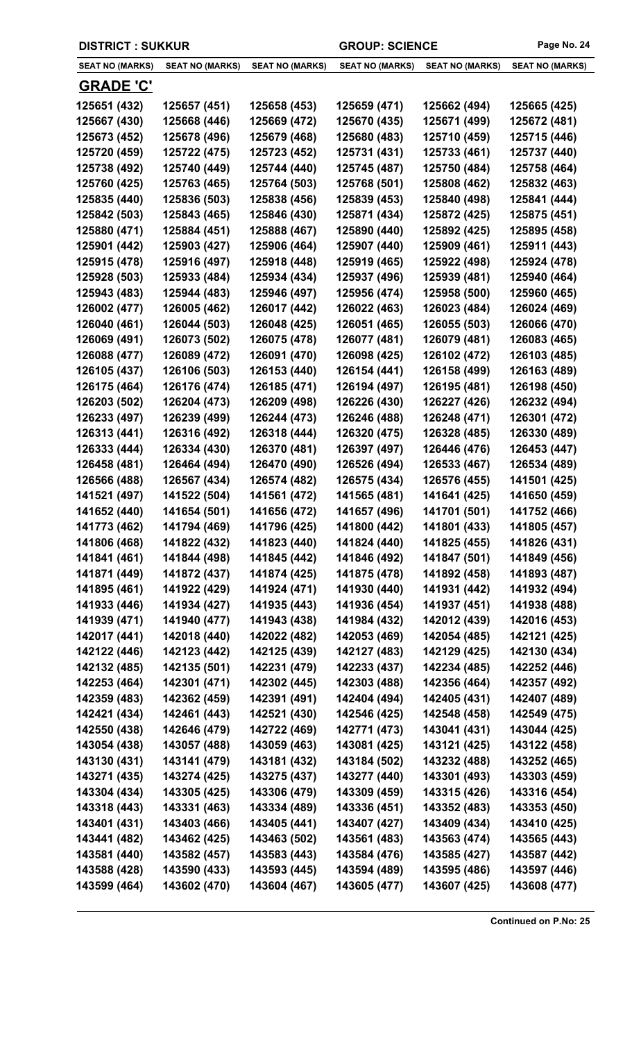| <b>DISTRICT: SUKKUR</b> |                        |                        | <b>GROUP: SCIENCE</b>  |                        | Page No. 24            |
|-------------------------|------------------------|------------------------|------------------------|------------------------|------------------------|
| <b>SEAT NO (MARKS)</b>  | <b>SEAT NO (MARKS)</b> | <b>SEAT NO (MARKS)</b> | <b>SEAT NO (MARKS)</b> | <b>SEAT NO (MARKS)</b> | <b>SEAT NO (MARKS)</b> |
| <b>GRADE 'C'</b>        |                        |                        |                        |                        |                        |
| 125651 (432)            | 125657 (451)           | 125658 (453)           | 125659 (471)           | 125662 (494)           | 125665 (425)           |
| 125667 (430)            | 125668 (446)           | 125669 (472)           | 125670 (435)           | 125671 (499)           | 125672 (481)           |
| 125673 (452)            | 125678 (496)           | 125679 (468)           | 125680 (483)           | 125710 (459)           | 125715 (446)           |
| 125720 (459)            | 125722 (475)           | 125723 (452)           | 125731 (431)           | 125733 (461)           | 125737 (440)           |
| 125738 (492)            | 125740 (449)           | 125744 (440)           | 125745 (487)           | 125750 (484)           | 125758 (464)           |
| 125760 (425)            | 125763 (465)           | 125764 (503)           | 125768 (501)           | 125808 (462)           | 125832 (463)           |
| 125835 (440)            | 125836 (503)           | 125838 (456)           | 125839 (453)           | 125840 (498)           | 125841 (444)           |
| 125842 (503)            | 125843 (465)           | 125846 (430)           | 125871 (434)           | 125872 (425)           | 125875 (451)           |
| 125880 (471)            | 125884 (451)           | 125888 (467)           | 125890 (440)           | 125892 (425)           | 125895 (458)           |
| 125901 (442)            | 125903 (427)           | 125906 (464)           | 125907 (440)           | 125909 (461)           | 125911 (443)           |
| 125915 (478)            | 125916 (497)           | 125918 (448)           | 125919 (465)           | 125922 (498)           | 125924 (478)           |
| 125928 (503)            | 125933 (484)           | 125934 (434)           | 125937 (496)           | 125939 (481)           | 125940 (464)           |
| 125943 (483)            | 125944 (483)           | 125946 (497)           | 125956 (474)           | 125958 (500)           | 125960 (465)           |
| 126002 (477)            | 126005 (462)           | 126017 (442)           | 126022 (463)           | 126023 (484)           | 126024 (469)           |
| 126040 (461)            | 126044 (503)           | 126048 (425)           | 126051 (465)           | 126055 (503)           | 126066 (470)           |
| 126069 (491)            | 126073 (502)           | 126075 (478)           | 126077 (481)           | 126079 (481)           | 126083 (465)           |
| 126088 (477)            | 126089 (472)           | 126091 (470)           | 126098 (425)           | 126102 (472)           | 126103 (485)           |
| 126105 (437)            | 126106 (503)           | 126153 (440)           | 126154 (441)           | 126158 (499)           | 126163 (489)           |
| 126175 (464)            | 126176 (474)           | 126185 (471)           | 126194 (497)           | 126195 (481)           | 126198 (450)           |
| 126203 (502)            | 126204 (473)           | 126209 (498)           | 126226 (430)           | 126227 (426)           | 126232 (494)           |
| 126233 (497)            | 126239 (499)           | 126244 (473)           | 126246 (488)           | 126248 (471)           | 126301 (472)           |
| 126313 (441)            | 126316 (492)           | 126318 (444)           | 126320 (475)           | 126328 (485)           | 126330 (489)           |
| 126333 (444)            | 126334 (430)           | 126370 (481)           | 126397 (497)           | 126446 (476)           | 126453 (447)           |
| 126458 (481)            | 126464 (494)           | 126470 (490)           | 126526 (494)           | 126533 (467)           | 126534 (489)           |
| 126566 (488)            | 126567 (434)           | 126574 (482)           | 126575 (434)           | 126576 (455)           | 141501 (425)           |
| 141521 (497)            | 141522 (504)           | 141561 (472)           | 141565 (481)           | 141641 (425)           | 141650 (459)           |
| 141652 (440)            | 141654 (501)           | 141656 (472)           | 141657 (496)           | 141701 (501)           | 141752 (466)           |
| 141773 (462)            | 141794 (469)           | 141796 (425)           | 141800 (442)           | 141801 (433)           | 141805 (457)           |
| 141806 (468)            | 141822 (432)           | 141823 (440)           | 141824 (440)           | 141825 (455)           | 141826 (431)           |
| 141841 (461)            | 141844 (498)           | 141845 (442)           | 141846 (492)           | 141847 (501)           | 141849 (456)           |
| 141871 (449)            | 141872 (437)           | 141874 (425)           | 141875 (478)           | 141892 (458)           | 141893 (487)           |
| 141895 (461)            | 141922 (429)           | 141924 (471)           | 141930 (440)           | 141931 (442)           | 141932 (494)           |
| 141933 (446)            | 141934 (427)           | 141935 (443)           | 141936 (454)           | 141937 (451)           | 141938 (488)           |
| 141939 (471)            | 141940 (477)           | 141943 (438)           | 141984 (432)           | 142012 (439)           | 142016 (453)           |
| 142017 (441)            | 142018 (440)           | 142022 (482)           | 142053 (469)           | 142054 (485)           | 142121 (425)           |
| 142122 (446)            | 142123 (442)           | 142125 (439)           | 142127 (483)           | 142129 (425)           | 142130 (434)           |
| 142132 (485)            | 142135 (501)           | 142231 (479)           | 142233 (437)           | 142234 (485)           | 142252 (446)           |
| 142253 (464)            | 142301 (471)           | 142302 (445)           | 142303 (488)           | 142356 (464)           | 142357 (492)           |
| 142359 (483)            | 142362 (459)           | 142391 (491)           | 142404 (494)           | 142405 (431)           | 142407 (489)           |
| 142421 (434)            | 142461 (443)           | 142521 (430)           | 142546 (425)           | 142548 (458)           | 142549 (475)           |
| 142550 (438)            | 142646 (479)           | 142722 (469)           | 142771 (473)           | 143041 (431)           | 143044 (425)           |
| 143054 (438)            | 143057 (488)           | 143059 (463)           | 143081 (425)           | 143121 (425)           | 143122 (458)           |
| 143130 (431)            | 143141 (479)           | 143181 (432)           | 143184 (502)           | 143232 (488)           | 143252 (465)           |
| 143271 (435)            | 143274 (425)           | 143275 (437)           | 143277 (440)           | 143301 (493)           | 143303 (459)           |
| 143304 (434)            | 143305 (425)           | 143306 (479)           | 143309 (459)           | 143315 (426)           | 143316 (454)           |
| 143318 (443)            | 143331 (463)           | 143334 (489)           | 143336 (451)           | 143352 (483)           | 143353 (450)           |
| 143401 (431)            | 143403 (466)           | 143405 (441)           | 143407 (427)           | 143409 (434)           | 143410 (425)           |
| 143441 (482)            | 143462 (425)           | 143463 (502)           | 143561 (483)           | 143563 (474)           | 143565 (443)           |
| 143581 (440)            | 143582 (457)           | 143583 (443)           | 143584 (476)           | 143585 (427)           | 143587 (442)           |
| 143588 (428)            | 143590 (433)           | 143593 (445)           | 143594 (489)           | 143595 (486)           | 143597 (446)           |
| 143599 (464)            | 143602 (470)           | 143604 (467)           | 143605 (477)           | 143607 (425)           | 143608 (477)           |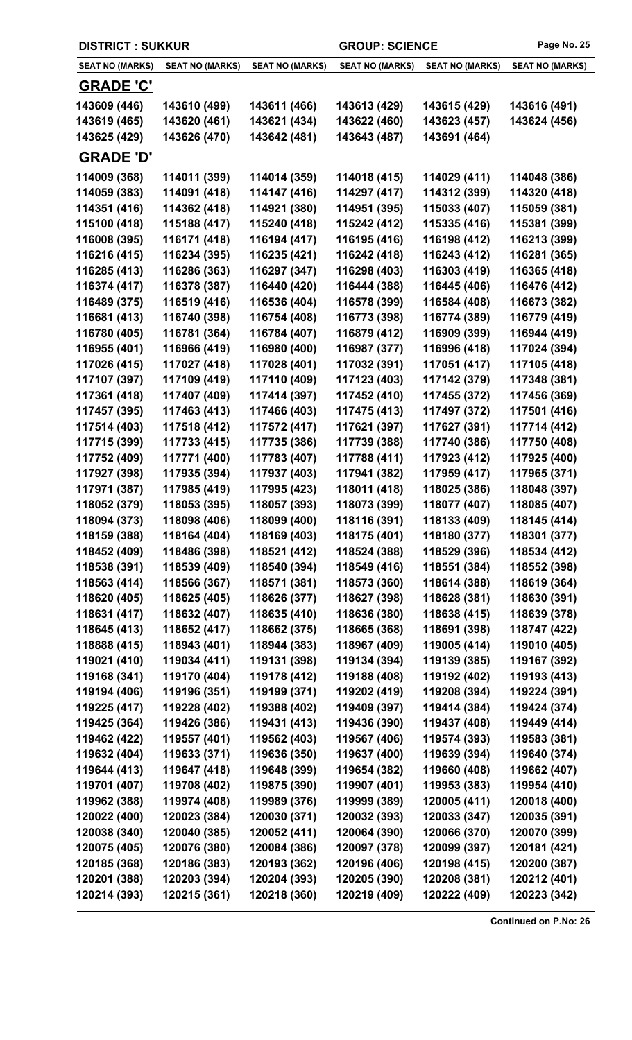| <b>DISTRICT: SUKKUR</b>      |                              | <b>GROUP: SCIENCE</b>        |                              | Page No. 25                  |                              |
|------------------------------|------------------------------|------------------------------|------------------------------|------------------------------|------------------------------|
| <b>SEAT NO (MARKS)</b>       | <b>SEAT NO (MARKS)</b>       | <b>SEAT NO (MARKS)</b>       | <b>SEAT NO (MARKS)</b>       | <b>SEAT NO (MARKS)</b>       | <b>SEAT NO (MARKS)</b>       |
| <u>GRADE 'C'</u>             |                              |                              |                              |                              |                              |
| 143609 (446)                 | 143610 (499)                 | 143611 (466)                 | 143613 (429)                 | 143615 (429)                 | 143616 (491)                 |
| 143619 (465)                 | 143620 (461)                 | 143621 (434)                 | 143622 (460)                 | 143623 (457)                 | 143624 (456)                 |
| 143625 (429)                 | 143626 (470)                 | 143642 (481)                 | 143643 (487)                 | 143691 (464)                 |                              |
| <b>GRADE 'D'</b>             |                              |                              |                              |                              |                              |
| 114009 (368)                 | 114011 (399)                 | 114014 (359)                 | 114018 (415)                 | 114029 (411)                 | 114048 (386)                 |
| 114059 (383)                 | 114091 (418)                 | 114147 (416)                 | 114297 (417)                 | 114312 (399)                 | 114320 (418)                 |
| 114351 (416)                 | 114362 (418)                 | 114921 (380)                 | 114951 (395)                 | 115033 (407)                 | 115059 (381)                 |
| 115100 (418)                 | 115188 (417)                 | 115240 (418)                 | 115242 (412)                 | 115335 (416)                 | 115381 (399)                 |
| 116008 (395)                 | 116171 (418)                 | 116194 (417)                 | 116195 (416)                 | 116198 (412)                 | 116213 (399)                 |
| 116216 (415)                 | 116234 (395)                 | 116235 (421)                 | 116242 (418)                 | 116243 (412)                 | 116281 (365)                 |
| 116285 (413)                 | 116286 (363)                 | 116297 (347)                 | 116298 (403)                 | 116303 (419)                 | 116365 (418)                 |
| 116374 (417)                 | 116378 (387)                 | 116440 (420)                 | 116444 (388)                 | 116445 (406)                 | 116476 (412)                 |
| 116489 (375)                 | 116519 (416)                 | 116536 (404)                 | 116578 (399)                 | 116584 (408)                 | 116673 (382)                 |
| 116681 (413)                 | 116740 (398)                 | 116754 (408)                 | 116773 (398)                 | 116774 (389)                 | 116779 (419)                 |
| 116780 (405)                 | 116781 (364)                 | 116784 (407)                 | 116879 (412)                 | 116909 (399)                 | 116944 (419)                 |
| 116955 (401)                 | 116966 (419)                 | 116980 (400)                 | 116987 (377)                 | 116996 (418)                 | 117024 (394)                 |
| 117026 (415)                 | 117027 (418)                 | 117028 (401)                 | 117032 (391)                 | 117051 (417)                 | 117105 (418)                 |
| 117107 (397)                 | 117109 (419)                 | 117110 (409)                 | 117123 (403)                 | 117142 (379)                 | 117348 (381)                 |
| 117361 (418)                 | 117407 (409)                 | 117414 (397)                 | 117452 (410)                 | 117455 (372)                 | 117456 (369)                 |
| 117457 (395)                 | 117463 (413)                 | 117466 (403)                 | 117475 (413)                 | 117497 (372)                 | 117501 (416)                 |
| 117514 (403)                 | 117518 (412)                 | 117572 (417)                 | 117621 (397)                 | 117627 (391)                 | 117714 (412)                 |
| 117715 (399)                 | 117733 (415)                 | 117735 (386)                 | 117739 (388)                 | 117740 (386)                 | 117750 (408)                 |
| 117752 (409)<br>117927 (398) | 117771 (400)                 | 117783 (407)                 | 117788 (411)                 | 117923 (412)                 | 117925 (400)<br>117965 (371) |
| 117971 (387)                 | 117935 (394)<br>117985 (419) | 117937 (403)<br>117995 (423) | 117941 (382)<br>118011 (418) | 117959 (417)<br>118025 (386) | 118048 (397)                 |
| 118052 (379)                 | 118053 (395)                 | 118057 (393)                 | 118073 (399)                 | 118077 (407)                 | 118085 (407)                 |
| 118094 (373)                 | 118098 (406)                 | 118099 (400)                 | 118116 (391)                 | 118133 (409)                 | 118145 (414)                 |
| 118159 (388)                 | 118164 (404)                 | 118169 (403)                 | 118175 (401)                 | 118180 (377)                 | 118301 (377)                 |
| 118452 (409)                 | 118486 (398)                 | 118521 (412)                 | 118524 (388)                 | 118529 (396)                 | 118534 (412)                 |
| 118538 (391)                 | 118539 (409)                 | 118540 (394)                 | 118549 (416)                 | 118551 (384)                 | 118552 (398)                 |
| 118563 (414)                 | 118566 (367)                 | 118571 (381)                 | 118573 (360)                 | 118614 (388)                 | 118619 (364)                 |
| 118620 (405)                 | 118625 (405)                 | 118626 (377)                 | 118627 (398)                 | 118628 (381)                 | 118630 (391)                 |
| 118631 (417)                 | 118632 (407)                 | 118635 (410)                 | 118636 (380)                 | 118638 (415)                 | 118639 (378)                 |
| 118645 (413)                 | 118652 (417)                 | 118662 (375)                 | 118665 (368)                 | 118691 (398)                 | 118747 (422)                 |
| 118888 (415)                 | 118943 (401)                 | 118944 (383)                 | 118967 (409)                 | 119005 (414)                 | 119010 (405)                 |
| 119021 (410)                 | 119034 (411)                 | 119131 (398)                 | 119134 (394)                 | 119139 (385)                 | 119167 (392)                 |
| 119168 (341)                 | 119170 (404)                 | 119178 (412)                 | 119188 (408)                 | 119192 (402)                 | 119193 (413)                 |
| 119194 (406)                 | 119196 (351)                 | 119199 (371)                 | 119202 (419)                 | 119208 (394)                 | 119224 (391)                 |
| 119225 (417)                 | 119228 (402)                 | 119388 (402)                 | 119409 (397)                 | 119414 (384)                 | 119424 (374)                 |
| 119425 (364)                 | 119426 (386)                 | 119431 (413)                 | 119436 (390)                 | 119437 (408)                 | 119449 (414)                 |
| 119462 (422)                 | 119557 (401)                 | 119562 (403)                 | 119567 (406)                 | 119574 (393)                 | 119583 (381)                 |
| 119632 (404)                 | 119633 (371)                 | 119636 (350)                 | 119637 (400)                 | 119639 (394)                 | 119640 (374)                 |
| 119644 (413)                 | 119647 (418)                 | 119648 (399)                 | 119654 (382)                 | 119660 (408)                 | 119662 (407)                 |
| 119701 (407)                 | 119708 (402)                 | 119875 (390)                 | 119907 (401)                 | 119953 (383)                 | 119954 (410)                 |
| 119962 (388)                 | 119974 (408)                 | 119989 (376)                 | 119999 (389)                 | 120005 (411)                 | 120018 (400)                 |
| 120022 (400)                 | 120023 (384)                 | 120030 (371)                 | 120032 (393)                 | 120033 (347)                 | 120035 (391)                 |
| 120038 (340)                 | 120040 (385)                 | 120052 (411)                 | 120064 (390)                 | 120066 (370)<br>120099 (397) | 120070 (399)                 |
| 120075 (405)<br>120185 (368) | 120076 (380)<br>120186 (383) | 120084 (386)<br>120193 (362) | 120097 (378)<br>120196 (406) | 120198 (415)                 | 120181 (421)<br>120200 (387) |
| 120201 (388)                 | 120203 (394)                 | 120204 (393)                 | 120205 (390)                 | 120208 (381)                 | 120212 (401)                 |
| 120214 (393)                 | 120215 (361)                 | 120218 (360)                 | 120219 (409)                 | 120222 (409)                 | 120223 (342)                 |
|                              |                              |                              |                              |                              |                              |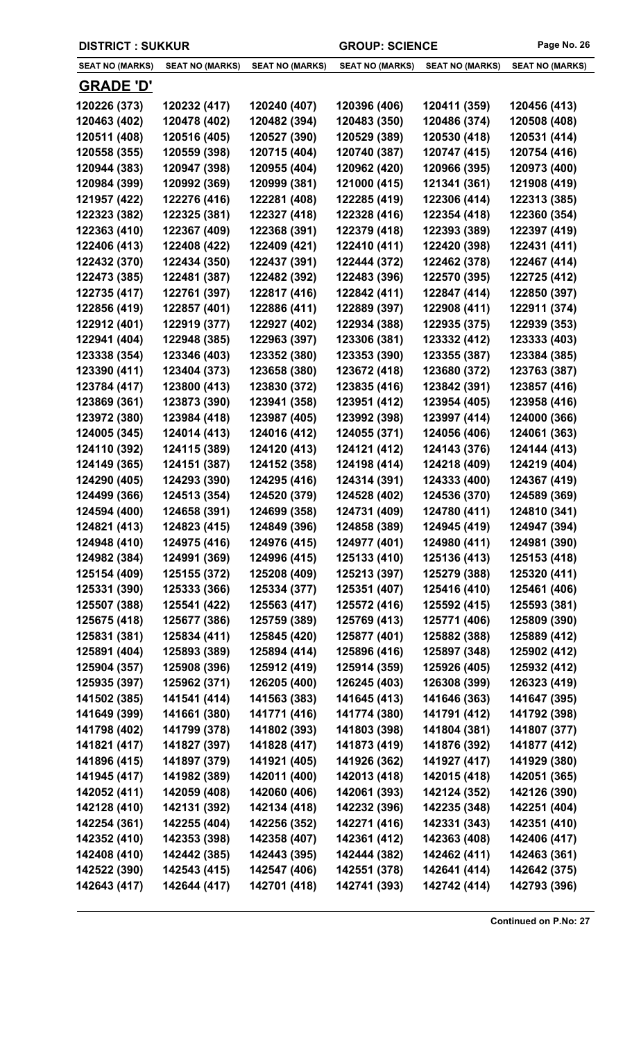| <b>DISTRICT: SUKKUR</b>      | <b>GROUP: SCIENCE</b>        |                              | Page No. 26                  |                              |                              |
|------------------------------|------------------------------|------------------------------|------------------------------|------------------------------|------------------------------|
| <b>SEAT NO (MARKS)</b>       | <b>SEAT NO (MARKS)</b>       | <b>SEAT NO (MARKS)</b>       | <b>SEAT NO (MARKS)</b>       | <b>SEAT NO (MARKS)</b>       | <b>SEAT NO (MARKS)</b>       |
| <u>GRADE 'D'</u>             |                              |                              |                              |                              |                              |
| 120226 (373)                 | 120232 (417)                 | 120240 (407)                 | 120396 (406)                 | 120411 (359)                 | 120456 (413)                 |
| 120463 (402)                 | 120478 (402)                 | 120482 (394)                 | 120483 (350)                 | 120486 (374)                 | 120508 (408)                 |
| 120511 (408)                 | 120516 (405)                 | 120527 (390)                 | 120529 (389)                 | 120530 (418)                 | 120531 (414)                 |
| 120558 (355)                 | 120559 (398)                 | 120715 (404)                 | 120740 (387)                 | 120747 (415)                 | 120754 (416)                 |
| 120944 (383)                 | 120947 (398)                 | 120955 (404)                 | 120962 (420)                 | 120966 (395)                 | 120973 (400)                 |
| 120984 (399)                 | 120992 (369)                 | 120999 (381)                 | 121000 (415)                 | 121341 (361)                 | 121908 (419)                 |
| 121957 (422)                 | 122276 (416)                 | 122281 (408)                 | 122285 (419)                 | 122306 (414)                 | 122313 (385)                 |
| 122323 (382)                 | 122325 (381)                 | 122327 (418)                 | 122328 (416)                 | 122354 (418)                 | 122360 (354)                 |
| 122363 (410)                 | 122367 (409)                 | 122368 (391)                 | 122379 (418)                 | 122393 (389)                 | 122397 (419)                 |
| 122406 (413)                 | 122408 (422)                 | 122409 (421)                 | 122410 (411)                 | 122420 (398)                 | 122431 (411)                 |
| 122432 (370)                 | 122434 (350)                 | 122437 (391)                 | 122444 (372)                 | 122462 (378)                 | 122467 (414)                 |
| 122473 (385)                 | 122481 (387)                 | 122482 (392)                 | 122483 (396)                 | 122570 (395)                 | 122725 (412)                 |
| 122735 (417)                 | 122761 (397)                 | 122817 (416)                 | 122842 (411)                 | 122847 (414)                 | 122850 (397)                 |
| 122856 (419)                 | 122857 (401)                 | 122886 (411)                 | 122889 (397)                 | 122908 (411)                 | 122911 (374)                 |
| 122912 (401)                 | 122919 (377)                 | 122927 (402)                 | 122934 (388)                 | 122935 (375)                 | 122939 (353)                 |
| 122941 (404)                 | 122948 (385)                 | 122963 (397)                 | 123306 (381)                 | 123332 (412)                 | 123333 (403)                 |
| 123338 (354)                 | 123346 (403)                 | 123352 (380)                 | 123353 (390)                 | 123355 (387)                 | 123384 (385)                 |
| 123390 (411)                 | 123404 (373)                 | 123658 (380)                 | 123672 (418)                 | 123680 (372)                 | 123763 (387)                 |
| 123784 (417)                 | 123800 (413)                 | 123830 (372)                 | 123835 (416)                 | 123842 (391)                 | 123857 (416)                 |
| 123869 (361)                 | 123873 (390)                 | 123941 (358)                 | 123951 (412)                 | 123954 (405)                 | 123958 (416)                 |
| 123972 (380)                 | 123984 (418)                 | 123987 (405)                 | 123992 (398)                 | 123997 (414)                 | 124000 (366)                 |
| 124005 (345)                 | 124014 (413)                 | 124016 (412)                 | 124055 (371)                 | 124056 (406)                 | 124061 (363)                 |
| 124110 (392)                 | 124115 (389)                 | 124120 (413)                 | 124121 (412)                 | 124143 (376)                 | 124144 (413)                 |
| 124149 (365)                 | 124151 (387)                 | 124152 (358)                 | 124198 (414)                 | 124218 (409)                 | 124219 (404)                 |
| 124290 (405)                 | 124293 (390)                 | 124295 (416)                 | 124314 (391)                 | 124333 (400)                 | 124367 (419)                 |
| 124499 (366)                 | 124513 (354)                 | 124520 (379)                 | 124528 (402)                 | 124536 (370)                 | 124589 (369)                 |
| 124594 (400)                 | 124658 (391)                 | 124699 (358)                 | 124731 (409)                 | 124780 (411)                 | 124810 (341)                 |
| 124821 (413)                 | 124823 (415)                 | 124849 (396)                 | 124858 (389)                 | 124945 (419)                 | 124947 (394)                 |
| 124948 (410)                 | 124975 (416)                 | 124976 (415)                 | 124977 (401)                 | 124980 (411)                 | 124981 (390)                 |
| 124982 (384)                 | 124991 (369)                 | 124996 (415)                 | 125133 (410)                 | 125136 (413)                 | 125153 (418)                 |
| 125154 (409)                 | 125155 (372)                 | 125208 (409)                 | 125213 (397)                 | 125279 (388)                 | 125320 (411)                 |
| 125331 (390)                 | 125333 (366)                 | 125334 (377)                 | 125351 (407)                 | 125416 (410)                 | 125461 (406)                 |
| 125507 (388)                 | 125541 (422)                 | 125563 (417)                 | 125572 (416)                 | 125592 (415)                 | 125593 (381)                 |
| 125675 (418)                 | 125677 (386)                 | 125759 (389)                 | 125769 (413)                 | 125771 (406)                 | 125809 (390)                 |
| 125831 (381)                 | 125834 (411)                 | 125845 (420)                 | 125877 (401)                 | 125882 (388)                 | 125889 (412)                 |
| 125891 (404)                 | 125893 (389)                 | 125894 (414)                 | 125896 (416)                 | 125897 (348)                 | 125902 (412)                 |
| 125904 (357)                 | 125908 (396)                 | 125912 (419)                 | 125914 (359)                 | 125926 (405)                 | 125932 (412)                 |
| 125935 (397)                 | 125962 (371)                 | 126205 (400)                 | 126245 (403)                 | 126308 (399)                 | 126323 (419)                 |
| 141502 (385)                 | 141541 (414)                 | 141563 (383)                 | 141645 (413)                 | 141646 (363)                 | 141647 (395)                 |
| 141649 (399)                 | 141661 (380)                 | 141771 (416)                 | 141774 (380)                 | 141791 (412)                 | 141792 (398)                 |
| 141798 (402)<br>141821 (417) | 141799 (378)                 | 141802 (393)<br>141828 (417) | 141803 (398)                 | 141804 (381)                 | 141807 (377)                 |
| 141896 (415)                 | 141827 (397)<br>141897 (379) | 141921 (405)                 | 141873 (419)<br>141926 (362) | 141876 (392)<br>141927 (417) | 141877 (412)<br>141929 (380) |
| 141945 (417)                 | 141982 (389)                 | 142011 (400)                 | 142013 (418)                 | 142015 (418)                 | 142051 (365)                 |
| 142052 (411)                 | 142059 (408)                 | 142060 (406)                 | 142061 (393)                 | 142124 (352)                 | 142126 (390)                 |
| 142128 (410)                 | 142131 (392)                 | 142134 (418)                 | 142232 (396)                 | 142235 (348)                 | 142251 (404)                 |
| 142254 (361)                 | 142255 (404)                 | 142256 (352)                 | 142271 (416)                 | 142331 (343)                 | 142351 (410)                 |
| 142352 (410)                 | 142353 (398)                 | 142358 (407)                 | 142361 (412)                 | 142363 (408)                 | 142406 (417)                 |
| 142408 (410)                 | 142442 (385)                 | 142443 (395)                 | 142444 (382)                 | 142462 (411)                 | 142463 (361)                 |
| 142522 (390)                 | 142543 (415)                 | 142547 (406)                 | 142551 (378)                 | 142641 (414)                 | 142642 (375)                 |
| 142643 (417)                 | 142644 (417)                 | 142701 (418)                 | 142741 (393)                 | 142742 (414)                 | 142793 (396)                 |
|                              |                              |                              |                              |                              |                              |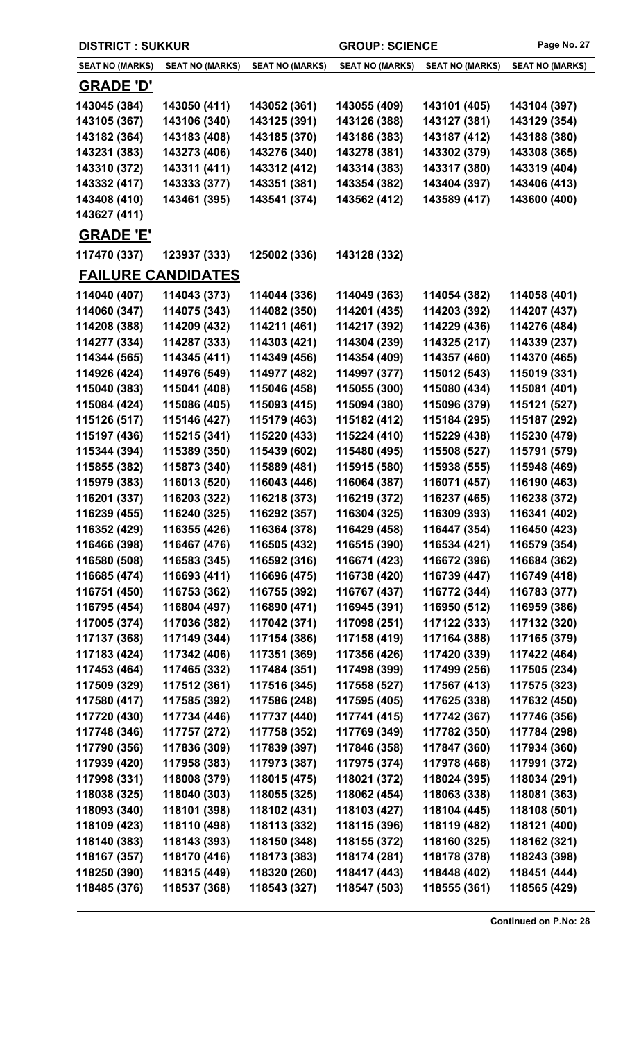| <b>DISTRICT: SUKKUR</b>   |                        |                        | <b>GROUP: SCIENCE</b>  |                        | Page No. 27            |
|---------------------------|------------------------|------------------------|------------------------|------------------------|------------------------|
| <b>SEAT NO (MARKS)</b>    | <b>SEAT NO (MARKS)</b> | <b>SEAT NO (MARKS)</b> | <b>SEAT NO (MARKS)</b> | <b>SEAT NO (MARKS)</b> | <b>SEAT NO (MARKS)</b> |
| <b>GRADE 'D'</b>          |                        |                        |                        |                        |                        |
| 143045 (384)              | 143050 (411)           | 143052 (361)           | 143055 (409)           | 143101 (405)           | 143104 (397)           |
| 143105 (367)              | 143106 (340)           | 143125 (391)           | 143126 (388)           | 143127 (381)           | 143129 (354)           |
| 143182 (364)              | 143183 (408)           | 143185 (370)           | 143186 (383)           | 143187 (412)           | 143188 (380)           |
| 143231 (383)              | 143273 (406)           | 143276 (340)           | 143278 (381)           | 143302 (379)           | 143308 (365)           |
| 143310 (372)              | 143311 (411)           | 143312 (412)           | 143314 (383)           | 143317 (380)           | 143319 (404)           |
| 143332 (417)              | 143333 (377)           | 143351 (381)           | 143354 (382)           | 143404 (397)           | 143406 (413)           |
| 143408 (410)              | 143461 (395)           | 143541 (374)           | 143562 (412)           | 143589 (417)           | 143600 (400)           |
| 143627 (411)              |                        |                        |                        |                        |                        |
| <b>GRADE 'E'</b>          |                        |                        |                        |                        |                        |
| 117470 (337)              | 123937 (333)           | 125002 (336)           | 143128 (332)           |                        |                        |
| <b>FAILURE CANDIDATES</b> |                        |                        |                        |                        |                        |
| 114040 (407)              | 114043 (373)           | 114044 (336)           | 114049 (363)           | 114054 (382)           | 114058 (401)           |
| 114060 (347)              | 114075 (343)           | 114082 (350)           | 114201 (435)           | 114203 (392)           | 114207 (437)           |
| 114208 (388)              | 114209 (432)           | 114211 (461)           | 114217 (392)           | 114229 (436)           | 114276 (484)           |
| 114277 (334)              | 114287 (333)           | 114303 (421)           | 114304 (239)           | 114325 (217)           | 114339 (237)           |
| 114344 (565)              | 114345 (411)           | 114349 (456)           | 114354 (409)           | 114357 (460)           | 114370 (465)           |
| 114926 (424)              | 114976 (549)           | 114977 (482)           | 114997 (377)           | 115012 (543)           | 115019 (331)           |
| 115040 (383)              | 115041 (408)           | 115046 (458)           | 115055 (300)           | 115080 (434)           | 115081 (401)           |
| 115084 (424)              | 115086 (405)           | 115093 (415)           | 115094 (380)           | 115096 (379)           | 115121 (527)           |
| 115126 (517)              | 115146 (427)           | 115179 (463)           | 115182 (412)           | 115184 (295)           | 115187 (292)           |
| 115197 (436)              | 115215 (341)           | 115220 (433)           | 115224 (410)           | 115229 (438)           | 115230 (479)           |
| 115344 (394)              | 115389 (350)           | 115439 (602)           | 115480 (495)           | 115508 (527)           | 115791 (579)           |
| 115855 (382)              | 115873 (340)           | 115889 (481)           | 115915 (580)           | 115938 (555)           | 115948 (469)           |
| 115979 (383)              | 116013 (520)           | 116043 (446)           | 116064 (387)           | 116071 (457)           | 116190 (463)           |
| 116201 (337)              | 116203 (322)           | 116218 (373)           | 116219 (372)           | 116237 (465)           | 116238 (372)           |
| 116239 (455)              | 116240 (325)           | 116292 (357)           | 116304 (325)           | 116309 (393)           | 116341 (402)           |
| 116352 (429)              | 116355 (426)           | 116364 (378)           | 116429 (458)           | 116447 (354)           | 116450 (423)           |
| 116466 (398)              | 116467 (476)           | 116505 (432)           | 116515 (390)           | 116534 (421)           | 116579 (354)           |
| 116580 (508)              | 116583 (345)           | 116592 (316)           | 116671 (423)           | 116672 (396)           | 116684 (362)           |
| 116685 (474)              | 116693 (411)           | 116696 (475)           | 116738 (420)           | 116739 (447)           | 116749 (418)           |
| 116751 (450)              | 116753 (362)           | 116755 (392)           | 116767 (437)           | 116772 (344)           | 116783 (377)           |
| 116795 (454)              | 116804 (497)           | 116890 (471)           | 116945 (391)           | 116950 (512)           | 116959 (386)           |
| 117005 (374)              | 117036 (382)           | 117042 (371)           | 117098 (251)           | 117122 (333)           | 117132 (320)           |
| 117137 (368)              | 117149 (344)           | 117154 (386)           | 117158 (419)           | 117164 (388)           | 117165 (379)           |
| 117183 (424)              | 117342 (406)           | 117351 (369)           | 117356 (426)           | 117420 (339)           | 117422 (464)           |
| 117453 (464)              | 117465 (332)           | 117484 (351)           | 117498 (399)           | 117499 (256)           | 117505 (234)           |
| 117509 (329)              | 117512 (361)           | 117516 (345)           | 117558 (527)           | 117567 (413)           | 117575 (323)           |
| 117580 (417)              | 117585 (392)           | 117586 (248)           | 117595 (405)           | 117625 (338)           | 117632 (450)           |
| 117720 (430)              | 117734 (446)           | 117737 (440)           | 117741 (415)           | 117742 (367)           | 117746 (356)           |
| 117748 (346)              | 117757 (272)           | 117758 (352)           | 117769 (349)           | 117782 (350)           | 117784 (298)           |
| 117790 (356)              | 117836 (309)           | 117839 (397)           | 117846 (358)           | 117847 (360)           | 117934 (360)           |
| 117939 (420)              | 117958 (383)           | 117973 (387)           | 117975 (374)           | 117978 (468)           | 117991 (372)           |
| 117998 (331)              | 118008 (379)           | 118015 (475)           | 118021 (372)           | 118024 (395)           | 118034 (291)           |
| 118038 (325)              | 118040 (303)           | 118055 (325)           | 118062 (454)           | 118063 (338)           | 118081 (363)           |
| 118093 (340)              | 118101 (398)           | 118102 (431)           | 118103 (427)           | 118104 (445)           | 118108 (501)           |
| 118109 (423)              | 118110 (498)           | 118113 (332)           | 118115 (396)           | 118119 (482)           | 118121 (400)           |
| 118140 (383)              | 118143 (393)           | 118150 (348)           | 118155 (372)           | 118160 (325)           | 118162 (321)           |
| 118167 (357)              | 118170 (416)           | 118173 (383)           | 118174 (281)           | 118178 (378)           | 118243 (398)           |
| 118250 (390)              | 118315 (449)           | 118320 (260)           | 118417 (443)           | 118448 (402)           | 118451 (444)           |
| 118485 (376)              | 118537 (368)           | 118543 (327)           | 118547 (503)           | 118555 (361)           | 118565 (429)           |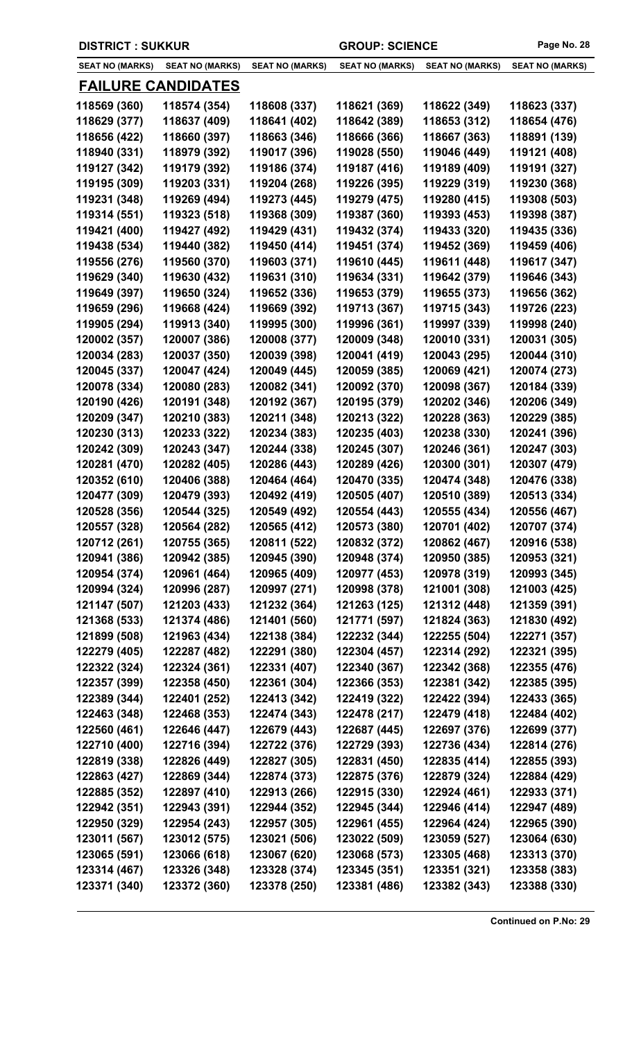| <b>DISTRICT : SUKKUR</b>     |                              |                        | <b>GROUP: SCIENCE</b>        |                        | Page No. 28            |
|------------------------------|------------------------------|------------------------|------------------------------|------------------------|------------------------|
| <b>SEAT NO (MARKS)</b>       | <b>SEAT NO (MARKS)</b>       | <b>SEAT NO (MARKS)</b> | <b>SEAT NO (MARKS)</b>       | <b>SEAT NO (MARKS)</b> | <b>SEAT NO (MARKS)</b> |
|                              | <b>FAILURE CANDIDATES</b>    |                        |                              |                        |                        |
| 118569 (360)                 | 118574 (354)                 | 118608 (337)           | 118621 (369)                 | 118622 (349)           | 118623 (337)           |
| 118629 (377)                 | 118637 (409)                 | 118641 (402)           | 118642 (389)                 | 118653 (312)           | 118654 (476)           |
| 118656 (422)                 | 118660 (397)                 | 118663 (346)           | 118666 (366)                 | 118667 (363)           | 118891 (139)           |
| 118940 (331)                 | 118979 (392)                 | 119017 (396)           | 119028 (550)                 | 119046 (449)           | 119121 (408)           |
| 119127 (342)                 | 119179 (392)                 | 119186 (374)           | 119187 (416)                 | 119189 (409)           | 119191 (327)           |
| 119195 (309)                 | 119203 (331)                 | 119204 (268)           | 119226 (395)                 | 119229 (319)           | 119230 (368)           |
| 119231 (348)                 | 119269 (494)                 | 119273 (445)           | 119279 (475)                 | 119280 (415)           | 119308 (503)           |
| 119314 (551)                 | 119323 (518)                 | 119368 (309)           | 119387 (360)                 | 119393 (453)           | 119398 (387)           |
| 119421 (400)                 | 119427 (492)                 | 119429 (431)           | 119432 (374)                 | 119433 (320)           | 119435 (336)           |
| 119438 (534)                 | 119440 (382)                 | 119450 (414)           | 119451 (374)                 | 119452 (369)           | 119459 (406)           |
| 119556 (276)                 | 119560 (370)                 | 119603 (371)           | 119610 (445)                 | 119611 (448)           | 119617 (347)           |
| 119629 (340)                 | 119630 (432)                 | 119631 (310)           | 119634 (331)                 | 119642 (379)           | 119646 (343)           |
| 119649 (397)                 | 119650 (324)                 | 119652 (336)           | 119653 (379)                 | 119655 (373)           | 119656 (362)           |
| 119659 (296)                 | 119668 (424)                 | 119669 (392)           | 119713 (367)                 | 119715 (343)           | 119726 (223)           |
| 119905 (294)                 | 119913 (340)                 | 119995 (300)           | 119996 (361)                 | 119997 (339)           | 119998 (240)           |
| 120002 (357)                 | 120007 (386)                 | 120008 (377)           | 120009 (348)                 | 120010 (331)           | 120031 (305)           |
| 120034 (283)                 | 120037 (350)                 | 120039 (398)           | 120041 (419)                 | 120043 (295)           | 120044 (310)           |
| 120045 (337)                 | 120047 (424)                 | 120049 (445)           | 120059 (385)                 | 120069 (421)           | 120074 (273)           |
| 120078 (334)                 | 120080 (283)                 | 120082 (341)           | 120092 (370)                 | 120098 (367)           | 120184 (339)           |
| 120190 (426)                 | 120191 (348)                 | 120192 (367)           | 120195 (379)                 | 120202 (346)           | 120206 (349)           |
| 120209 (347)                 | 120210 (383)                 | 120211 (348)           | 120213 (322)                 | 120228 (363)           | 120229 (385)           |
| 120230 (313)                 | 120233 (322)                 | 120234 (383)           | 120235 (403)                 | 120238 (330)           | 120241 (396)           |
| 120242 (309)                 | 120243 (347)                 | 120244 (338)           | 120245 (307)                 | 120246 (361)           | 120247 (303)           |
| 120281 (470)                 | 120282 (405)                 | 120286 (443)           | 120289 (426)                 | 120300 (301)           | 120307 (479)           |
| 120352 (610)                 | 120406 (388)                 | 120464 (464)           | 120470 (335)                 | 120474 (348)           | 120476 (338)           |
| 120477 (309)                 | 120479 (393)                 | 120492 (419)           | 120505 (407)                 | 120510 (389)           | 120513 (334)           |
| 120528 (356)                 | 120544 (325)                 | 120549 (492)           | 120554 (443)                 | 120555 (434)           | 120556 (467)           |
| 120557 (328)                 | 120564 (282)                 | 120565 (412)           | 120573 (380)                 | 120701 (402)           | 120707 (374)           |
| 120712 (261)                 | 120755 (365)                 | 120811 (522)           | 120832 (372)                 | 120862 (467)           | 120916 (538)           |
| 120941 (386)                 | 120942 (385)                 | 120945 (390)           | 120948 (374)                 | 120950 (385)           | 120953 (321)           |
| 120954 (374)                 | 120961 (464)                 | 120965 (409)           | 120977 (453)                 | 120978 (319)           | 120993 (345)           |
| 120994 (324)                 | 120996 (287)                 | 120997 (271)           | 120998 (378)                 | 121001 (308)           | 121003 (425)           |
| 121147 (507)                 | 121203 (433)                 | 121232 (364)           | 121263 (125)                 | 121312 (448)           | 121359 (391)           |
| 121368 (533)                 | 121374 (486)                 | 121401 (560)           | 121771 (597)                 | 121824 (363)           | 121830 (492)           |
| 121899 (508)                 | 121963 (434)                 | 122138 (384)           | 122232 (344)                 | 122255 (504)           | 122271 (357)           |
| 122279 (405)                 | 122287 (482)                 | 122291 (380)           | 122304 (457)                 | 122314 (292)           | 122321 (395)           |
| 122322 (324)                 | 122324 (361)                 | 122331 (407)           | 122340 (367)                 | 122342 (368)           | 122355 (476)           |
| 122357 (399)                 | 122358 (450)                 | 122361 (304)           | 122366 (353)                 | 122381 (342)           | 122385 (395)           |
| 122389 (344)                 | 122401 (252)                 | 122413 (342)           | 122419 (322)                 | 122422 (394)           | 122433 (365)           |
| 122463 (348)                 | 122468 (353)                 | 122474 (343)           | 122478 (217)                 | 122479 (418)           | 122484 (402)           |
| 122560 (461)                 | 122646 (447)                 | 122679 (443)           | 122687 (445)                 | 122697 (376)           | 122699 (377)           |
| 122710 (400)                 | 122716 (394)                 | 122722 (376)           | 122729 (393)                 | 122736 (434)           | 122814 (276)           |
| 122819 (338)                 | 122826 (449)                 | 122827 (305)           | 122831 (450)                 | 122835 (414)           | 122855 (393)           |
| 122863 (427)                 | 122869 (344)                 | 122874 (373)           | 122875 (376)                 | 122879 (324)           | 122884 (429)           |
| 122885 (352)                 | 122897 (410)                 | 122913 (266)           | 122915 (330)                 | 122924 (461)           | 122933 (371)           |
|                              |                              |                        |                              |                        |                        |
| 122942 (351)<br>122950 (329) | 122943 (391)                 | 122944 (352)           | 122945 (344)<br>122961 (455) | 122946 (414)           | 122947 (489)           |
|                              | 122954 (243)                 | 122957 (305)           | 123022 (509)                 | 122964 (424)           | 122965 (390)           |
| 123011 (567)                 | 123012 (575)<br>123066 (618) | 123021 (506)           |                              | 123059 (527)           | 123064 (630)           |
| 123065 (591)                 |                              | 123067 (620)           | 123068 (573)                 | 123305 (468)           | 123313 (370)           |
| 123314 (467)                 | 123326 (348)                 | 123328 (374)           | 123345 (351)                 | 123351 (321)           | 123358 (383)           |
| 123371 (340)                 | 123372 (360)                 | 123378 (250)           | 123381 (486)                 | 123382 (343)           | 123388 (330)           |

 $\overline{\phantom{a}}$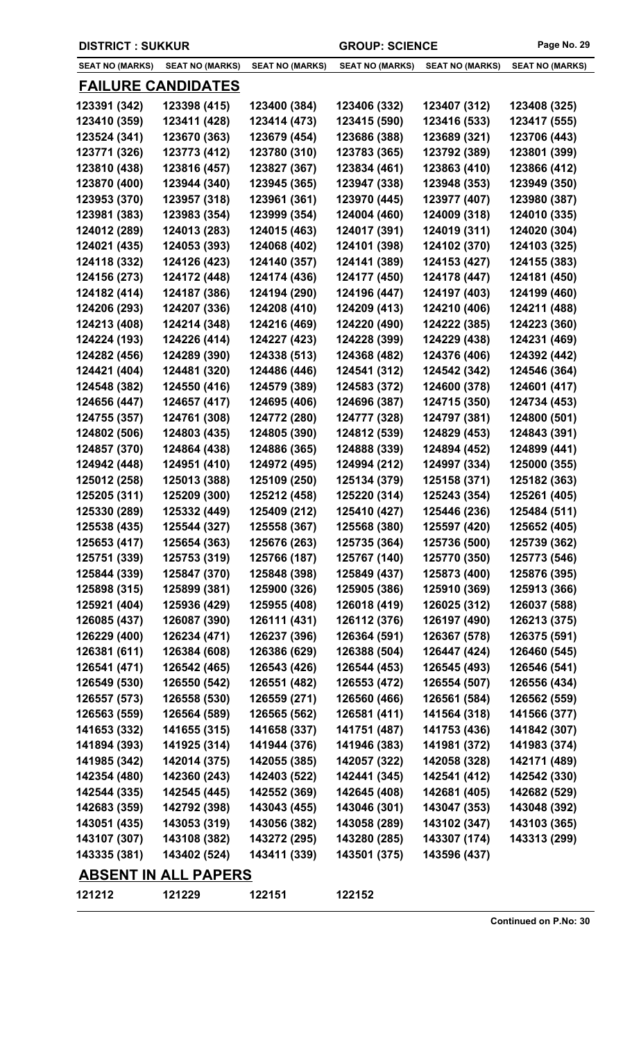|  | <b>DISTRICT: SUKKUR</b> |  |  |  |
|--|-------------------------|--|--|--|
|--|-------------------------|--|--|--|

**DROUP: SCIENCE Page No. 29** 

| <b>SEAT NO (MARKS)</b>    | <b>SEAT NO (MARKS)</b>      | <b>SEAT NO (MARKS)</b> | <b>SEAT NO (MARKS)</b> | <b>SEAT NO (MARKS)</b> | <b>SEAT NO (MARKS)</b> |
|---------------------------|-----------------------------|------------------------|------------------------|------------------------|------------------------|
| <b>FAILURE CANDIDATES</b> |                             |                        |                        |                        |                        |
| 123391 (342)              | 123398 (415)                | 123400 (384)           | 123406 (332)           | 123407 (312)           | 123408 (325)           |
| 123410 (359)              | 123411 (428)                | 123414 (473)           | 123415 (590)           | 123416 (533)           | 123417 (555)           |
| 123524 (341)              | 123670 (363)                | 123679 (454)           | 123686 (388)           | 123689 (321)           | 123706 (443)           |
| 123771 (326)              | 123773 (412)                | 123780 (310)           | 123783 (365)           | 123792 (389)           | 123801 (399)           |
| 123810 (438)              | 123816 (457)                | 123827 (367)           | 123834 (461)           | 123863 (410)           | 123866 (412)           |
| 123870 (400)              | 123944 (340)                | 123945 (365)           | 123947 (338)           | 123948 (353)           | 123949 (350)           |
| 123953 (370)              | 123957 (318)                | 123961 (361)           | 123970 (445)           | 123977 (407)           | 123980 (387)           |
| 123981 (383)              | 123983 (354)                | 123999 (354)           | 124004 (460)           | 124009 (318)           | 124010 (335)           |
| 124012 (289)              | 124013 (283)                | 124015 (463)           | 124017 (391)           | 124019 (311)           | 124020 (304)           |
| 124021 (435)              | 124053 (393)                | 124068 (402)           | 124101 (398)           | 124102 (370)           | 124103 (325)           |
| 124118 (332)              | 124126 (423)                | 124140 (357)           | 124141 (389)           | 124153 (427)           | 124155 (383)           |
| 124156 (273)              | 124172 (448)                | 124174 (436)           | 124177 (450)           | 124178 (447)           | 124181 (450)           |
| 124182 (414)              | 124187 (386)                | 124194 (290)           | 124196 (447)           | 124197 (403)           | 124199 (460)           |
| 124206 (293)              | 124207 (336)                | 124208 (410)           | 124209 (413)           | 124210 (406)           | 124211 (488)           |
| 124213 (408)              | 124214 (348)                | 124216 (469)           | 124220 (490)           | 124222 (385)           | 124223 (360)           |
| 124224 (193)              | 124226 (414)                | 124227 (423)           | 124228 (399)           | 124229 (438)           | 124231 (469)           |
| 124282 (456)              | 124289 (390)                | 124338 (513)           | 124368 (482)           | 124376 (406)           | 124392 (442)           |
| 124421 (404)              | 124481 (320)                | 124486 (446)           | 124541 (312)           | 124542 (342)           | 124546 (364)           |
| 124548 (382)              | 124550 (416)                | 124579 (389)           | 124583 (372)           | 124600 (378)           | 124601 (417)           |
| 124656 (447)              | 124657 (417)                | 124695 (406)           | 124696 (387)           | 124715 (350)           | 124734 (453)           |
| 124755 (357)              | 124761 (308)                | 124772 (280)           | 124777 (328)           | 124797 (381)           | 124800 (501)           |
| 124802 (506)              | 124803 (435)                | 124805 (390)           | 124812 (539)           | 124829 (453)           | 124843 (391)           |
| 124857 (370)              | 124864 (438)                | 124886 (365)           | 124888 (339)           | 124894 (452)           | 124899 (441)           |
| 124942 (448)              | 124951 (410)                | 124972 (495)           | 124994 (212)           | 124997 (334)           | 125000 (355)           |
| 125012 (258)              | 125013 (388)                | 125109 (250)           | 125134 (379)           | 125158 (371)           | 125182 (363)           |
| 125205 (311)              | 125209 (300)                | 125212 (458)           | 125220 (314)           | 125243 (354)           | 125261 (405)           |
| 125330 (289)              | 125332 (449)                | 125409 (212)           | 125410 (427)           | 125446 (236)           | 125484 (511)           |
| 125538 (435)              | 125544 (327)                | 125558 (367)           | 125568 (380)           | 125597 (420)           | 125652 (405)           |
| 125653 (417)              | 125654 (363)                | 125676 (263)           | 125735 (364)           | 125736 (500)           | 125739 (362)           |
| 125751 (339)              | 125753 (319)                | 125766 (187)           | 125767 (140)           | 125770 (350)           | 125773 (546)           |
| 125844 (339)              | 125847 (370)                | 125848 (398)           | 125849 (437)           | 125873 (400)           | 125876 (395)           |
| 125898 (315)              | 125899 (381)                | 125900 (326)           | 125905 (386)           | 125910 (369)           | 125913 (366)           |
| 125921 (404)              | 125936 (429)                | 125955 (408)           | 126018 (419)           | 126025 (312)           | 126037 (588)           |
| 126085 (437)              | 126087 (390)                | 126111 (431)           | 126112 (376)           | 126197 (490)           | 126213 (375)           |
| 126229 (400)              | 126234 (471)                | 126237 (396)           | 126364 (591)           | 126367 (578)           | 126375 (591)           |
| 126381 (611)              | 126384 (608)                | 126386 (629)           | 126388 (504)           | 126447 (424)           | 126460 (545)           |
| 126541 (471)              | 126542 (465)                | 126543 (426)           | 126544 (453)           | 126545 (493)           | 126546 (541)           |
| 126549 (530)              | 126550 (542)                | 126551 (482)           | 126553 (472)           | 126554 (507)           | 126556 (434)           |
| 126557 (573)              | 126558 (530)                | 126559 (271)           | 126560 (466)           | 126561 (584)           | 126562 (559)           |
| 126563 (559)              | 126564 (589)                | 126565 (562)           | 126581 (411)           | 141564 (318)           | 141566 (377)           |
| 141653 (332)              | 141655 (315)                | 141658 (337)           | 141751 (487)           | 141753 (436)           | 141842 (307)           |
| 141894 (393)              | 141925 (314)                | 141944 (376)           | 141946 (383)           | 141981 (372)           | 141983 (374)           |
| 141985 (342)              | 142014 (375)                | 142055 (385)           | 142057 (322)           | 142058 (328)           | 142171 (489)           |
| 142354 (480)              | 142360 (243)                | 142403 (522)           | 142441 (345)           | 142541 (412)           | 142542 (330)           |
| 142544 (335)              | 142545 (445)                | 142552 (369)           | 142645 (408)           | 142681 (405)           | 142682 (529)           |
| 142683 (359)              | 142792 (398)                | 143043 (455)           | 143046 (301)           | 143047 (353)           | 143048 (392)           |
| 143051 (435)              | 143053 (319)                | 143056 (382)           | 143058 (289)           | 143102 (347)           | 143103 (365)           |
| 143107 (307)              | 143108 (382)                | 143272 (295)           | 143280 (285)           | 143307 (174)           | 143313 (299)           |
| 143335 (381)              | 143402 (524)                | 143411 (339)           | 143501 (375)           | 143596 (437)           |                        |
|                           | <b>ABSENT IN ALL PAPERS</b> |                        |                        |                        |                        |
| 121212                    |                             |                        |                        |                        |                        |
|                           | 121229                      | 122151                 | 122152                 |                        |                        |